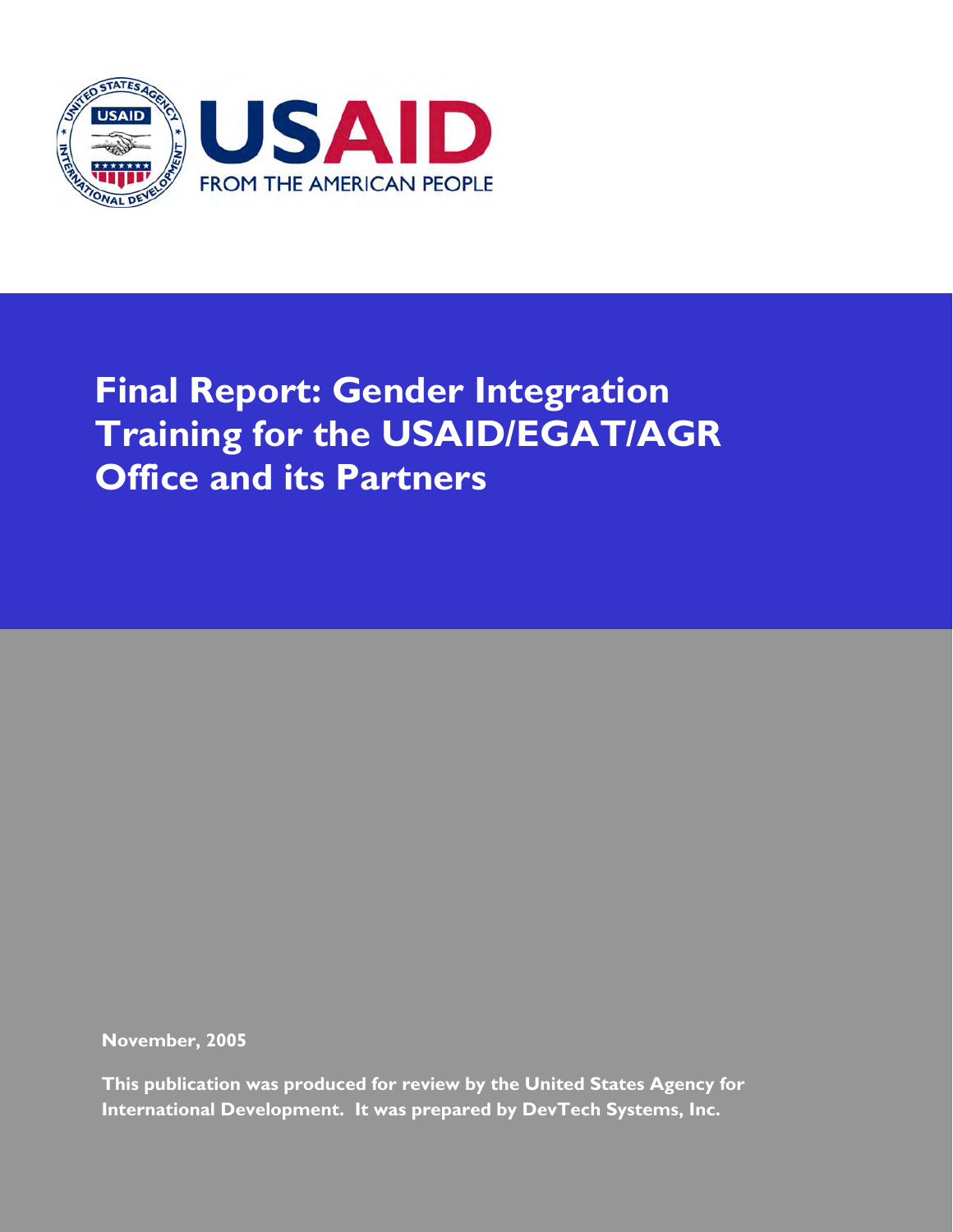

# **Final Report: Gender Integration Training for the USAID/EGAT/AGR Office and its Partners**

**November, 2005** 

**This publication was produced for review by the United States Agency for International Development. It was prepared by DevTech Systems, Inc.**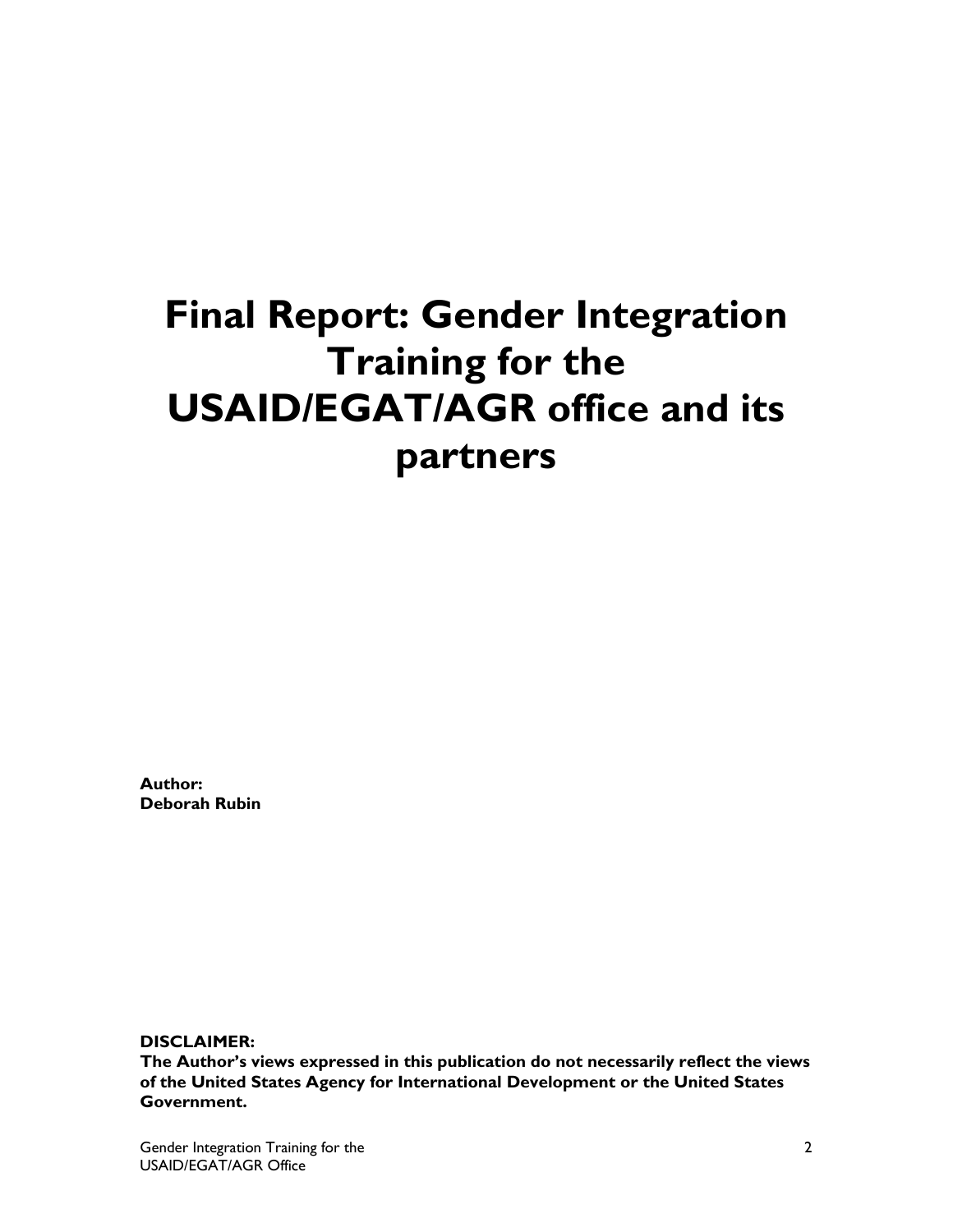# **Final Report: Gender Integration Training for the USAID/EGAT/AGR office and its partners**

**Author: Deborah Rubin** 

**DISCLAIMER:** 

**The Author's views expressed in this publication do not necessarily reflect the views of the United States Agency for International Development or the United States Government.**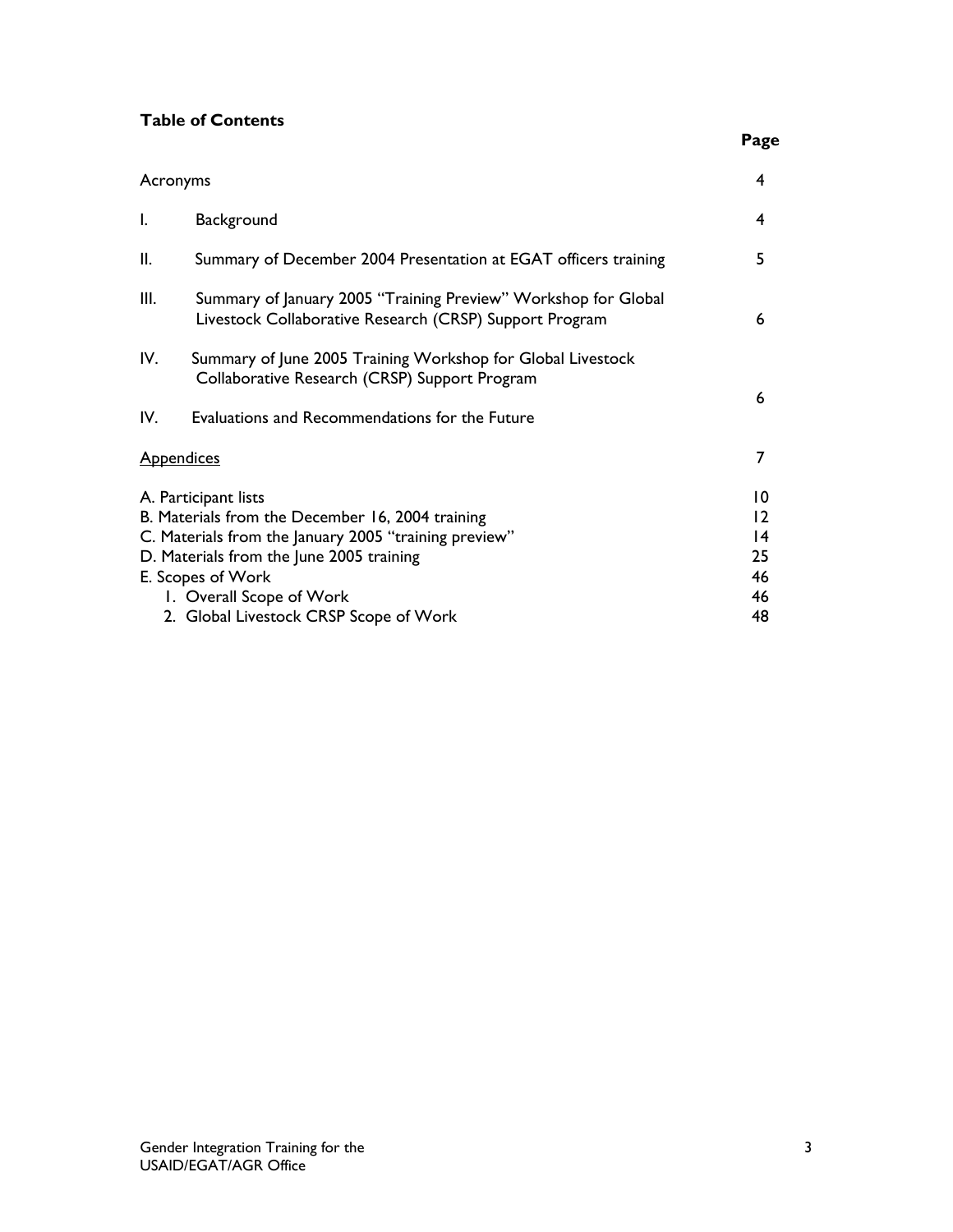# **Table of Contents**

| Acronyms                                                                                                                                                                                                                       | 4                                                               |
|--------------------------------------------------------------------------------------------------------------------------------------------------------------------------------------------------------------------------------|-----------------------------------------------------------------|
| Background                                                                                                                                                                                                                     | 4                                                               |
| Summary of December 2004 Presentation at EGAT officers training                                                                                                                                                                | 5                                                               |
| Summary of January 2005 "Training Preview" Workshop for Global<br>Livestock Collaborative Research (CRSP) Support Program                                                                                                      | 6                                                               |
| Summary of June 2005 Training Workshop for Global Livestock<br>Collaborative Research (CRSP) Support Program<br>Evaluations and Recommendations for the Future                                                                 | 6                                                               |
| <b>Appendices</b>                                                                                                                                                                                                              | 7                                                               |
| A. Participant lists<br>B. Materials from the December 16, 2004 training<br>C. Materials from the January 2005 "training preview"<br>D. Materials from the June 2005 training<br>E. Scopes of Work<br>1. Overall Scope of Work | 10<br>$\overline{2}$<br>$\overline{14}$<br>25<br>46<br>46<br>48 |
|                                                                                                                                                                                                                                | 2. Global Livestock CRSP Scope of Work                          |

**Page**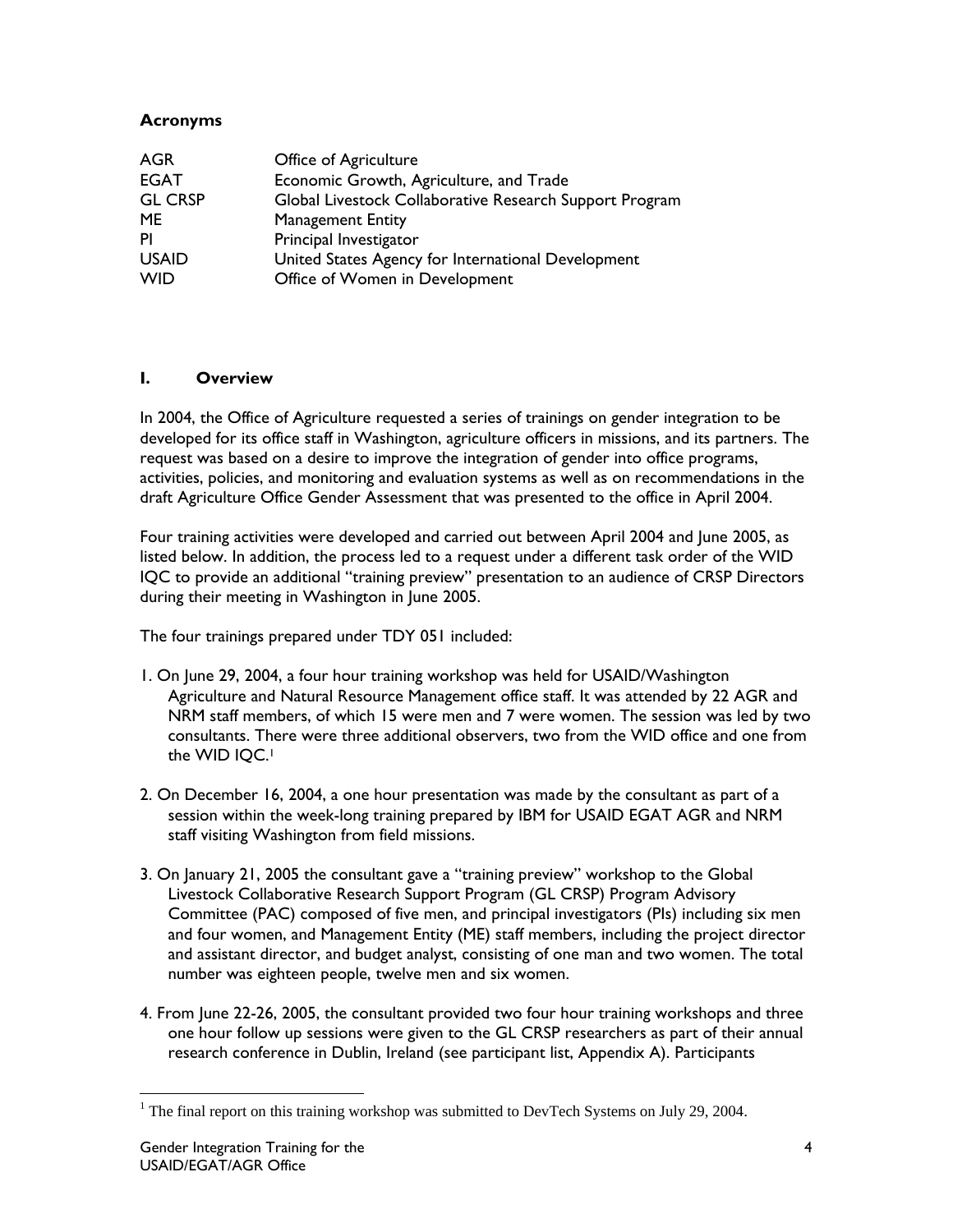# **Acronyms**

| <b>AGR</b>     | Office of Agriculture                                   |
|----------------|---------------------------------------------------------|
| <b>EGAT</b>    | Economic Growth, Agriculture, and Trade                 |
| <b>GL CRSP</b> | Global Livestock Collaborative Research Support Program |
| <b>ME</b>      | <b>Management Entity</b>                                |
| PI             | Principal Investigator                                  |
| <b>USAID</b>   | United States Agency for International Development      |
| <b>WID</b>     | Office of Women in Development                          |

#### **I. Overview**

In 2004, the Office of Agriculture requested a series of trainings on gender integration to be developed for its office staff in Washington, agriculture officers in missions, and its partners. The request was based on a desire to improve the integration of gender into office programs, activities, policies, and monitoring and evaluation systems as well as on recommendations in the draft Agriculture Office Gender Assessment that was presented to the office in April 2004.

Four training activities were developed and carried out between April 2004 and June 2005, as listed below. In addition, the process led to a request under a different task order of the WID IQC to provide an additional "training preview" presentation to an audience of CRSP Directors during their meeting in Washington in June 2005.

The four trainings prepared under TDY 051 included:

- 1. On June 29, 2004, a four hour training workshop was held for USAID/Washington Agriculture and Natural Resource Management office staff. It was attended by 22 AGR and NRM staff members, of which 15 were men and 7 were women. The session was led by two consultants. There were three additional observers, two from the WID office and one from the WID IQC.<sup>1</sup>
- 2. On December 16, 2004, a one hour presentation was made by the consultant as part of a session within the week-long training prepared by IBM for USAID EGAT AGR and NRM staff visiting Washington from field missions.
- 3. On January 21, 2005 the consultant gave a "training preview" workshop to the Global Livestock Collaborative Research Support Program (GL CRSP) Program Advisory Committee (PAC) composed of five men, and principal investigators (PIs) including six men and four women, and Management Entity (ME) staff members, including the project director and assistant director, and budget analyst, consisting of one man and two women. The total number was eighteen people, twelve men and six women.
- 4. From June 22-26, 2005, the consultant provided two four hour training workshops and three one hour follow up sessions were given to the GL CRSP researchers as part of their annual research conference in Dublin, Ireland (see participant list, Appendix A). Participants

<sup>&</sup>lt;sup>1</sup> The final report on this training workshop was submitted to DevTech Systems on July 29, 2004.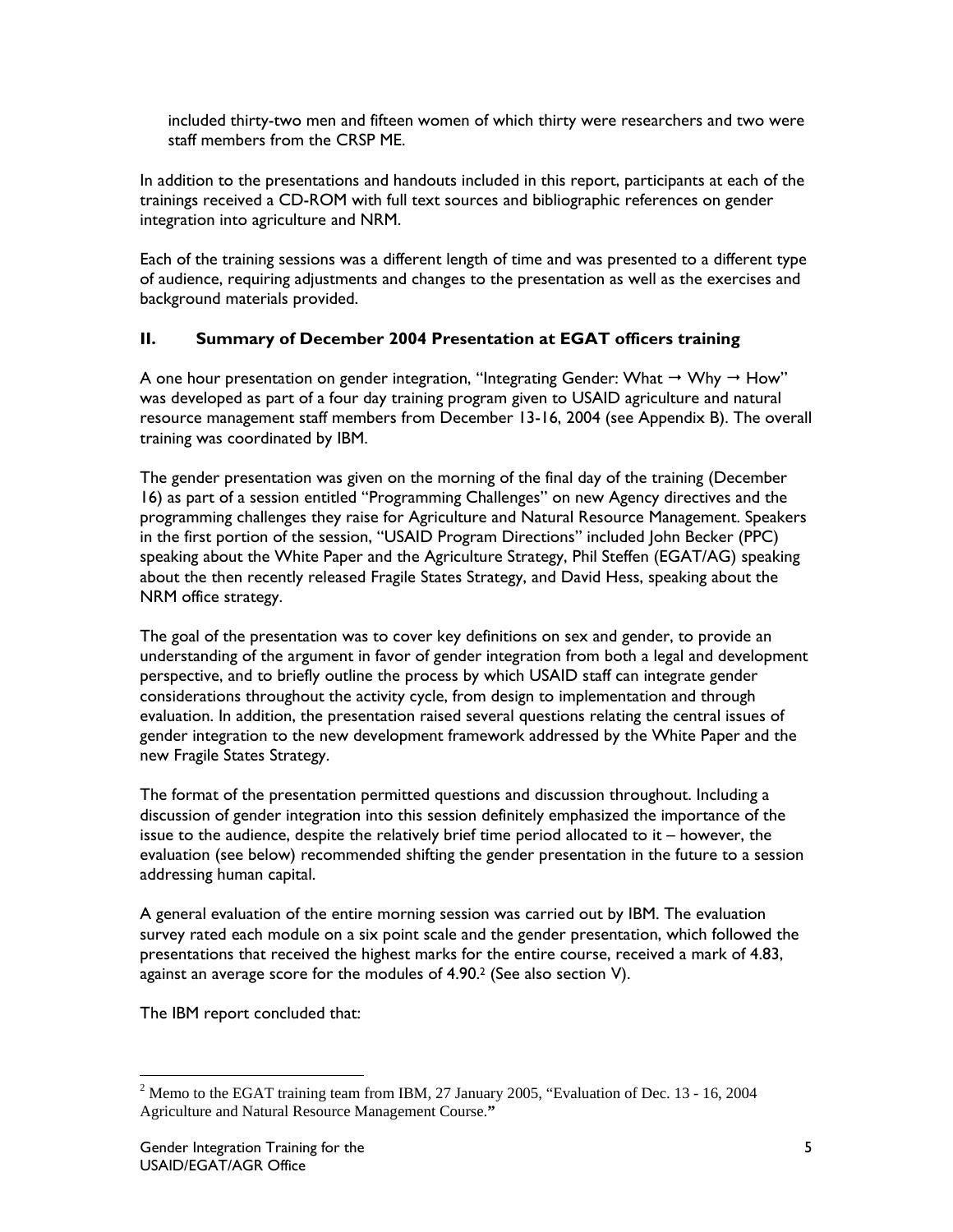included thirty-two men and fifteen women of which thirty were researchers and two were staff members from the CRSP ME.

In addition to the presentations and handouts included in this report, participants at each of the trainings received a CD-ROM with full text sources and bibliographic references on gender integration into agriculture and NRM.

Each of the training sessions was a different length of time and was presented to a different type of audience, requiring adjustments and changes to the presentation as well as the exercises and background materials provided.

## **II. Summary of December 2004 Presentation at EGAT officers training**

A one hour presentation on gender integration, "Integrating Gender: What  $\rightarrow$  Why  $\rightarrow$  How" was developed as part of a four day training program given to USAID agriculture and natural resource management staff members from December 13-16, 2004 (see Appendix B). The overall training was coordinated by IBM.

The gender presentation was given on the morning of the final day of the training (December 16) as part of a session entitled "Programming Challenges" on new Agency directives and the programming challenges they raise for Agriculture and Natural Resource Management. Speakers in the first portion of the session, "USAID Program Directions" included John Becker (PPC) speaking about the White Paper and the Agriculture Strategy, Phil Steffen (EGAT/AG) speaking about the then recently released Fragile States Strategy, and David Hess, speaking about the NRM office strategy.

The goal of the presentation was to cover key definitions on sex and gender, to provide an understanding of the argument in favor of gender integration from both a legal and development perspective, and to briefly outline the process by which USAID staff can integrate gender considerations throughout the activity cycle, from design to implementation and through evaluation. In addition, the presentation raised several questions relating the central issues of gender integration to the new development framework addressed by the White Paper and the new Fragile States Strategy.

The format of the presentation permitted questions and discussion throughout. Including a discussion of gender integration into this session definitely emphasized the importance of the issue to the audience, despite the relatively brief time period allocated to it – however, the evaluation (see below) recommended shifting the gender presentation in the future to a session addressing human capital.

A general evaluation of the entire morning session was carried out by IBM. The evaluation survey rated each module on a six point scale and the gender presentation, which followed the presentations that received the highest marks for the entire course, received a mark of 4.83, against an average score for the modules of  $4.90<sup>2</sup>$  (See also section V).

The IBM report concluded that:

 $2^2$  Memo to the EGAT training team from IBM, 27 January 2005, "Evaluation of Dec. 13 - 16, 2004 Agriculture and Natural Resource Management Course.**"**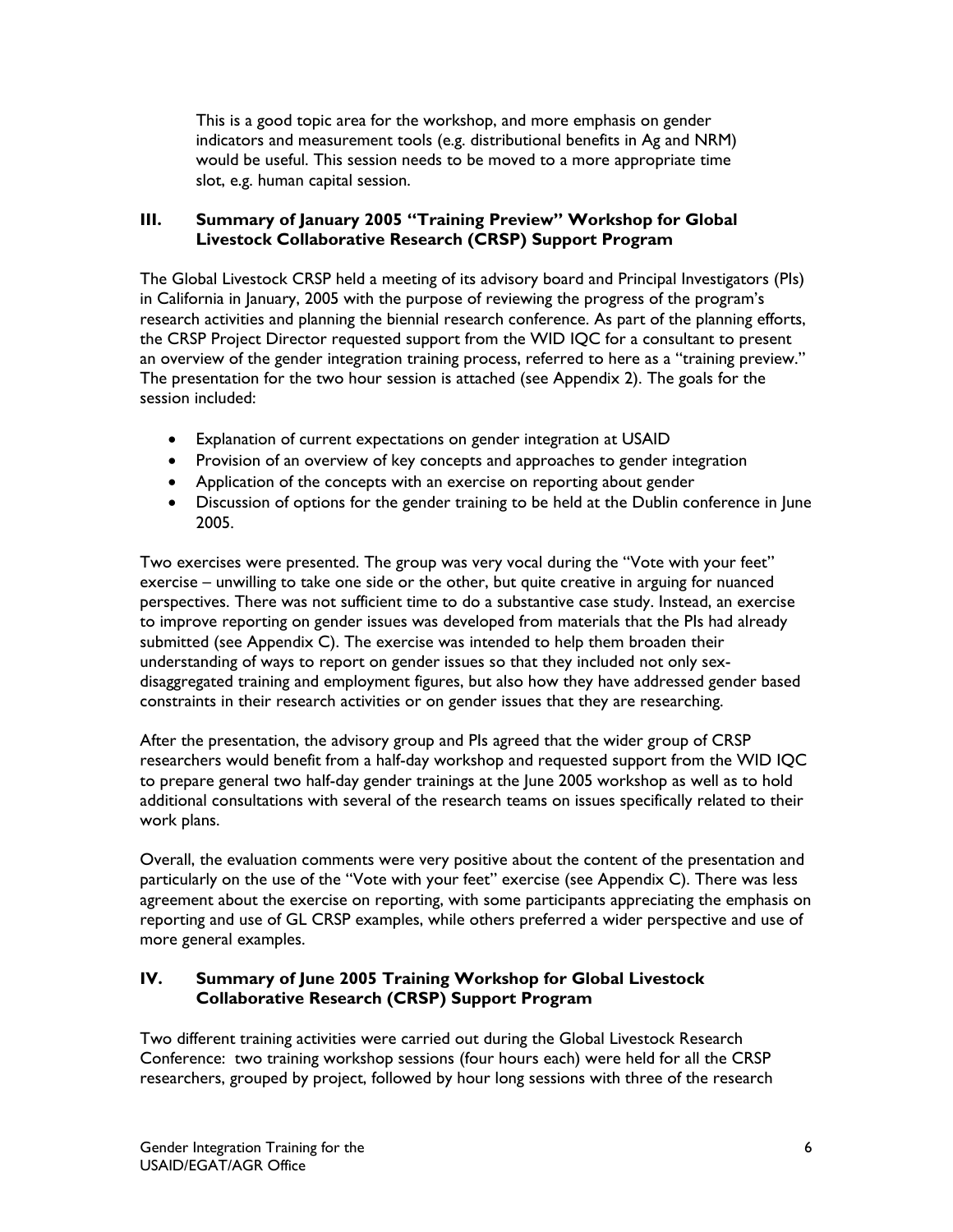This is a good topic area for the workshop, and more emphasis on gender indicators and measurement tools (e.g. distributional benefits in Ag and NRM) would be useful. This session needs to be moved to a more appropriate time slot, e.g. human capital session.

# **III. Summary of January 2005 "Training Preview" Workshop for Global Livestock Collaborative Research (CRSP) Support Program**

The Global Livestock CRSP held a meeting of its advisory board and Principal Investigators (PIs) in California in January, 2005 with the purpose of reviewing the progress of the program's research activities and planning the biennial research conference. As part of the planning efforts, the CRSP Project Director requested support from the WID IQC for a consultant to present an overview of the gender integration training process, referred to here as a "training preview." The presentation for the two hour session is attached (see Appendix 2). The goals for the session included:

- Explanation of current expectations on gender integration at USAID
- Provision of an overview of key concepts and approaches to gender integration
- Application of the concepts with an exercise on reporting about gender
- Discussion of options for the gender training to be held at the Dublin conference in June 2005.

Two exercises were presented. The group was very vocal during the "Vote with your feet" exercise – unwilling to take one side or the other, but quite creative in arguing for nuanced perspectives. There was not sufficient time to do a substantive case study. Instead, an exercise to improve reporting on gender issues was developed from materials that the PIs had already submitted (see Appendix C). The exercise was intended to help them broaden their understanding of ways to report on gender issues so that they included not only sexdisaggregated training and employment figures, but also how they have addressed gender based constraints in their research activities or on gender issues that they are researching.

After the presentation, the advisory group and PIs agreed that the wider group of CRSP researchers would benefit from a half-day workshop and requested support from the WID IQC to prepare general two half-day gender trainings at the June 2005 workshop as well as to hold additional consultations with several of the research teams on issues specifically related to their work plans.

Overall, the evaluation comments were very positive about the content of the presentation and particularly on the use of the "Vote with your feet" exercise (see Appendix C). There was less agreement about the exercise on reporting, with some participants appreciating the emphasis on reporting and use of GL CRSP examples, while others preferred a wider perspective and use of more general examples.

## **IV. Summary of June 2005 Training Workshop for Global Livestock Collaborative Research (CRSP) Support Program**

Two different training activities were carried out during the Global Livestock Research Conference: two training workshop sessions (four hours each) were held for all the CRSP researchers, grouped by project, followed by hour long sessions with three of the research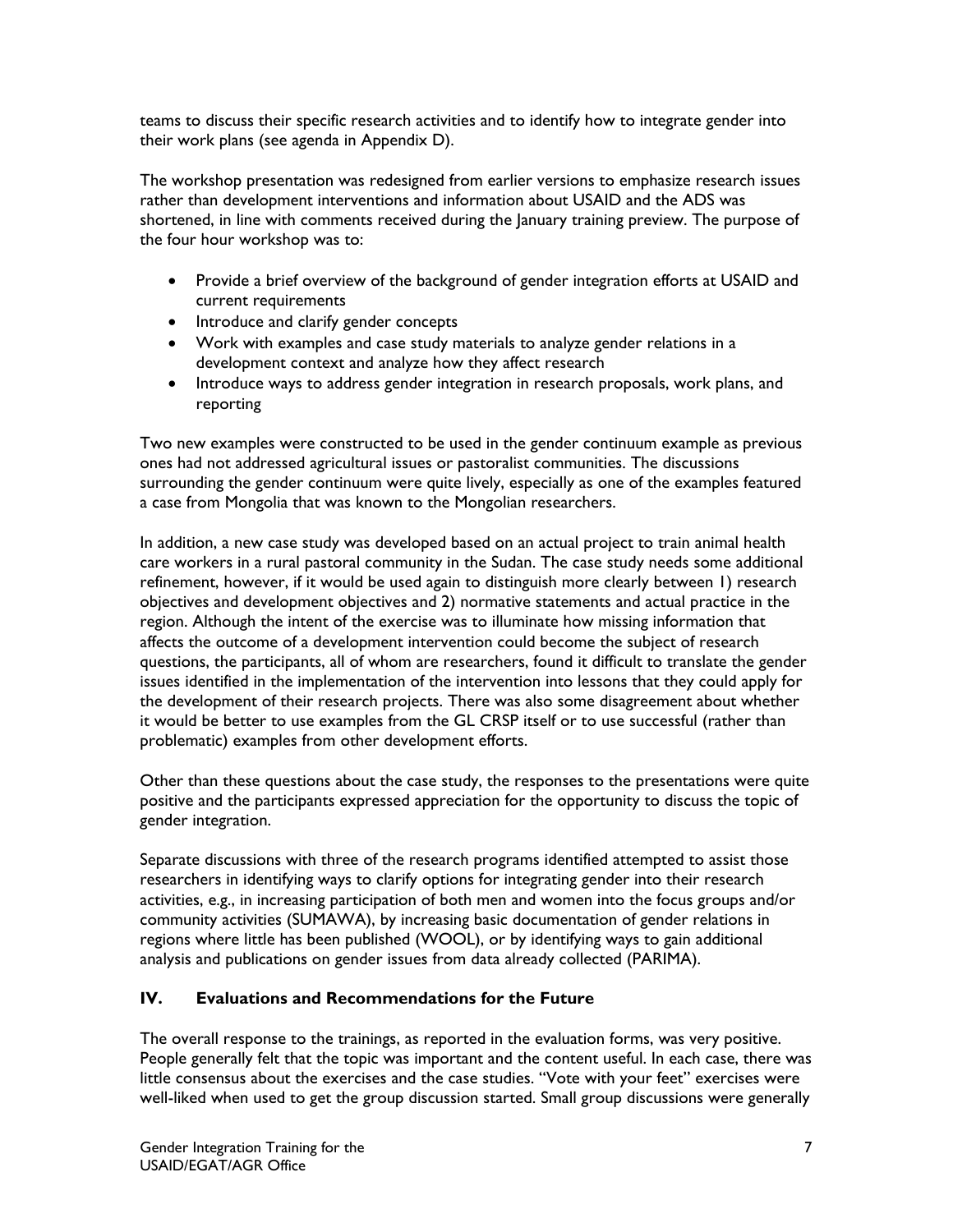teams to discuss their specific research activities and to identify how to integrate gender into their work plans (see agenda in Appendix D).

The workshop presentation was redesigned from earlier versions to emphasize research issues rather than development interventions and information about USAID and the ADS was shortened, in line with comments received during the January training preview. The purpose of the four hour workshop was to:

- Provide a brief overview of the background of gender integration efforts at USAID and current requirements
- Introduce and clarify gender concepts
- Work with examples and case study materials to analyze gender relations in a development context and analyze how they affect research
- Introduce ways to address gender integration in research proposals, work plans, and reporting

Two new examples were constructed to be used in the gender continuum example as previous ones had not addressed agricultural issues or pastoralist communities. The discussions surrounding the gender continuum were quite lively, especially as one of the examples featured a case from Mongolia that was known to the Mongolian researchers.

In addition, a new case study was developed based on an actual project to train animal health care workers in a rural pastoral community in the Sudan. The case study needs some additional refinement, however, if it would be used again to distinguish more clearly between 1) research objectives and development objectives and 2) normative statements and actual practice in the region. Although the intent of the exercise was to illuminate how missing information that affects the outcome of a development intervention could become the subject of research questions, the participants, all of whom are researchers, found it difficult to translate the gender issues identified in the implementation of the intervention into lessons that they could apply for the development of their research projects. There was also some disagreement about whether it would be better to use examples from the GL CRSP itself or to use successful (rather than problematic) examples from other development efforts.

Other than these questions about the case study, the responses to the presentations were quite positive and the participants expressed appreciation for the opportunity to discuss the topic of gender integration.

Separate discussions with three of the research programs identified attempted to assist those researchers in identifying ways to clarify options for integrating gender into their research activities, e.g., in increasing participation of both men and women into the focus groups and/or community activities (SUMAWA), by increasing basic documentation of gender relations in regions where little has been published (WOOL), or by identifying ways to gain additional analysis and publications on gender issues from data already collected (PARIMA).

# **IV. Evaluations and Recommendations for the Future**

The overall response to the trainings, as reported in the evaluation forms, was very positive. People generally felt that the topic was important and the content useful. In each case, there was little consensus about the exercises and the case studies. "Vote with your feet" exercises were well-liked when used to get the group discussion started. Small group discussions were generally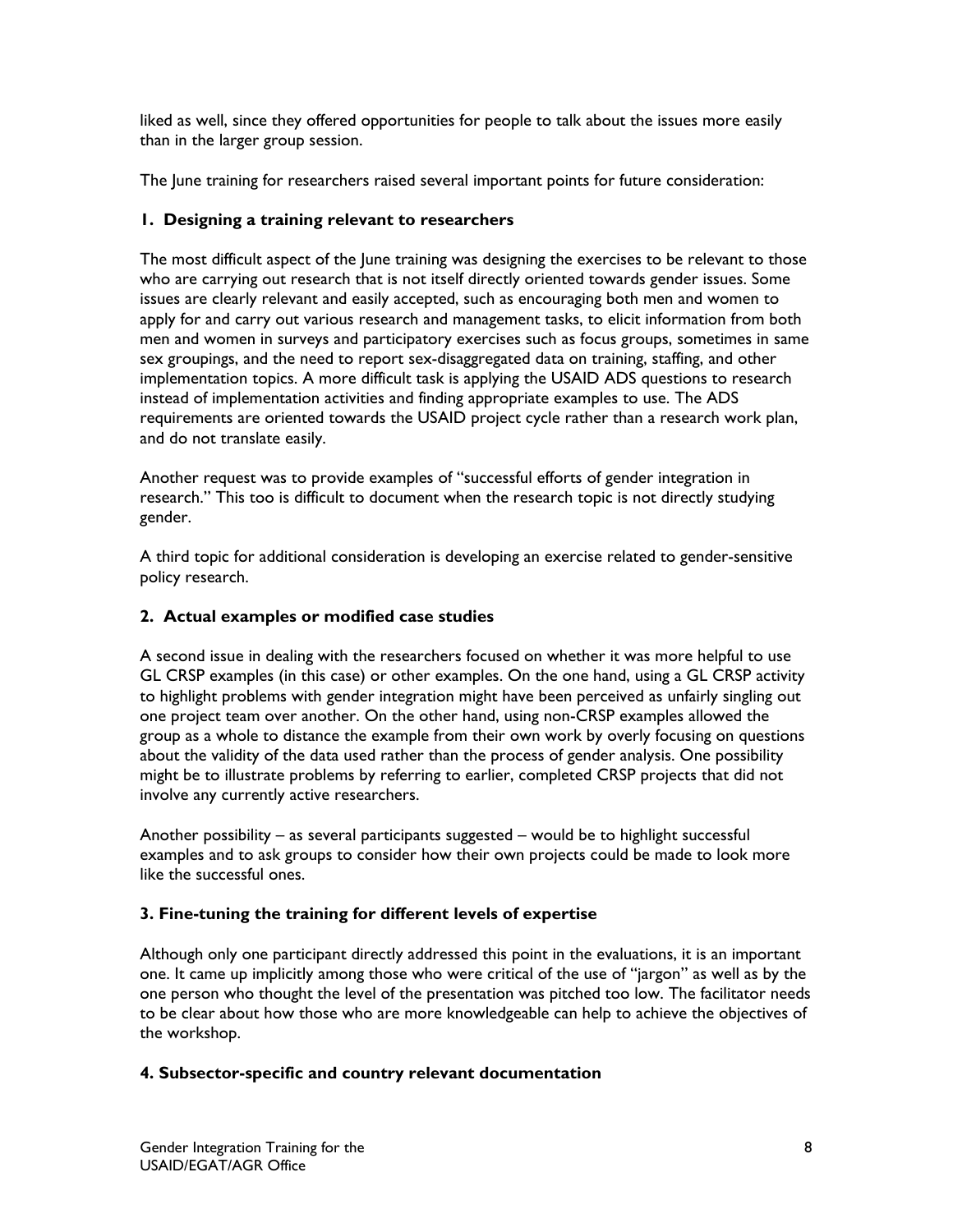liked as well, since they offered opportunities for people to talk about the issues more easily than in the larger group session.

The June training for researchers raised several important points for future consideration:

# **1. Designing a training relevant to researchers**

The most difficult aspect of the June training was designing the exercises to be relevant to those who are carrying out research that is not itself directly oriented towards gender issues. Some issues are clearly relevant and easily accepted, such as encouraging both men and women to apply for and carry out various research and management tasks, to elicit information from both men and women in surveys and participatory exercises such as focus groups, sometimes in same sex groupings, and the need to report sex-disaggregated data on training, staffing, and other implementation topics. A more difficult task is applying the USAID ADS questions to research instead of implementation activities and finding appropriate examples to use. The ADS requirements are oriented towards the USAID project cycle rather than a research work plan, and do not translate easily.

Another request was to provide examples of "successful efforts of gender integration in research." This too is difficult to document when the research topic is not directly studying gender.

A third topic for additional consideration is developing an exercise related to gender-sensitive policy research.

# **2. Actual examples or modified case studies**

A second issue in dealing with the researchers focused on whether it was more helpful to use GL CRSP examples (in this case) or other examples. On the one hand, using a GL CRSP activity to highlight problems with gender integration might have been perceived as unfairly singling out one project team over another. On the other hand, using non-CRSP examples allowed the group as a whole to distance the example from their own work by overly focusing on questions about the validity of the data used rather than the process of gender analysis. One possibility might be to illustrate problems by referring to earlier, completed CRSP projects that did not involve any currently active researchers.

Another possibility – as several participants suggested – would be to highlight successful examples and to ask groups to consider how their own projects could be made to look more like the successful ones.

# **3. Fine-tuning the training for different levels of expertise**

Although only one participant directly addressed this point in the evaluations, it is an important one. It came up implicitly among those who were critical of the use of "jargon" as well as by the one person who thought the level of the presentation was pitched too low. The facilitator needs to be clear about how those who are more knowledgeable can help to achieve the objectives of the workshop.

## **4. Subsector-specific and country relevant documentation**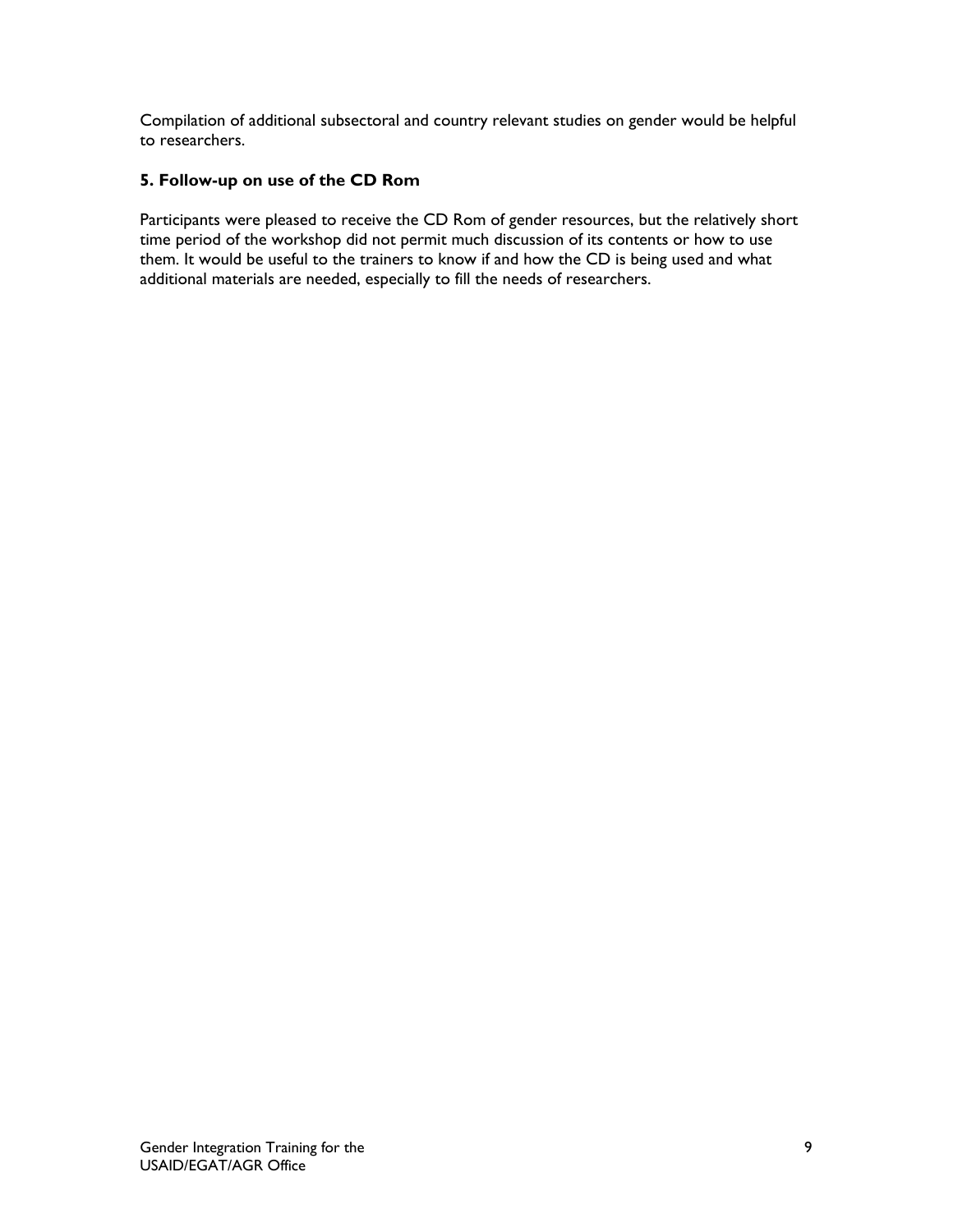Compilation of additional subsectoral and country relevant studies on gender would be helpful to researchers.

# **5. Follow-up on use of the CD Rom**

Participants were pleased to receive the CD Rom of gender resources, but the relatively short time period of the workshop did not permit much discussion of its contents or how to use them. It would be useful to the trainers to know if and how the CD is being used and what additional materials are needed, especially to fill the needs of researchers.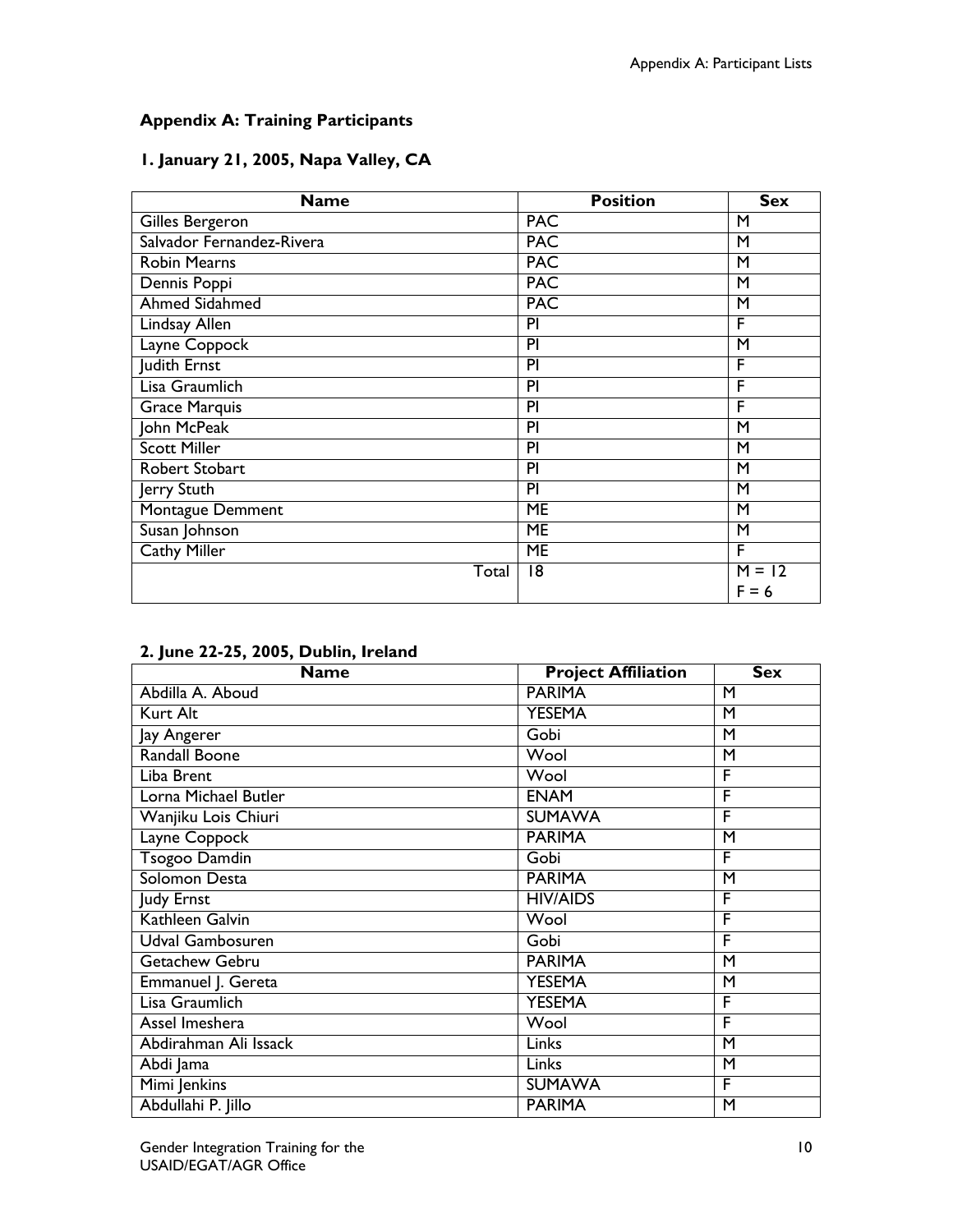# **Appendix A: Training Participants**

# **1. January 21, 2005, Napa Valley, CA**

| <b>Name</b>               | <b>Position</b> | <b>Sex</b> |
|---------------------------|-----------------|------------|
| Gilles Bergeron           | <b>PAC</b>      | М          |
| Salvador Fernandez-Rivera | <b>PAC</b>      | М          |
| <b>Robin Mearns</b>       | <b>PAC</b>      | M          |
| Dennis Poppi              | <b>PAC</b>      | М          |
| <b>Ahmed Sidahmed</b>     | <b>PAC</b>      | M          |
| Lindsay Allen             | PI              | F          |
| Layne Coppock             | PI              | M          |
| Judith Ernst              | PI              | F          |
| Lisa Graumlich            | PI              | F          |
| <b>Grace Marquis</b>      | PI              | F          |
| John McPeak               | PI              | M          |
| <b>Scott Miller</b>       | PI              | M          |
| Robert Stobart            | PI              | M          |
| Jerry Stuth               | $\overline{P}$  | M          |
| Montague Demment          | $\overline{ME}$ | M          |
| Susan Johnson             | <b>ME</b>       | M          |
| Cathy Miller              | <b>ME</b>       | F          |
| Total                     | 18              | $M = 12$   |
|                           |                 | $F = 6$    |

| <b>Name</b>           | <b>Project Affiliation</b> | <b>Sex</b> |
|-----------------------|----------------------------|------------|
| Abdilla A. Aboud      | <b>PARIMA</b>              | M          |
| Kurt Alt              | <b>YESEMA</b>              | M          |
| Jay Angerer           | Gobi                       | M          |
| Randall Boone         | Wool                       | M          |
| Liba Brent            | Wool                       | F          |
| Lorna Michael Butler  | <b>ENAM</b>                | F          |
| Wanjiku Lois Chiuri   | <b>SUMAWA</b>              | F          |
| Layne Coppock         | <b>PARIMA</b>              | M          |
| <b>Tsogoo Damdin</b>  | Gobi                       | F          |
| Solomon Desta         | <b>PARIMA</b>              | M          |
| Judy Ernst            | <b>HIV/AIDS</b>            | F          |
| Kathleen Galvin       | Wool                       | F          |
| Udval Gambosuren      | Gobi                       | F          |
| Getachew Gebru        | <b>PARIMA</b>              | M          |
| Emmanuel J. Gereta    | <b>YESEMA</b>              | M          |
| Lisa Graumlich        | <b>YESEMA</b>              | F          |
| Assel Imeshera        | Wool                       | F          |
| Abdirahman Ali Issack | Links                      | M          |
| Abdi Jama             | Links                      | M          |
| Mimi Jenkins          | <b>SUMAWA</b>              | F          |
| Abdullahi P. Jillo    | <b>PARIMA</b>              | M          |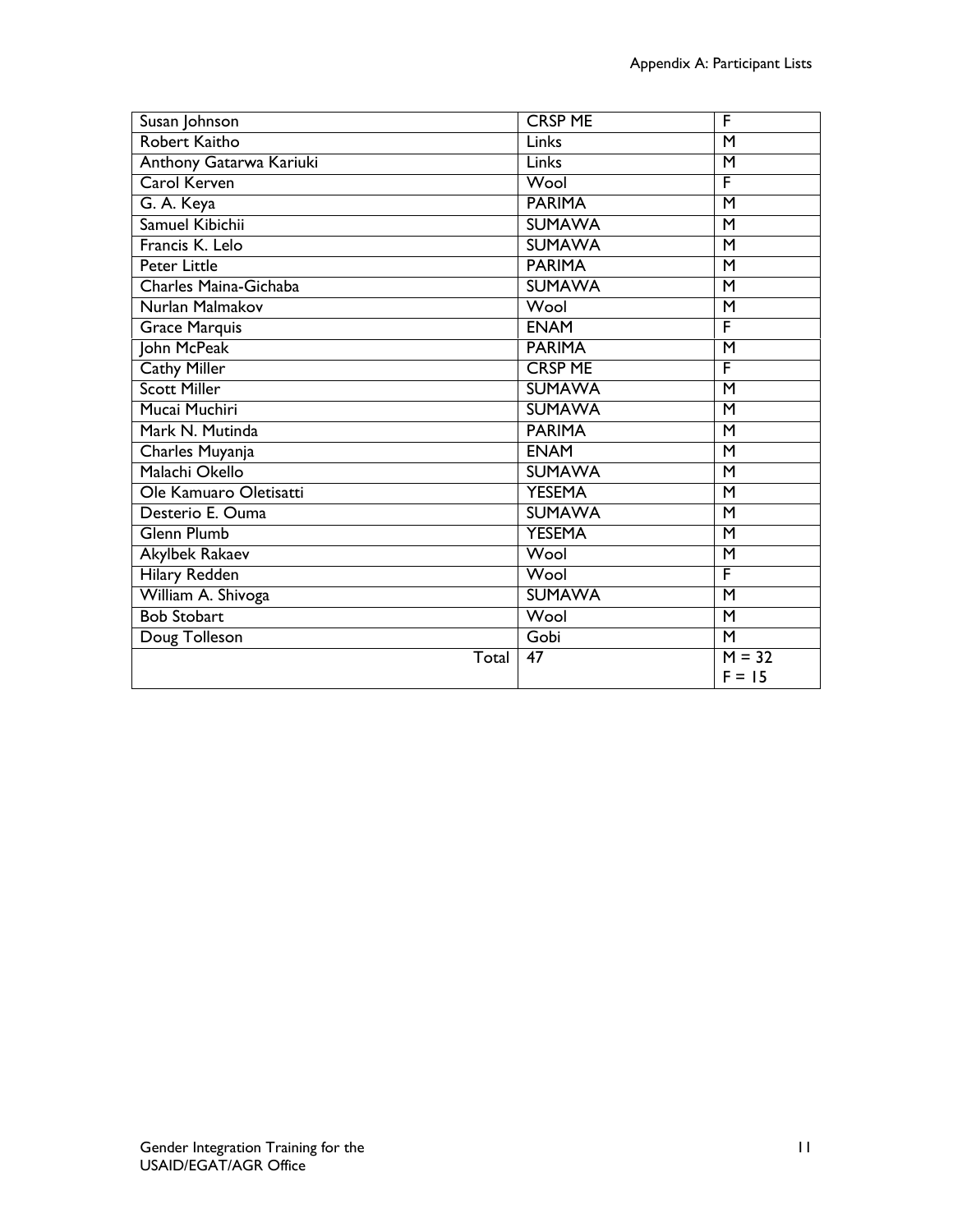| Susan Johnson           | <b>CRSP ME</b> | F                       |
|-------------------------|----------------|-------------------------|
| Robert Kaitho           | <b>Links</b>   | M                       |
| Anthony Gatarwa Kariuki | Links          | M                       |
| <b>Carol Kerven</b>     | Wool           | F                       |
| G. A. Keya              | <b>PARIMA</b>  | M                       |
| Samuel Kibichii         | <b>SUMAWA</b>  | M                       |
| Francis K. Lelo         | <b>SUMAWA</b>  | M                       |
| <b>Peter Little</b>     | <b>PARIMA</b>  | M                       |
| Charles Maina-Gichaba   | <b>SUMAWA</b>  | $\overline{\mathsf{M}}$ |
| Nurlan Malmakov         | Wool           | M                       |
| <b>Grace Marquis</b>    | <b>ENAM</b>    | F                       |
| John McPeak             | <b>PARIMA</b>  | M                       |
| <b>Cathy Miller</b>     | <b>CRSP ME</b> | F                       |
| <b>Scott Miller</b>     | <b>SUMAWA</b>  | M                       |
| Mucai Muchiri           | <b>SUMAWA</b>  | M                       |
| Mark N. Mutinda         | <b>PARIMA</b>  | M                       |
| Charles Muyanja         | <b>ENAM</b>    | M                       |
| Malachi Okello          | <b>SUMAWA</b>  | $\overline{\mathsf{M}}$ |
| Ole Kamuaro Oletisatti  | <b>YESEMA</b>  | M                       |
| Desterio E. Ouma        | <b>SUMAWA</b>  | M                       |
| <b>Glenn Plumb</b>      | <b>YESEMA</b>  | $\overline{\mathsf{M}}$ |
| Akylbek Rakaev          | Wool           | M                       |
| <b>Hilary Redden</b>    | Wool           | F                       |
| William A. Shivoga      | <b>SUMAWA</b>  | M                       |
| <b>Bob Stobart</b>      | Wool           | M                       |
| Doug Tolleson           | Gobi           | M                       |
| Total                   | 47             | $M = 32$                |
|                         |                | $F = 15$                |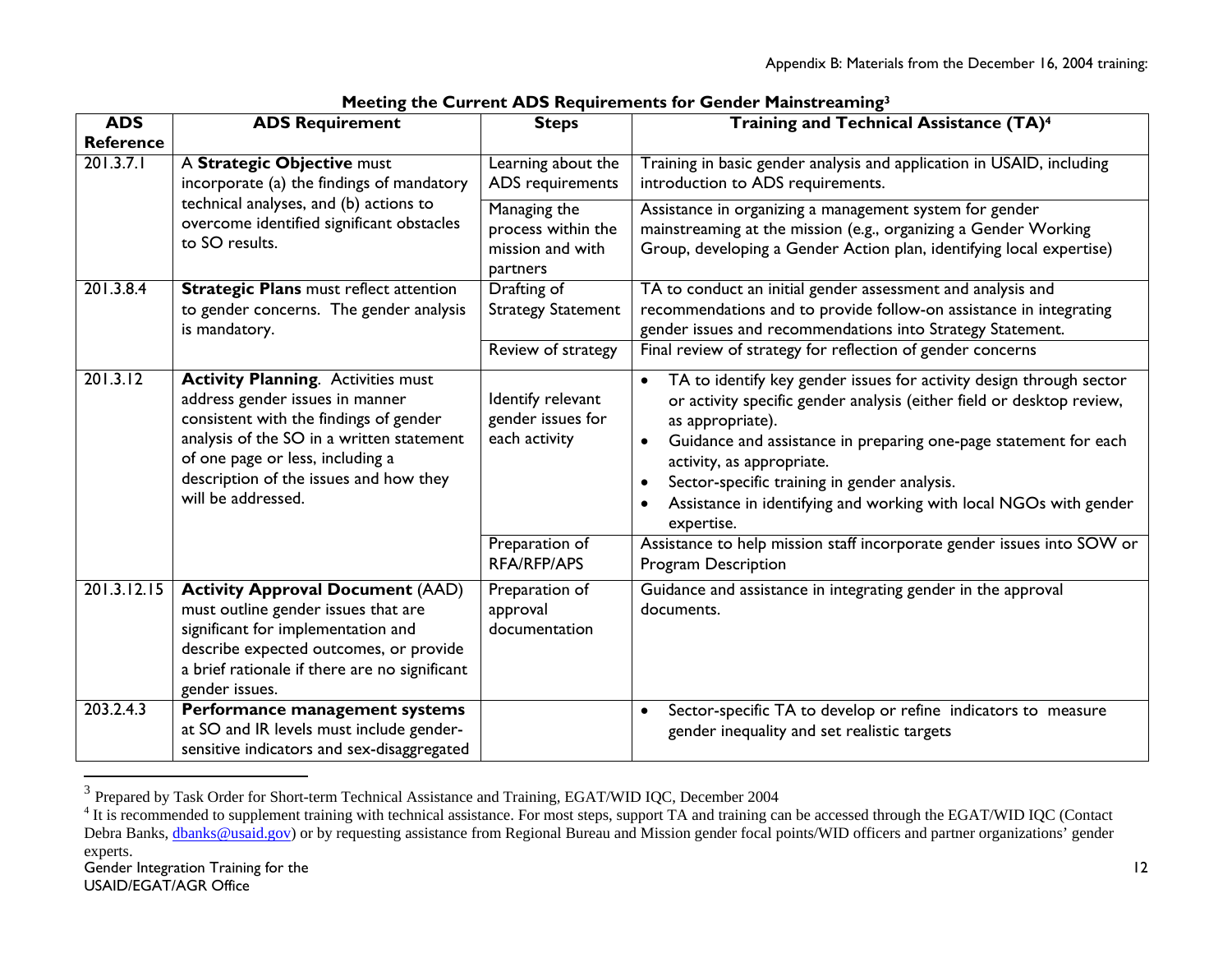| <b>ADS</b>                                               | <b>ADS Requirement</b>                                                                                                                                                                                                                                                  | <b>Steps</b>                                                                             | Training and Technical Assistance (TA) <sup>4</sup>                                                                                                                                                                                                                                                                                                                                                                                                                                                   |
|----------------------------------------------------------|-------------------------------------------------------------------------------------------------------------------------------------------------------------------------------------------------------------------------------------------------------------------------|------------------------------------------------------------------------------------------|-------------------------------------------------------------------------------------------------------------------------------------------------------------------------------------------------------------------------------------------------------------------------------------------------------------------------------------------------------------------------------------------------------------------------------------------------------------------------------------------------------|
| <b>Reference</b>                                         |                                                                                                                                                                                                                                                                         |                                                                                          |                                                                                                                                                                                                                                                                                                                                                                                                                                                                                                       |
| 201.3.7.1                                                | A Strategic Objective must<br>incorporate (a) the findings of mandatory                                                                                                                                                                                                 | Learning about the<br>ADS requirements                                                   | Training in basic gender analysis and application in USAID, including<br>introduction to ADS requirements.                                                                                                                                                                                                                                                                                                                                                                                            |
| technical analyses, and (b) actions to<br>to SO results. | overcome identified significant obstacles                                                                                                                                                                                                                               | Managing the<br>process within the<br>mission and with<br>partners                       | Assistance in organizing a management system for gender<br>mainstreaming at the mission (e.g., organizing a Gender Working<br>Group, developing a Gender Action plan, identifying local expertise)                                                                                                                                                                                                                                                                                                    |
| 201.3.8.4                                                | <b>Strategic Plans must reflect attention</b><br>to gender concerns. The gender analysis<br>is mandatory.                                                                                                                                                               | Drafting of<br><b>Strategy Statement</b>                                                 | TA to conduct an initial gender assessment and analysis and<br>recommendations and to provide follow-on assistance in integrating<br>gender issues and recommendations into Strategy Statement.                                                                                                                                                                                                                                                                                                       |
|                                                          |                                                                                                                                                                                                                                                                         | Review of strategy                                                                       | Final review of strategy for reflection of gender concerns                                                                                                                                                                                                                                                                                                                                                                                                                                            |
| 201.3.12                                                 | <b>Activity Planning.</b> Activities must<br>address gender issues in manner<br>consistent with the findings of gender<br>analysis of the SO in a written statement<br>of one page or less, including a<br>description of the issues and how they<br>will be addressed. | Identify relevant<br>gender issues for<br>each activity<br>Preparation of<br>RFA/RFP/APS | TA to identify key gender issues for activity design through sector<br>or activity specific gender analysis (either field or desktop review,<br>as appropriate).<br>Guidance and assistance in preparing one-page statement for each<br>activity, as appropriate.<br>Sector-specific training in gender analysis.<br>Assistance in identifying and working with local NGOs with gender<br>expertise.<br>Assistance to help mission staff incorporate gender issues into SOW or<br>Program Description |
| 201.3.12.15                                              | <b>Activity Approval Document (AAD)</b><br>must outline gender issues that are<br>significant for implementation and<br>describe expected outcomes, or provide<br>a brief rationale if there are no significant<br>gender issues.                                       | Preparation of<br>approval<br>documentation                                              | Guidance and assistance in integrating gender in the approval<br>documents.                                                                                                                                                                                                                                                                                                                                                                                                                           |
| 203.2.4.3                                                | Performance management systems<br>at SO and IR levels must include gender-<br>sensitive indicators and sex-disaggregated                                                                                                                                                |                                                                                          | Sector-specific TA to develop or refine indicators to measure<br>gender inequality and set realistic targets                                                                                                                                                                                                                                                                                                                                                                                          |

 $3$  Prepared by Task Order for Short-term Technical Assistance and Training, EGAT/WID IQC, December 2004

<sup>&</sup>lt;sup>4</sup> It is recommended to supplement training with technical assistance. For most steps, support TA and training can be accessed through the EGAT/WID IQC (Contact Debra Banks, dbanks@usaid.gov) or by requesting assistance from Regional Bureau and Mission gender focal points/WID officers and partner organizations' gender experts.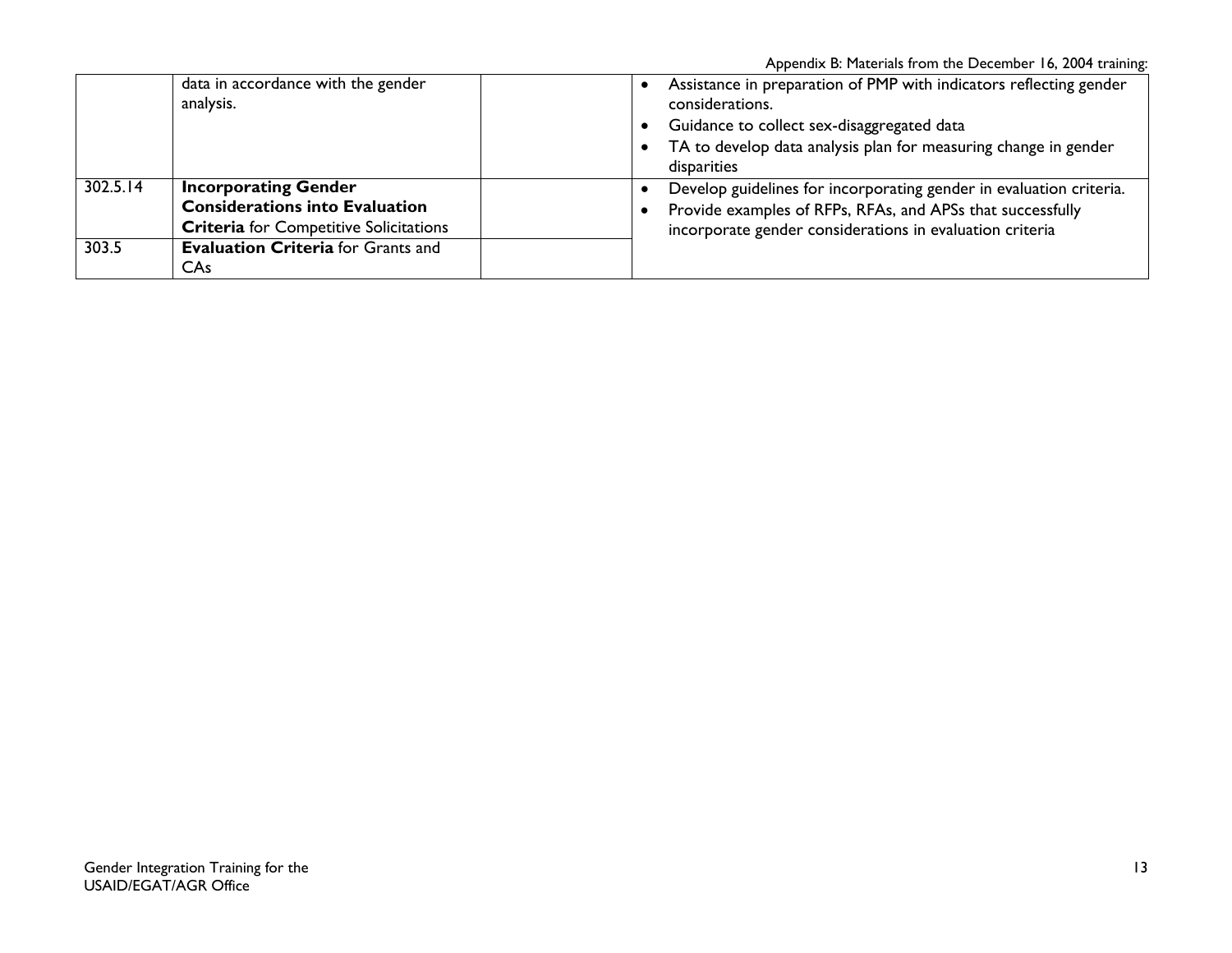Appendix B: Materials from the December 16, 2004 training:

|          | data in accordance with the gender<br>analysis.                                                                       | Assistance in preparation of PMP with indicators reflecting gender<br>considerations.<br>Guidance to collect sex-disaggregated data                                                           |
|----------|-----------------------------------------------------------------------------------------------------------------------|-----------------------------------------------------------------------------------------------------------------------------------------------------------------------------------------------|
|          |                                                                                                                       | TA to develop data analysis plan for measuring change in gender<br>disparities                                                                                                                |
| 302.5.14 | <b>Incorporating Gender</b><br><b>Considerations into Evaluation</b><br><b>Criteria</b> for Competitive Solicitations | Develop guidelines for incorporating gender in evaluation criteria.<br>Provide examples of RFPs, RFAs, and APSs that successfully<br>incorporate gender considerations in evaluation criteria |
| 303.5    | <b>Evaluation Criteria</b> for Grants and<br>CAs                                                                      |                                                                                                                                                                                               |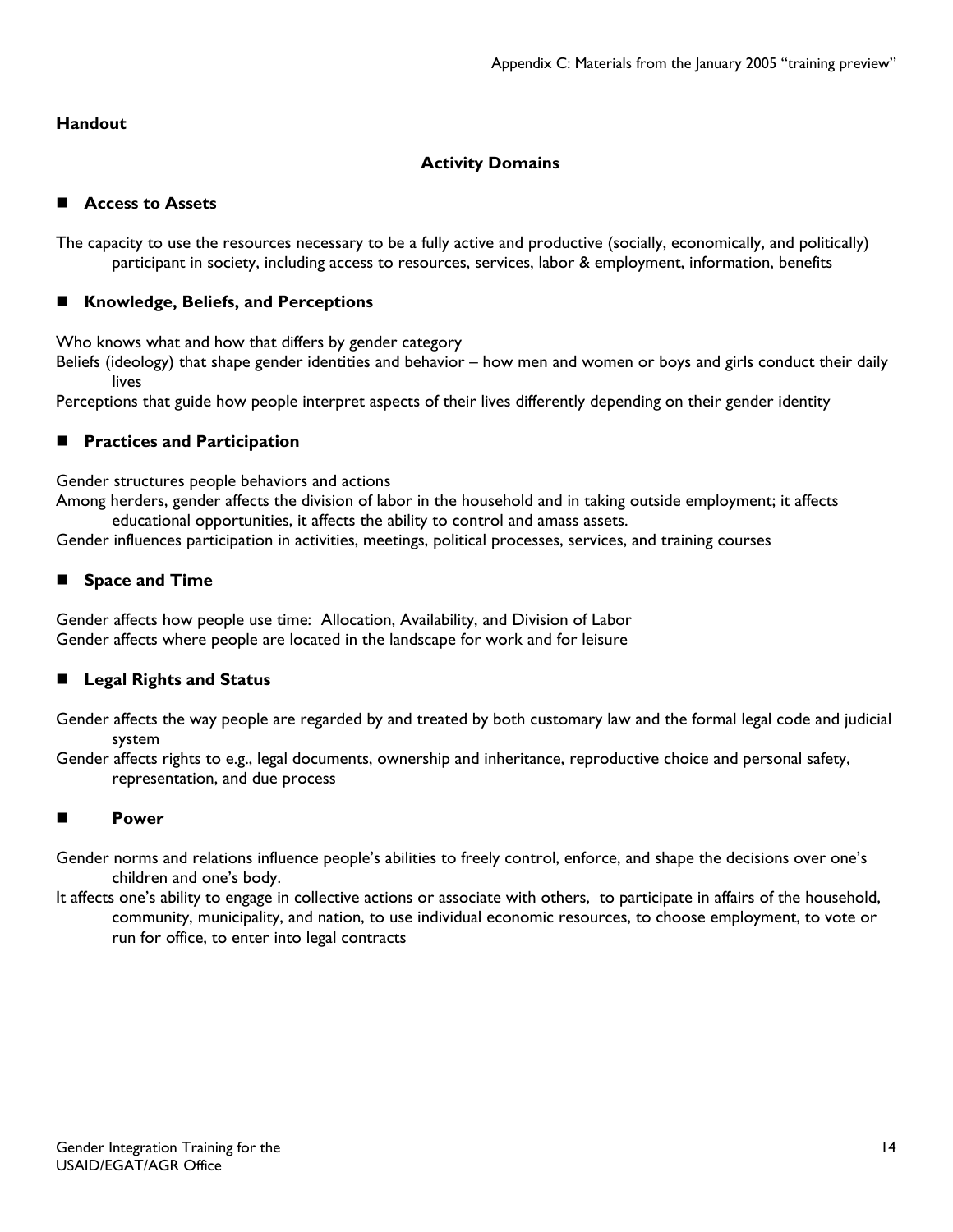# **Handout**

# **Activity Domains**

# **Access to Assets**

The capacity to use the resources necessary to be a fully active and productive (socially, economically, and politically) participant in society, including access to resources, services, labor & employment, information, benefits

# **Knowledge, Beliefs, and Perceptions**

Who knows what and how that differs by gender category

Beliefs (ideology) that shape gender identities and behavior – how men and women or boys and girls conduct their daily lives

Perceptions that guide how people interpret aspects of their lives differently depending on their gender identity

# **Practices and Participation**

Gender structures people behaviors and actions

Among herders, gender affects the division of labor in the household and in taking outside employment; it affects educational opportunities, it affects the ability to control and amass assets.

Gender influences participation in activities, meetings, political processes, services, and training courses

# **Space and Time**

Gender affects how people use time: Allocation, Availability, and Division of Labor Gender affects where people are located in the landscape for work and for leisure

# **Legal Rights and Status**

Gender affects the way people are regarded by and treated by both customary law and the formal legal code and judicial system

Gender affects rights to e.g., legal documents, ownership and inheritance, reproductive choice and personal safety, representation, and due process

# **Power**

- Gender norms and relations influence people's abilities to freely control, enforce, and shape the decisions over one's children and one's body.
- It affects one's ability to engage in collective actions or associate with others, to participate in affairs of the household, community, municipality, and nation, to use individual economic resources, to choose employment, to vote or run for office, to enter into legal contracts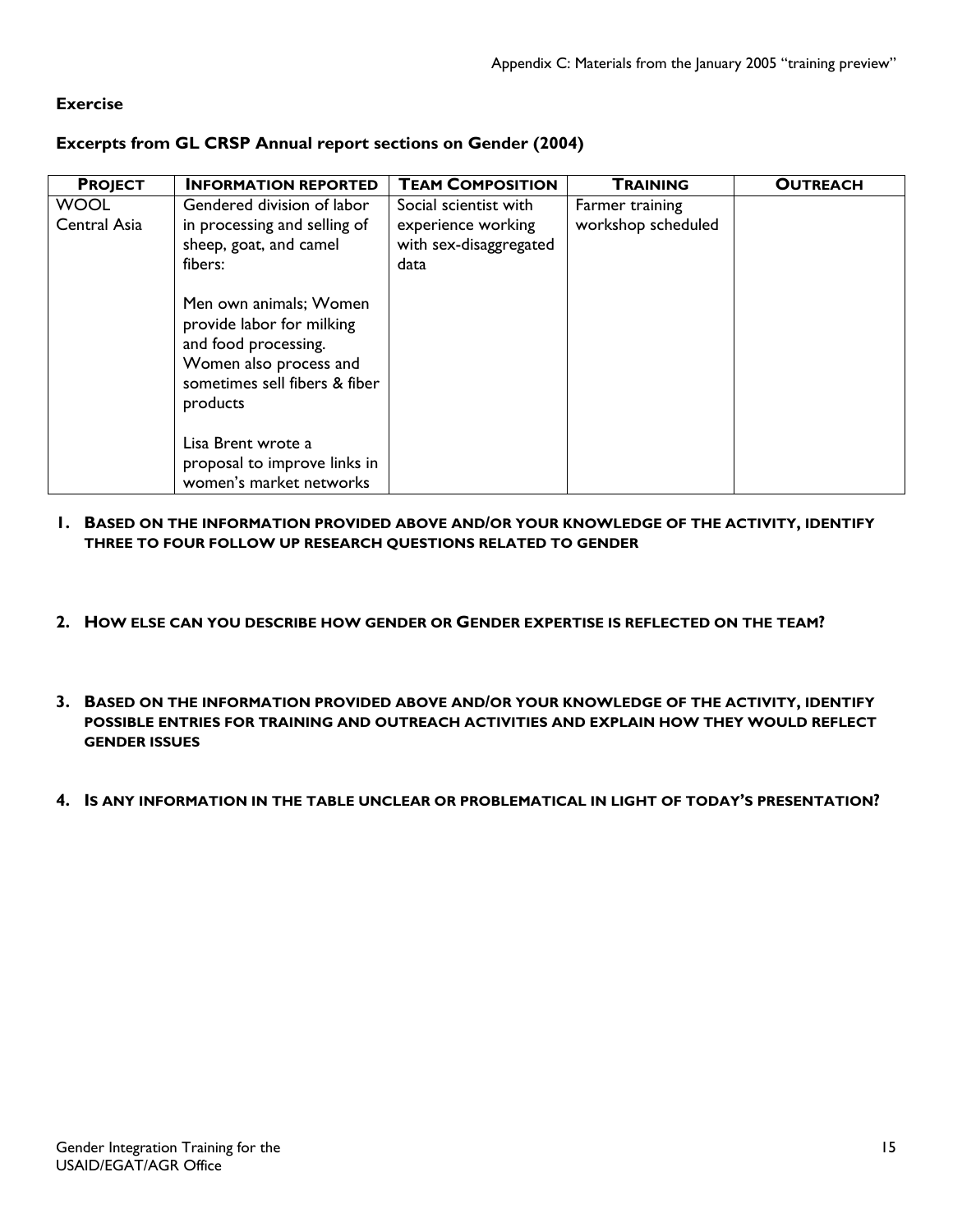## **Exercise**

#### **Excerpts from GL CRSP Annual report sections on Gender (2004)**

| <b>PROJECT</b>              | <b>INFORMATION REPORTED</b>                                                                                                                                                                                                                           | <b>TEAM COMPOSITION</b>                                                       | <b>TRAINING</b>                       | <b>OUTREACH</b> |
|-----------------------------|-------------------------------------------------------------------------------------------------------------------------------------------------------------------------------------------------------------------------------------------------------|-------------------------------------------------------------------------------|---------------------------------------|-----------------|
| <b>WOOL</b><br>Central Asia | Gendered division of labor<br>in processing and selling of<br>sheep, goat, and camel<br>fibers:<br>Men own animals; Women<br>provide labor for milking<br>and food processing.<br>Women also process and<br>sometimes sell fibers & fiber<br>products | Social scientist with<br>experience working<br>with sex-disaggregated<br>data | Farmer training<br>workshop scheduled |                 |
|                             | Lisa Brent wrote a<br>proposal to improve links in<br>women's market networks                                                                                                                                                                         |                                                                               |                                       |                 |

- **1. BASED ON THE INFORMATION PROVIDED ABOVE AND/OR YOUR KNOWLEDGE OF THE ACTIVITY, IDENTIFY THREE TO FOUR FOLLOW UP RESEARCH QUESTIONS RELATED TO GENDER**
- **2. HOW ELSE CAN YOU DESCRIBE HOW GENDER OR GENDER EXPERTISE IS REFLECTED ON THE TEAM?**
- **3. BASED ON THE INFORMATION PROVIDED ABOVE AND/OR YOUR KNOWLEDGE OF THE ACTIVITY, IDENTIFY POSSIBLE ENTRIES FOR TRAINING AND OUTREACH ACTIVITIES AND EXPLAIN HOW THEY WOULD REFLECT GENDER ISSUES**
- **4. IS ANY INFORMATION IN THE TABLE UNCLEAR OR PROBLEMATICAL IN LIGHT OF TODAY'S PRESENTATION?**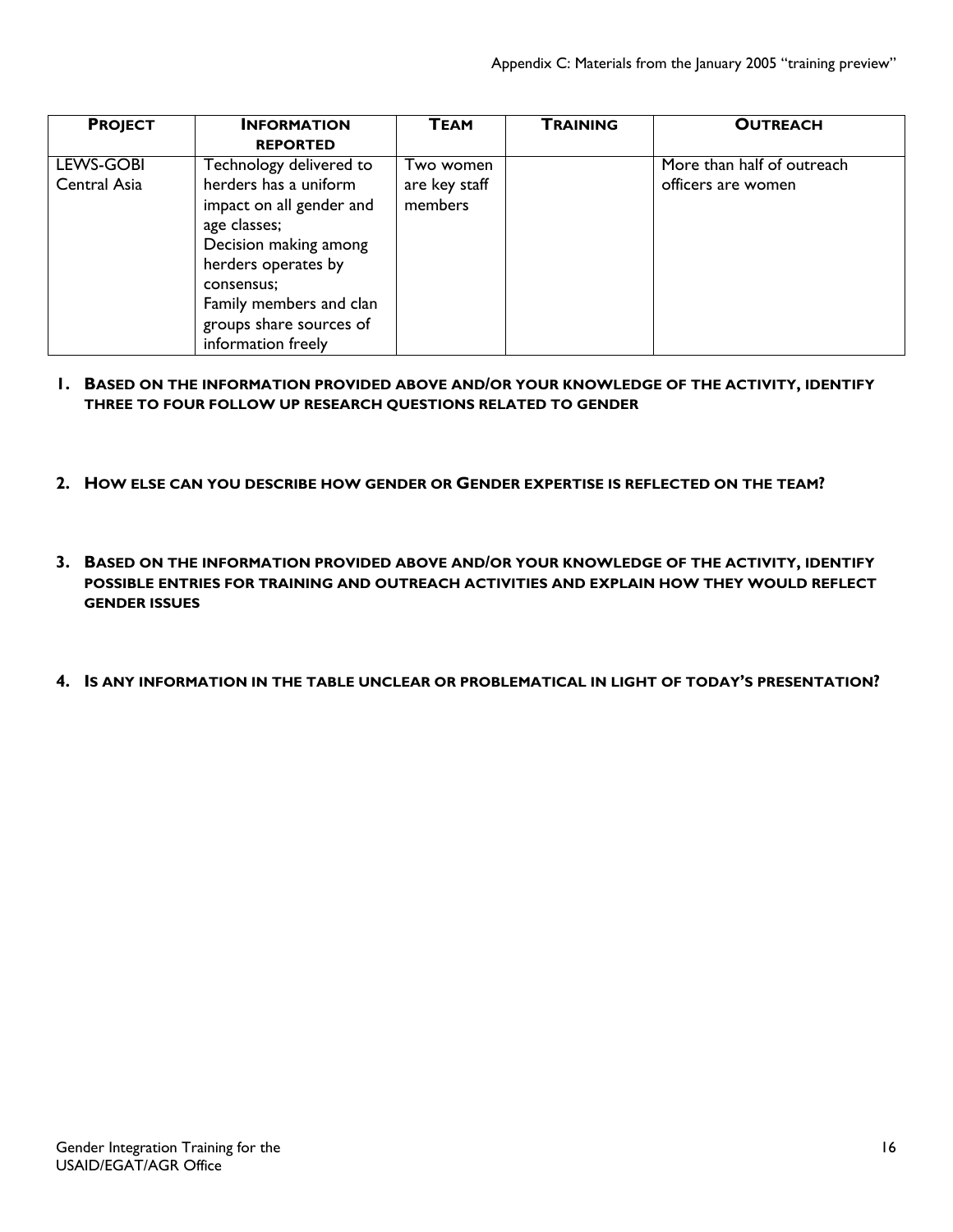| <b>PROJECT</b> | <b>INFORMATION</b>       | <b>TEAM</b>   | <b>TRAINING</b> | <b>OUTREACH</b>            |
|----------------|--------------------------|---------------|-----------------|----------------------------|
|                | <b>REPORTED</b>          |               |                 |                            |
| LEWS-GOBI      | Technology delivered to  | Two women     |                 | More than half of outreach |
| Central Asia   | herders has a uniform    | are key staff |                 | officers are women         |
|                | impact on all gender and | members       |                 |                            |
|                | age classes;             |               |                 |                            |
|                | Decision making among    |               |                 |                            |
|                | herders operates by      |               |                 |                            |
|                | consensus;               |               |                 |                            |
|                | Family members and clan  |               |                 |                            |
|                | groups share sources of  |               |                 |                            |
|                | information freely       |               |                 |                            |

- **1. BASED ON THE INFORMATION PROVIDED ABOVE AND/OR YOUR KNOWLEDGE OF THE ACTIVITY, IDENTIFY THREE TO FOUR FOLLOW UP RESEARCH QUESTIONS RELATED TO GENDER**
- **2. HOW ELSE CAN YOU DESCRIBE HOW GENDER OR GENDER EXPERTISE IS REFLECTED ON THE TEAM?**
- **3. BASED ON THE INFORMATION PROVIDED ABOVE AND/OR YOUR KNOWLEDGE OF THE ACTIVITY, IDENTIFY POSSIBLE ENTRIES FOR TRAINING AND OUTREACH ACTIVITIES AND EXPLAIN HOW THEY WOULD REFLECT GENDER ISSUES**
- **4. IS ANY INFORMATION IN THE TABLE UNCLEAR OR PROBLEMATICAL IN LIGHT OF TODAY'S PRESENTATION?**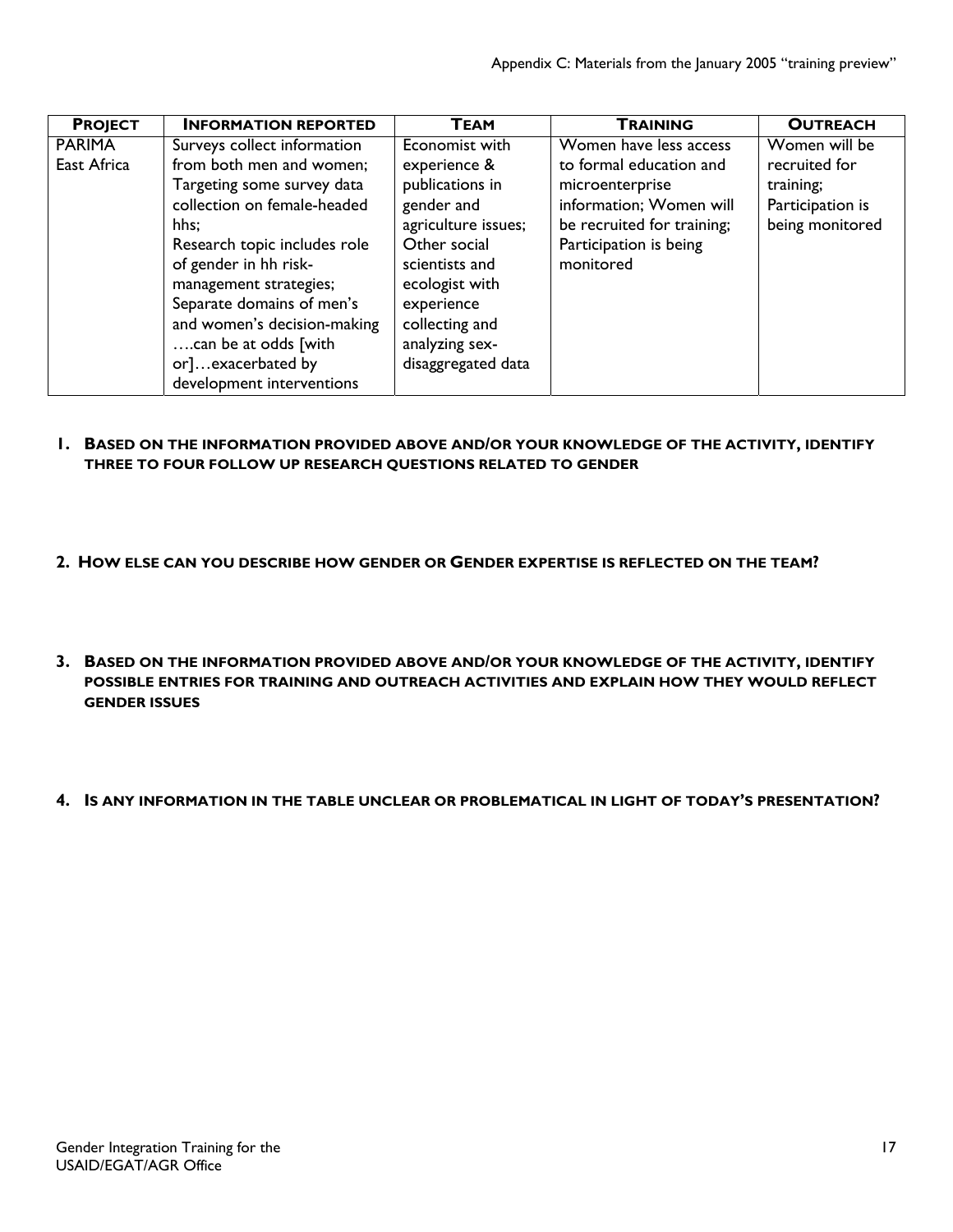| <b>PROJECT</b> | <b>INFORMATION REPORTED</b>  | ТЕАМ                | <b>TRAINING</b>            | <b>OUTREACH</b>  |
|----------------|------------------------------|---------------------|----------------------------|------------------|
| <b>PARIMA</b>  | Surveys collect information  | Economist with      | Women have less access     | Women will be    |
| East Africa    | from both men and women;     | experience &        | to formal education and    | recruited for    |
|                | Targeting some survey data   | publications in     | microenterprise            | training;        |
|                | collection on female-headed  | gender and          | information; Women will    | Participation is |
|                | hhs:                         | agriculture issues; | be recruited for training; | being monitored  |
|                | Research topic includes role | Other social        | Participation is being     |                  |
|                | of gender in hh risk-        | scientists and      | monitored                  |                  |
|                | management strategies;       | ecologist with      |                            |                  |
|                | Separate domains of men's    | experience          |                            |                  |
|                | and women's decision-making  | collecting and      |                            |                  |
|                | can be at odds [with         | analyzing sex-      |                            |                  |
|                | or]exacerbated by            | disaggregated data  |                            |                  |
|                | development interventions    |                     |                            |                  |

- **1. BASED ON THE INFORMATION PROVIDED ABOVE AND/OR YOUR KNOWLEDGE OF THE ACTIVITY, IDENTIFY THREE TO FOUR FOLLOW UP RESEARCH QUESTIONS RELATED TO GENDER**
- **2. HOW ELSE CAN YOU DESCRIBE HOW GENDER OR GENDER EXPERTISE IS REFLECTED ON THE TEAM?**
- **3. BASED ON THE INFORMATION PROVIDED ABOVE AND/OR YOUR KNOWLEDGE OF THE ACTIVITY, IDENTIFY POSSIBLE ENTRIES FOR TRAINING AND OUTREACH ACTIVITIES AND EXPLAIN HOW THEY WOULD REFLECT GENDER ISSUES**
- **4. IS ANY INFORMATION IN THE TABLE UNCLEAR OR PROBLEMATICAL IN LIGHT OF TODAY'S PRESENTATION?**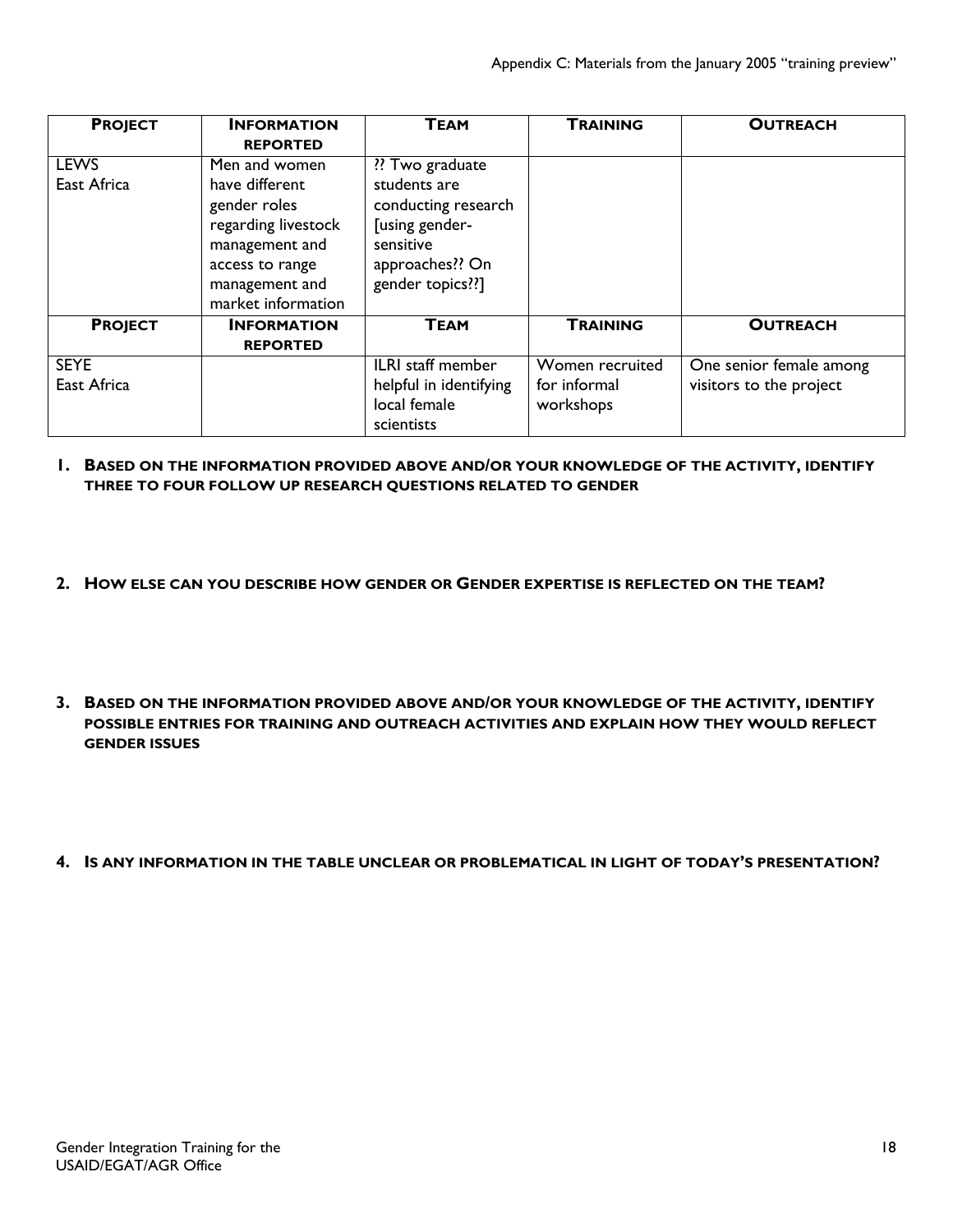| <b>PROJECT</b>             | <b>INFORMATION</b><br><b>REPORTED</b>                                                                                              | <b>TEAM</b>                                                                                                      | <b>TRAINING</b>                              | <b>OUTREACH</b>                                    |
|----------------------------|------------------------------------------------------------------------------------------------------------------------------------|------------------------------------------------------------------------------------------------------------------|----------------------------------------------|----------------------------------------------------|
| <b>LEWS</b>                | Men and women                                                                                                                      | ?? Two graduate                                                                                                  |                                              |                                                    |
| East Africa                | have different<br>gender roles<br>regarding livestock<br>management and<br>access to range<br>management and<br>market information | students are<br>conducting research<br><b>Jusing gender-</b><br>sensitive<br>approaches?? On<br>gender topics??] |                                              |                                                    |
| <b>PROJECT</b>             | <b>INFORMATION</b>                                                                                                                 | <b>TEAM</b>                                                                                                      | <b>TRAINING</b>                              | <b>OUTREACH</b>                                    |
|                            | <b>REPORTED</b>                                                                                                                    |                                                                                                                  |                                              |                                                    |
| <b>SEYE</b><br>East Africa |                                                                                                                                    | ILRI staff member<br>helpful in identifying<br>local female                                                      | Women recruited<br>for informal<br>workshops | One senior female among<br>visitors to the project |
|                            |                                                                                                                                    | scientists                                                                                                       |                                              |                                                    |

#### **1. BASED ON THE INFORMATION PROVIDED ABOVE AND/OR YOUR KNOWLEDGE OF THE ACTIVITY, IDENTIFY THREE TO FOUR FOLLOW UP RESEARCH QUESTIONS RELATED TO GENDER**

- **2. HOW ELSE CAN YOU DESCRIBE HOW GENDER OR GENDER EXPERTISE IS REFLECTED ON THE TEAM?**
- **3. BASED ON THE INFORMATION PROVIDED ABOVE AND/OR YOUR KNOWLEDGE OF THE ACTIVITY, IDENTIFY POSSIBLE ENTRIES FOR TRAINING AND OUTREACH ACTIVITIES AND EXPLAIN HOW THEY WOULD REFLECT GENDER ISSUES**
- **4. IS ANY INFORMATION IN THE TABLE UNCLEAR OR PROBLEMATICAL IN LIGHT OF TODAY'S PRESENTATION?**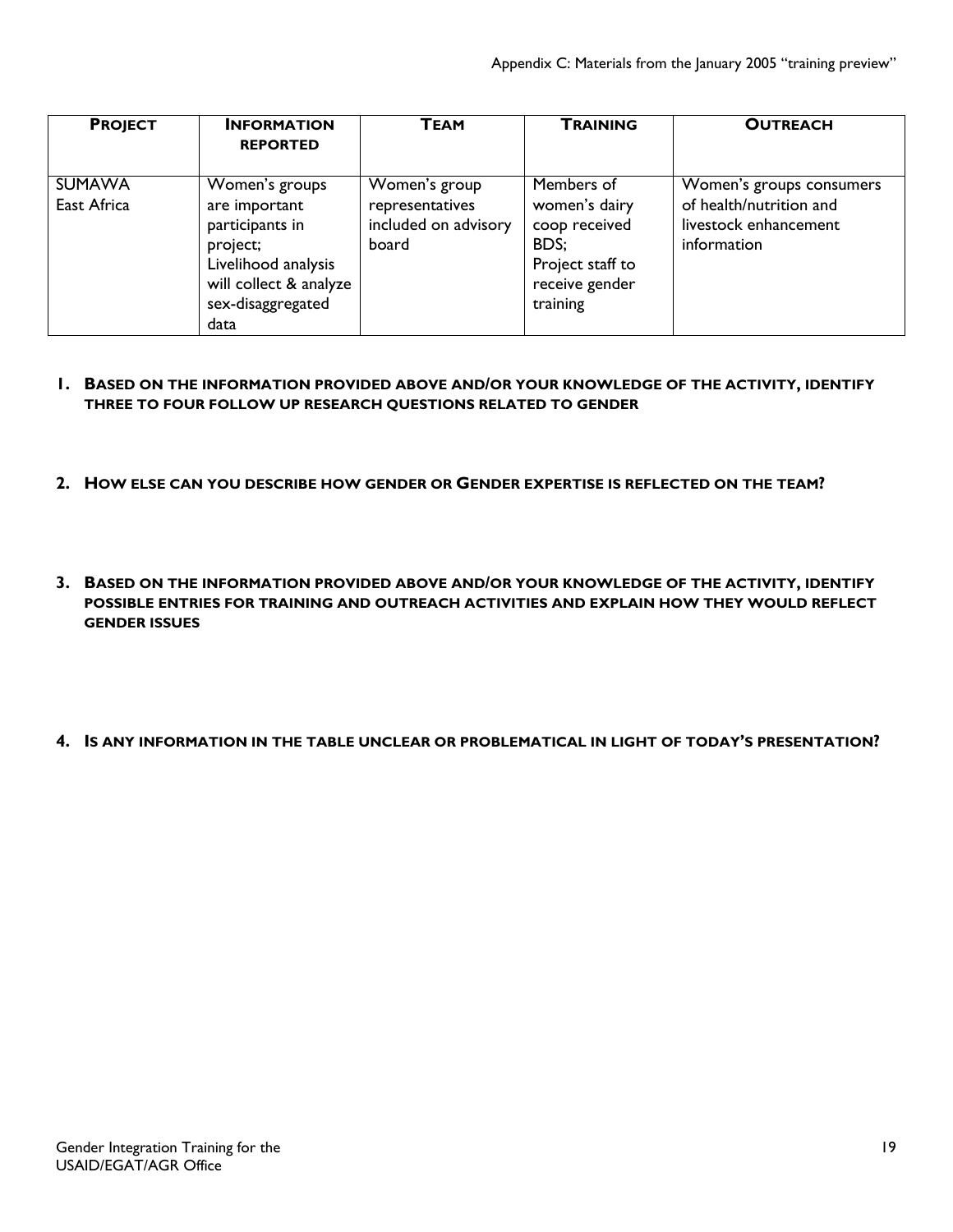| <b>PROJECT</b>               | <b>INFORMATION</b><br><b>REPORTED</b>                                                                                                        | <b>TEAM</b>                                                       | <b>TRAINING</b>                                                                                        | <b>OUTREACH</b>                                                                             |
|------------------------------|----------------------------------------------------------------------------------------------------------------------------------------------|-------------------------------------------------------------------|--------------------------------------------------------------------------------------------------------|---------------------------------------------------------------------------------------------|
| <b>SUMAWA</b><br>East Africa | Women's groups<br>are important<br>participants in<br>project;<br>Livelihood analysis<br>will collect & analyze<br>sex-disaggregated<br>data | Women's group<br>representatives<br>included on advisory<br>board | Members of<br>women's dairy<br>coop received<br>BDS:<br>Project staff to<br>receive gender<br>training | Women's groups consumers<br>of health/nutrition and<br>livestock enhancement<br>information |

#### **1. BASED ON THE INFORMATION PROVIDED ABOVE AND/OR YOUR KNOWLEDGE OF THE ACTIVITY, IDENTIFY THREE TO FOUR FOLLOW UP RESEARCH QUESTIONS RELATED TO GENDER**

- **2. HOW ELSE CAN YOU DESCRIBE HOW GENDER OR GENDER EXPERTISE IS REFLECTED ON THE TEAM?**
- **3. BASED ON THE INFORMATION PROVIDED ABOVE AND/OR YOUR KNOWLEDGE OF THE ACTIVITY, IDENTIFY POSSIBLE ENTRIES FOR TRAINING AND OUTREACH ACTIVITIES AND EXPLAIN HOW THEY WOULD REFLECT GENDER ISSUES**
- **4. IS ANY INFORMATION IN THE TABLE UNCLEAR OR PROBLEMATICAL IN LIGHT OF TODAY'S PRESENTATION?**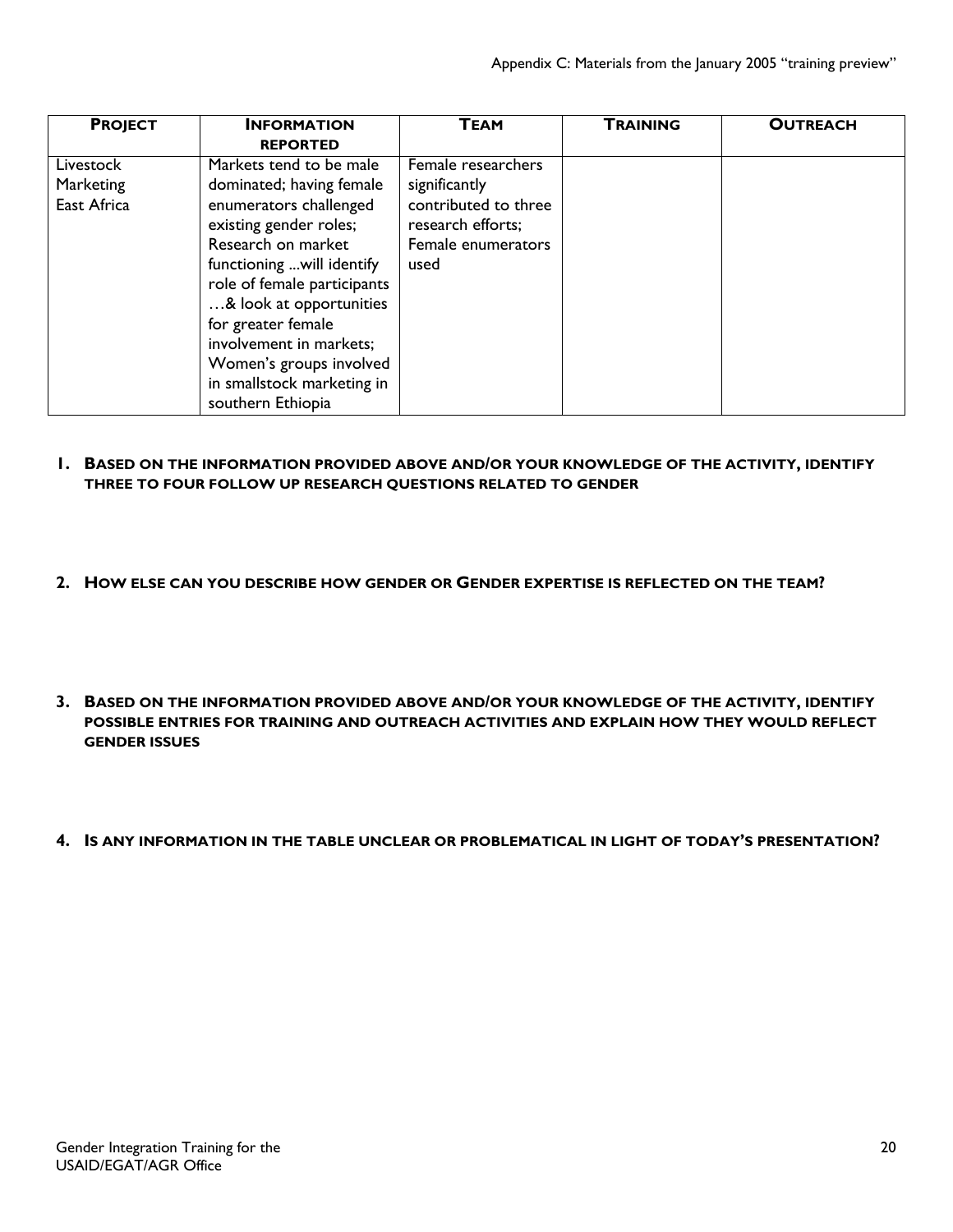| <b>PROJECT</b> | <b>INFORMATION</b>          | ТЕАМ                 | <b>TRAINING</b> | <b>OUTREACH</b> |
|----------------|-----------------------------|----------------------|-----------------|-----------------|
|                | <b>REPORTED</b>             |                      |                 |                 |
| Livestock      | Markets tend to be male     | Female researchers   |                 |                 |
| Marketing      | dominated; having female    | significantly        |                 |                 |
| East Africa    | enumerators challenged      | contributed to three |                 |                 |
|                | existing gender roles;      | research efforts;    |                 |                 |
|                | Research on market          | Female enumerators   |                 |                 |
|                | functioning  will identify  | used                 |                 |                 |
|                | role of female participants |                      |                 |                 |
|                | & look at opportunities     |                      |                 |                 |
|                | for greater female          |                      |                 |                 |
|                | involvement in markets;     |                      |                 |                 |
|                | Women's groups involved     |                      |                 |                 |
|                | in smallstock marketing in  |                      |                 |                 |
|                | southern Ethiopia           |                      |                 |                 |

- **1. BASED ON THE INFORMATION PROVIDED ABOVE AND/OR YOUR KNOWLEDGE OF THE ACTIVITY, IDENTIFY THREE TO FOUR FOLLOW UP RESEARCH QUESTIONS RELATED TO GENDER**
- **2. HOW ELSE CAN YOU DESCRIBE HOW GENDER OR GENDER EXPERTISE IS REFLECTED ON THE TEAM?**
- **3. BASED ON THE INFORMATION PROVIDED ABOVE AND/OR YOUR KNOWLEDGE OF THE ACTIVITY, IDENTIFY POSSIBLE ENTRIES FOR TRAINING AND OUTREACH ACTIVITIES AND EXPLAIN HOW THEY WOULD REFLECT GENDER ISSUES**
- **4. IS ANY INFORMATION IN THE TABLE UNCLEAR OR PROBLEMATICAL IN LIGHT OF TODAY'S PRESENTATION?**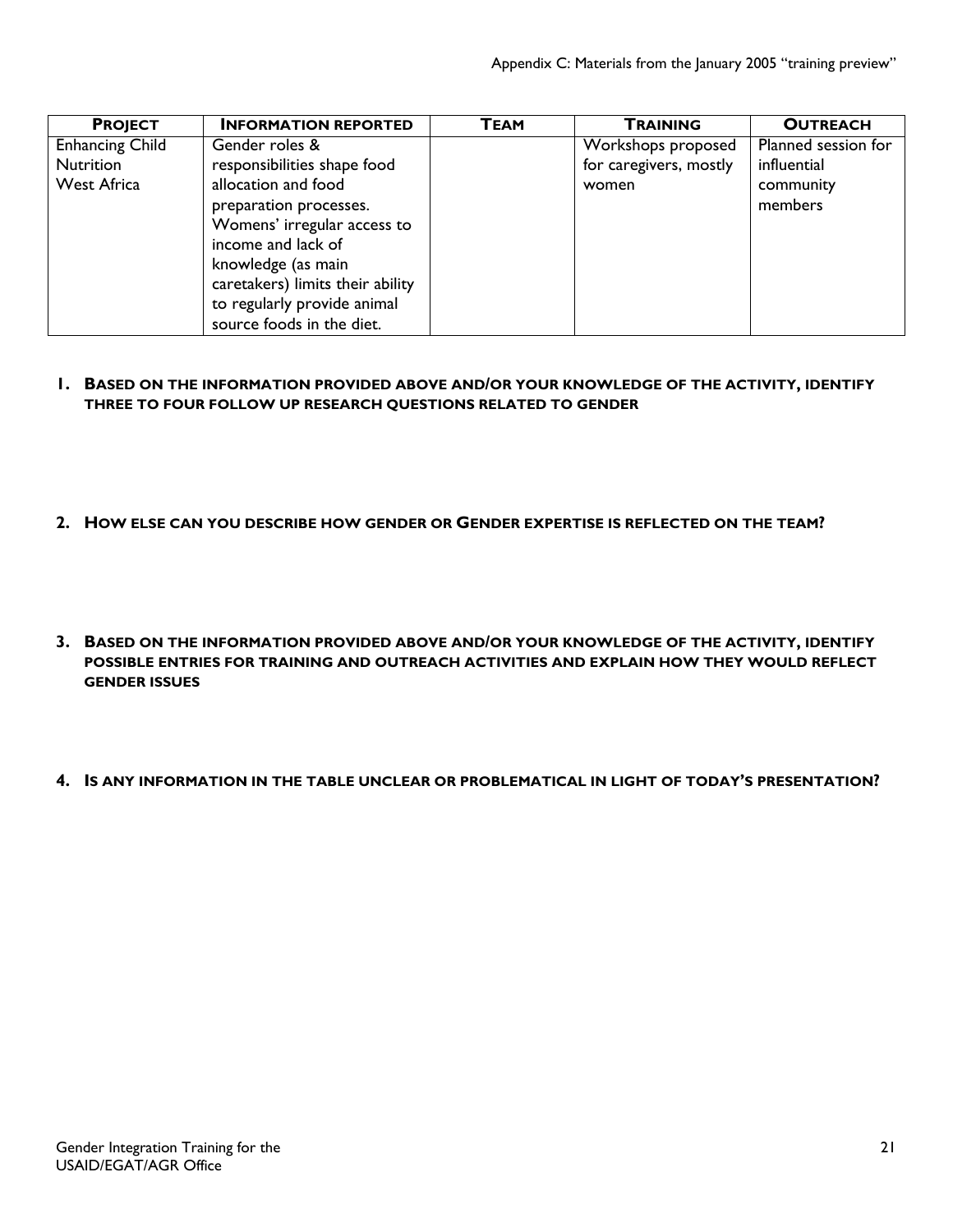| <b>PROJECT</b>         | <b>INFORMATION REPORTED</b>      | <b>TEAM</b> | <b>TRAINING</b>        | <b>OUTREACH</b>     |
|------------------------|----------------------------------|-------------|------------------------|---------------------|
| <b>Enhancing Child</b> | Gender roles &                   |             | Workshops proposed     | Planned session for |
| <b>Nutrition</b>       | responsibilities shape food      |             | for caregivers, mostly | influential         |
| <b>West Africa</b>     | allocation and food              |             | women                  | community           |
|                        | preparation processes.           |             |                        | members             |
|                        | Womens' irregular access to      |             |                        |                     |
|                        | income and lack of               |             |                        |                     |
|                        | knowledge (as main               |             |                        |                     |
|                        | caretakers) limits their ability |             |                        |                     |
|                        | to regularly provide animal      |             |                        |                     |
|                        | source foods in the diet.        |             |                        |                     |

- **1. BASED ON THE INFORMATION PROVIDED ABOVE AND/OR YOUR KNOWLEDGE OF THE ACTIVITY, IDENTIFY THREE TO FOUR FOLLOW UP RESEARCH QUESTIONS RELATED TO GENDER**
- **2. HOW ELSE CAN YOU DESCRIBE HOW GENDER OR GENDER EXPERTISE IS REFLECTED ON THE TEAM?**
- **3. BASED ON THE INFORMATION PROVIDED ABOVE AND/OR YOUR KNOWLEDGE OF THE ACTIVITY, IDENTIFY POSSIBLE ENTRIES FOR TRAINING AND OUTREACH ACTIVITIES AND EXPLAIN HOW THEY WOULD REFLECT GENDER ISSUES**
- **4. IS ANY INFORMATION IN THE TABLE UNCLEAR OR PROBLEMATICAL IN LIGHT OF TODAY'S PRESENTATION?**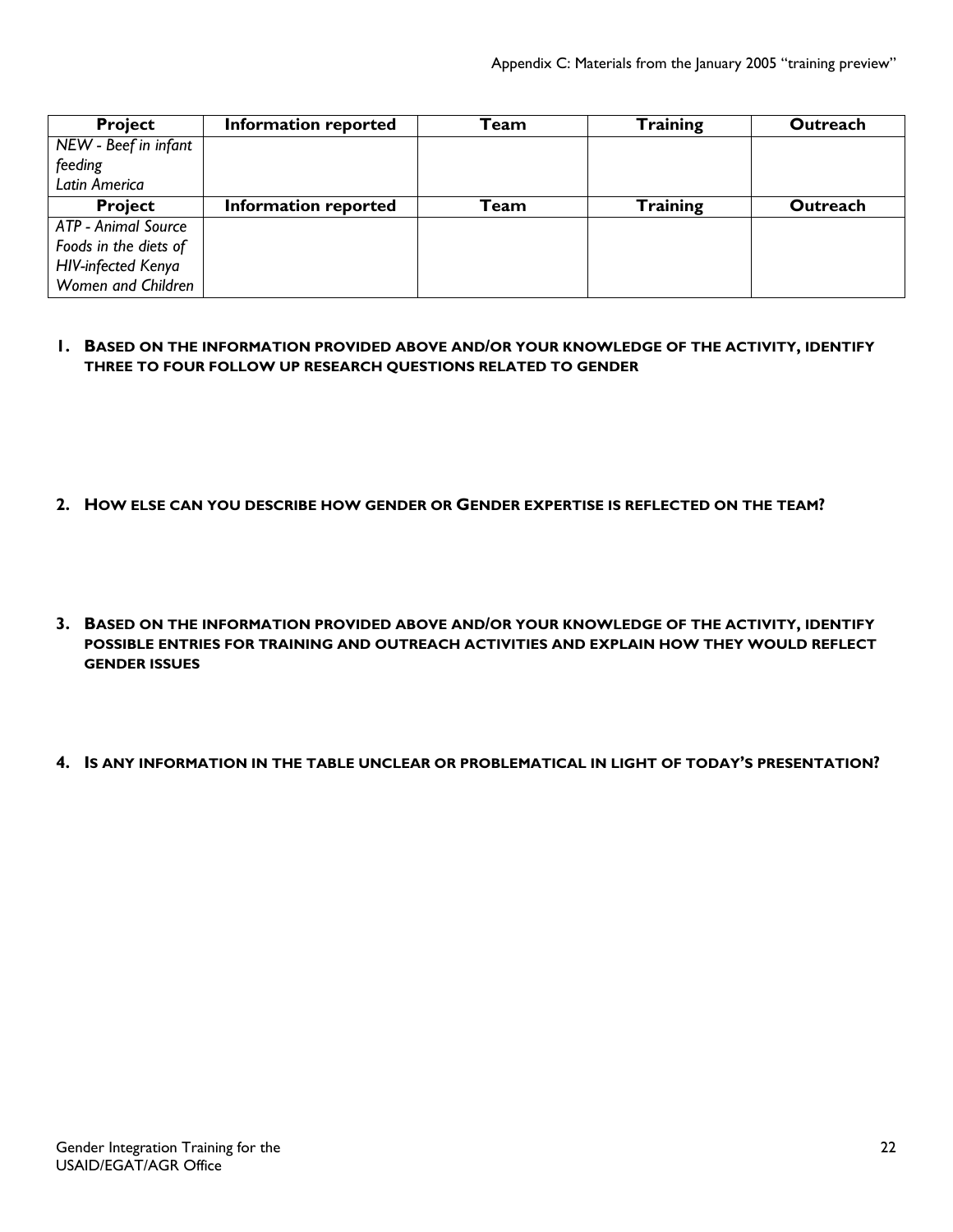| <b>Project</b>             | Information reported | Team | <b>Training</b> | Outreach |
|----------------------------|----------------------|------|-----------------|----------|
| NEW - Beef in infant       |                      |      |                 |          |
| feeding                    |                      |      |                 |          |
| Latin America              |                      |      |                 |          |
| <b>Project</b>             | Information reported | Team | <b>Training</b> | Outreach |
| <b>ATP - Animal Source</b> |                      |      |                 |          |
| Foods in the diets of      |                      |      |                 |          |
| <b>HIV-infected Kenya</b>  |                      |      |                 |          |
| Women and Children         |                      |      |                 |          |

#### **1. BASED ON THE INFORMATION PROVIDED ABOVE AND/OR YOUR KNOWLEDGE OF THE ACTIVITY, IDENTIFY THREE TO FOUR FOLLOW UP RESEARCH QUESTIONS RELATED TO GENDER**

- **2. HOW ELSE CAN YOU DESCRIBE HOW GENDER OR GENDER EXPERTISE IS REFLECTED ON THE TEAM?**
- **3. BASED ON THE INFORMATION PROVIDED ABOVE AND/OR YOUR KNOWLEDGE OF THE ACTIVITY, IDENTIFY POSSIBLE ENTRIES FOR TRAINING AND OUTREACH ACTIVITIES AND EXPLAIN HOW THEY WOULD REFLECT GENDER ISSUES**
- **4. IS ANY INFORMATION IN THE TABLE UNCLEAR OR PROBLEMATICAL IN LIGHT OF TODAY'S PRESENTATION?**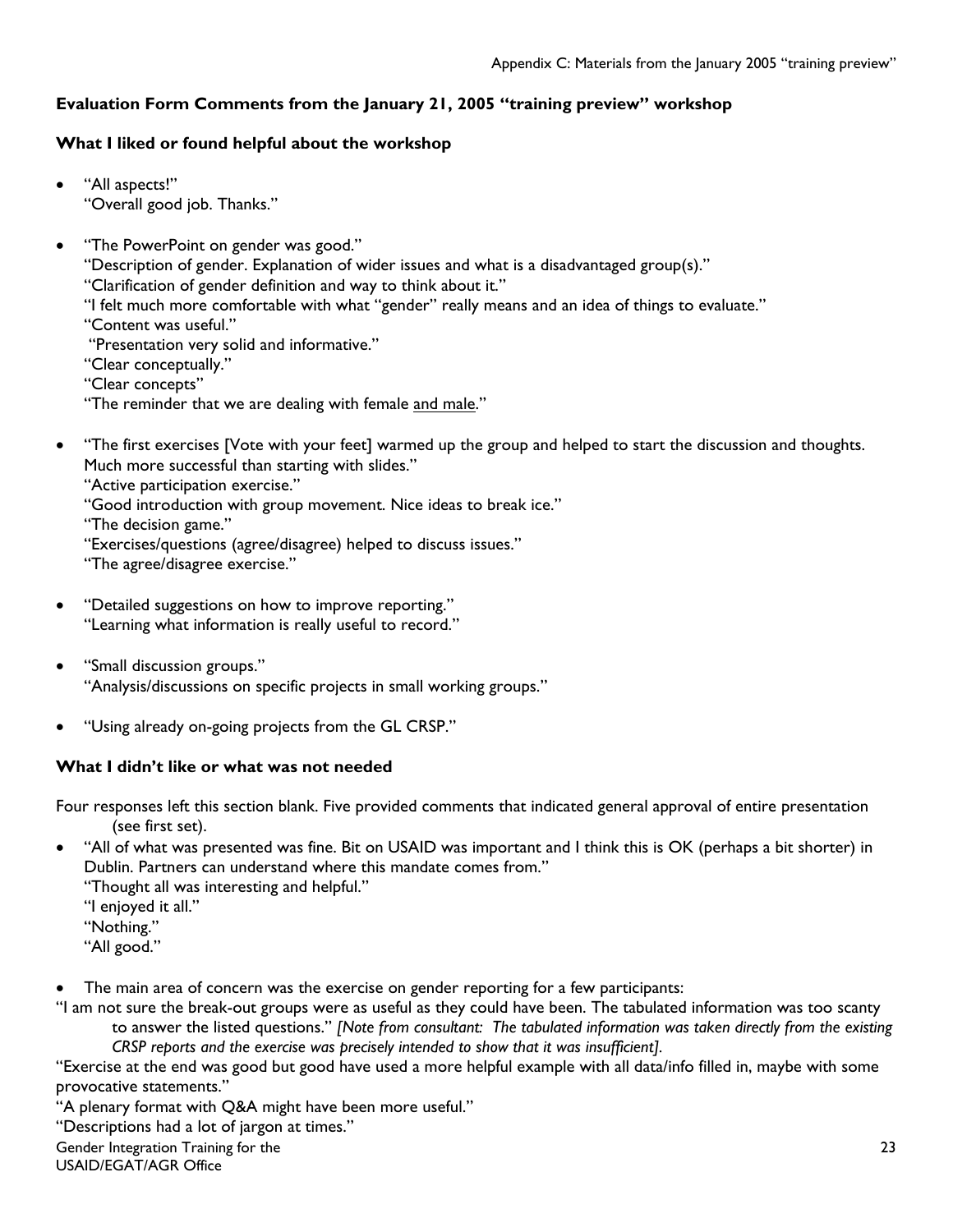# **Evaluation Form Comments from the January 21, 2005 "training preview" workshop**

### **What I liked or found helpful about the workshop**

- "All aspects!" "Overall good job. Thanks."
- "The PowerPoint on gender was good."

"Description of gender. Explanation of wider issues and what is a disadvantaged group(s)."

"Clarification of gender definition and way to think about it."

"I felt much more comfortable with what "gender" really means and an idea of things to evaluate."

"Content was useful."

"Presentation very solid and informative."

"Clear conceptually."

"Clear concepts"

"The reminder that we are dealing with female and male."

• "The first exercises [Vote with your feet] warmed up the group and helped to start the discussion and thoughts. Much more successful than starting with slides."

"Active participation exercise."

"Good introduction with group movement. Nice ideas to break ice."

"The decision game."

"Exercises/questions (agree/disagree) helped to discuss issues."

"The agree/disagree exercise."

- "Detailed suggestions on how to improve reporting." "Learning what information is really useful to record."
- "Small discussion groups." "Analysis/discussions on specific projects in small working groups."
- "Using already on-going projects from the GL CRSP."

## **What I didn't like or what was not needed**

Four responses left this section blank. Five provided comments that indicated general approval of entire presentation (see first set).

• "All of what was presented was fine. Bit on USAID was important and I think this is OK (perhaps a bit shorter) in Dublin. Partners can understand where this mandate comes from."

"Thought all was interesting and helpful."

"I enjoyed it all."

"Nothing."

"All good."

The main area of concern was the exercise on gender reporting for a few participants:

"I am not sure the break-out groups were as useful as they could have been. The tabulated information was too scanty to answer the listed questions." *[Note from consultant: The tabulated information was taken directly from the existing CRSP reports and the exercise was precisely intended to show that it was insufficient].*

"Exercise at the end was good but good have used a more helpful example with all data/info filled in, maybe with some provocative statements."

"A plenary format with Q&A might have been more useful."

"Descriptions had a lot of jargon at times."

Gender Integration Training for the

USAID/EGAT/AGR Office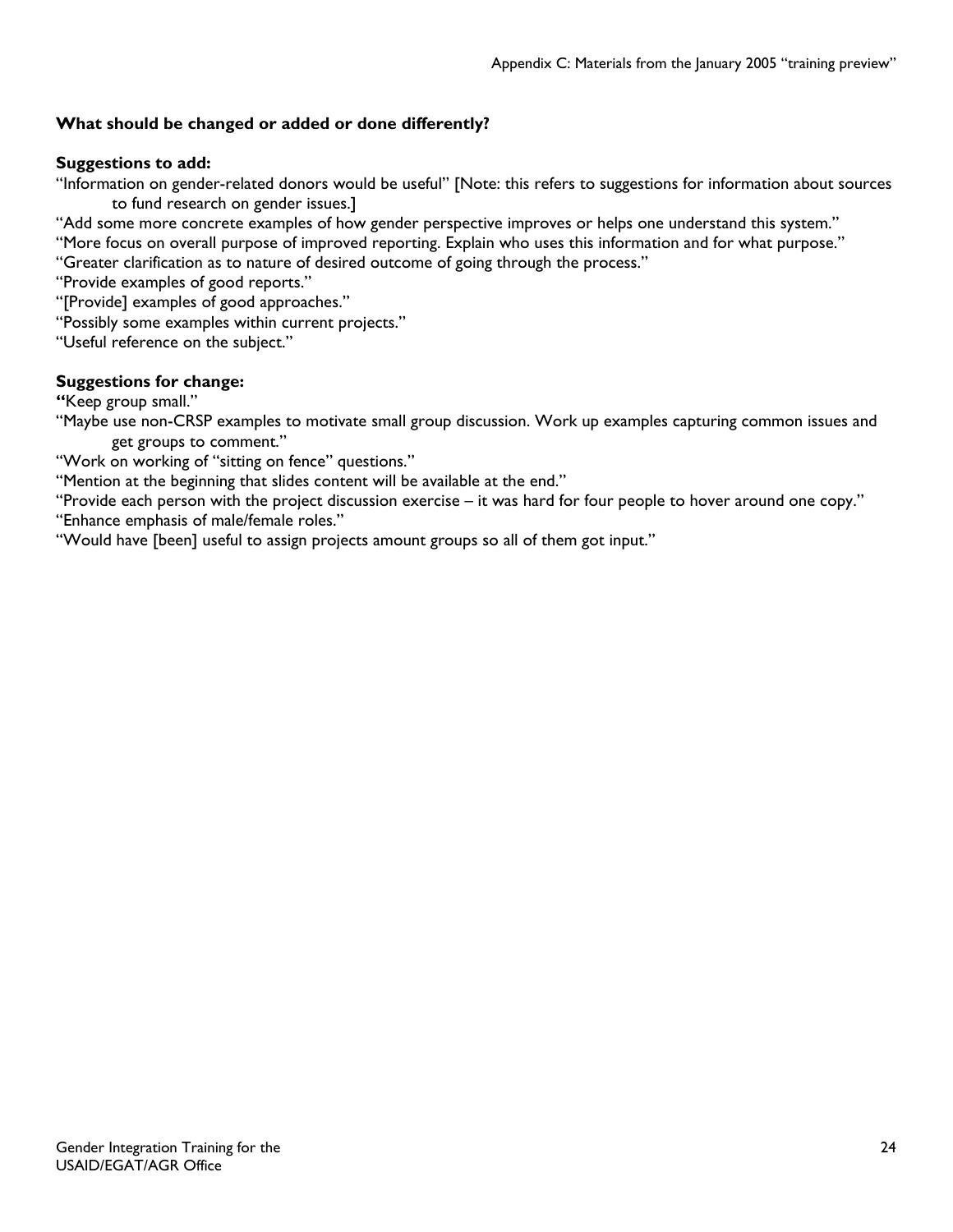# **What should be changed or added or done differently?**

# **Suggestions to add:**

"Information on gender-related donors would be useful" [Note: this refers to suggestions for information about sources to fund research on gender issues.]

"Add some more concrete examples of how gender perspective improves or helps one understand this system."

"More focus on overall purpose of improved reporting. Explain who uses this information and for what purpose."

"Greater clarification as to nature of desired outcome of going through the process."

"Provide examples of good reports."

"[Provide] examples of good approaches."

"Possibly some examples within current projects."

"Useful reference on the subject."

## **Suggestions for change:**

**"**Keep group small."

"Maybe use non-CRSP examples to motivate small group discussion. Work up examples capturing common issues and get groups to comment."

"Work on working of "sitting on fence" questions."

"Mention at the beginning that slides content will be available at the end."

"Provide each person with the project discussion exercise – it was hard for four people to hover around one copy." "Enhance emphasis of male/female roles."

"Would have [been] useful to assign projects amount groups so all of them got input."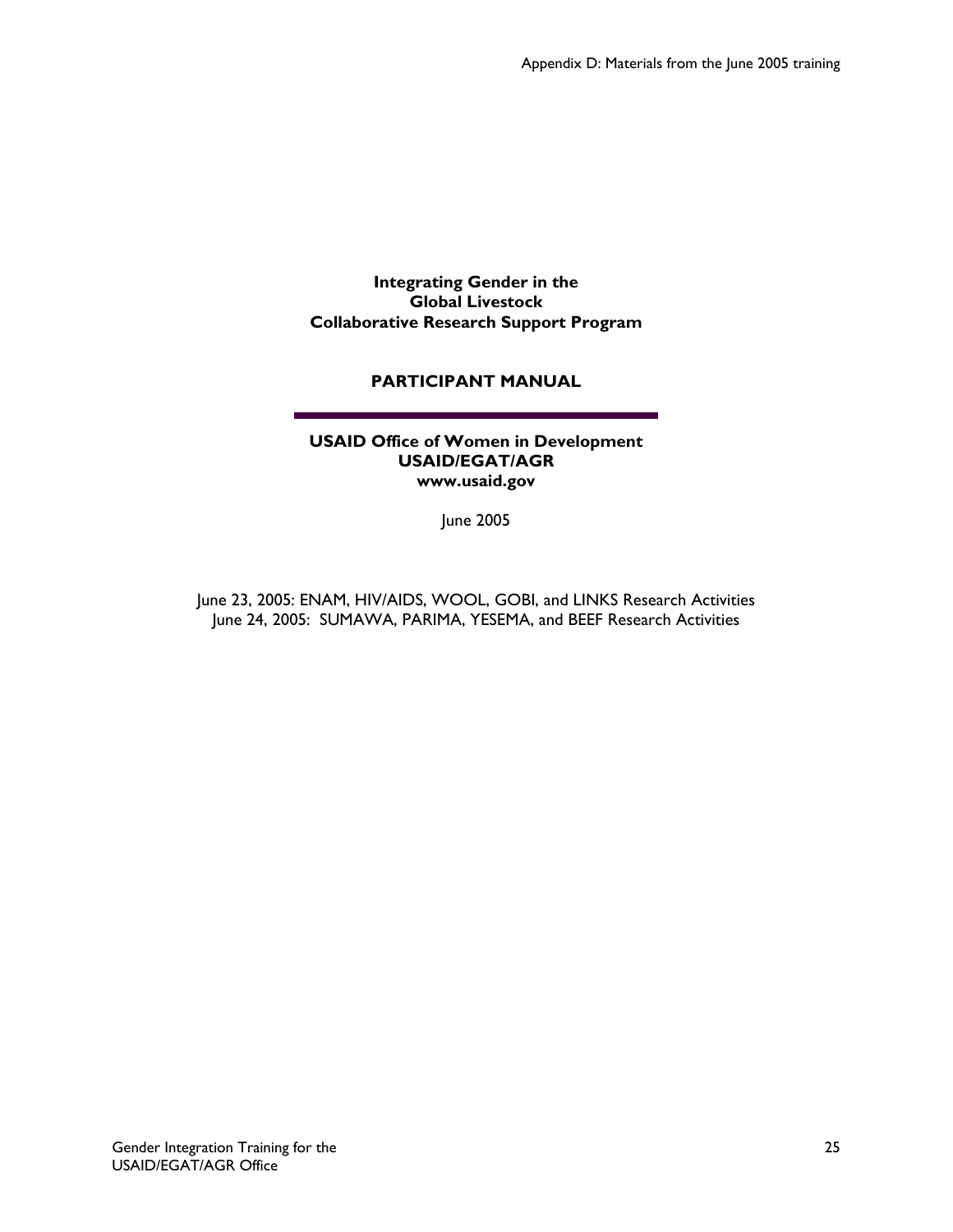**Integrating Gender in the Global Livestock Collaborative Research Support Program** 

## **PARTICIPANT MANUAL**

#### **USAID Office of Women in Development USAID/EGAT/AGR www.usaid.gov**

June 2005

June 23, 2005: ENAM, HIV/AIDS, WOOL, GOBI, and LINKS Research Activities June 24, 2005: SUMAWA, PARIMA, YESEMA, and BEEF Research Activities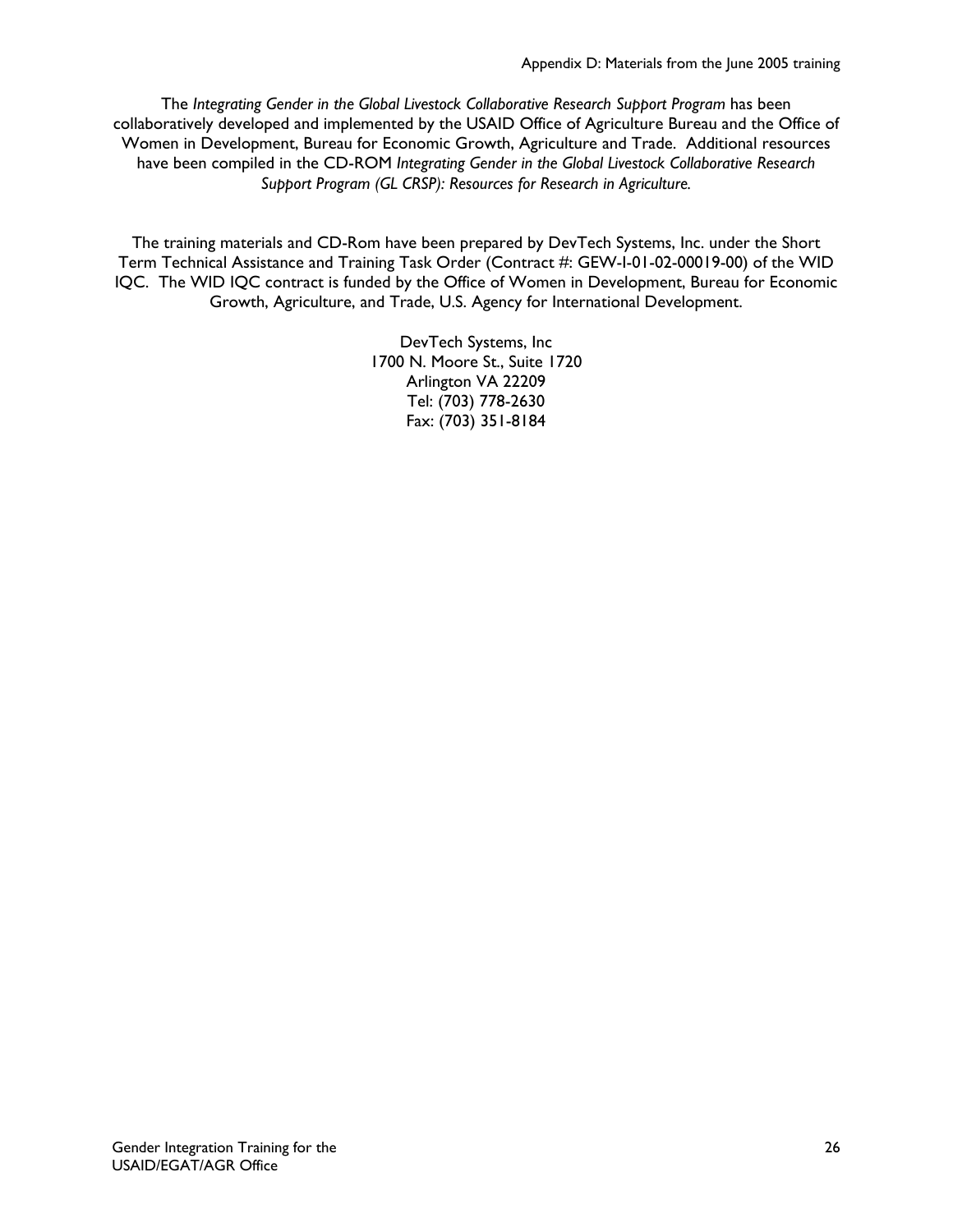The *Integrating Gender in the Global Livestock Collaborative Research Support Program* has been collaboratively developed and implemented by the USAID Office of Agriculture Bureau and the Office of Women in Development, Bureau for Economic Growth, Agriculture and Trade. Additional resources have been compiled in the CD-ROM *Integrating Gender in the Global Livestock Collaborative Research Support Program (GL CRSP): Resources for Research in Agriculture.*

The training materials and CD-Rom have been prepared by DevTech Systems, Inc. under the Short Term Technical Assistance and Training Task Order (Contract #: GEW-I-01-02-00019-00) of the WID IQC. The WID IQC contract is funded by the Office of Women in Development, Bureau for Economic Growth, Agriculture, and Trade, U.S. Agency for International Development.

> DevTech Systems, Inc 1700 N. Moore St., Suite 1720 Arlington VA 22209 Tel: (703) 778-2630 Fax: (703) 351-8184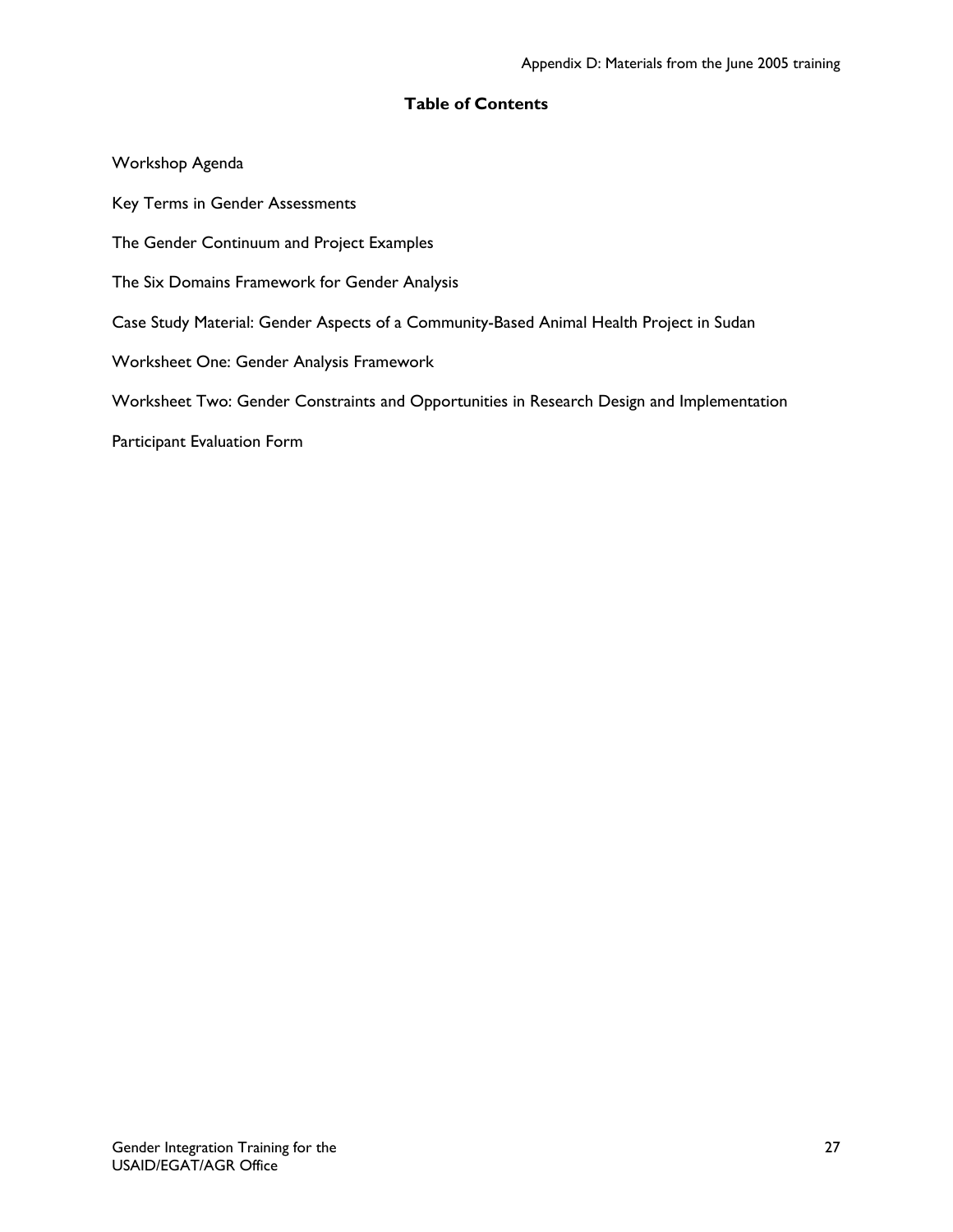## **Table of Contents**

Workshop Agenda Key Terms in Gender Assessments The Gender Continuum and Project Examples The Six Domains Framework for Gender Analysis Case Study Material: Gender Aspects of a Community-Based Animal Health Project in Sudan Worksheet One: Gender Analysis Framework Worksheet Two: Gender Constraints and Opportunities in Research Design and Implementation Participant Evaluation Form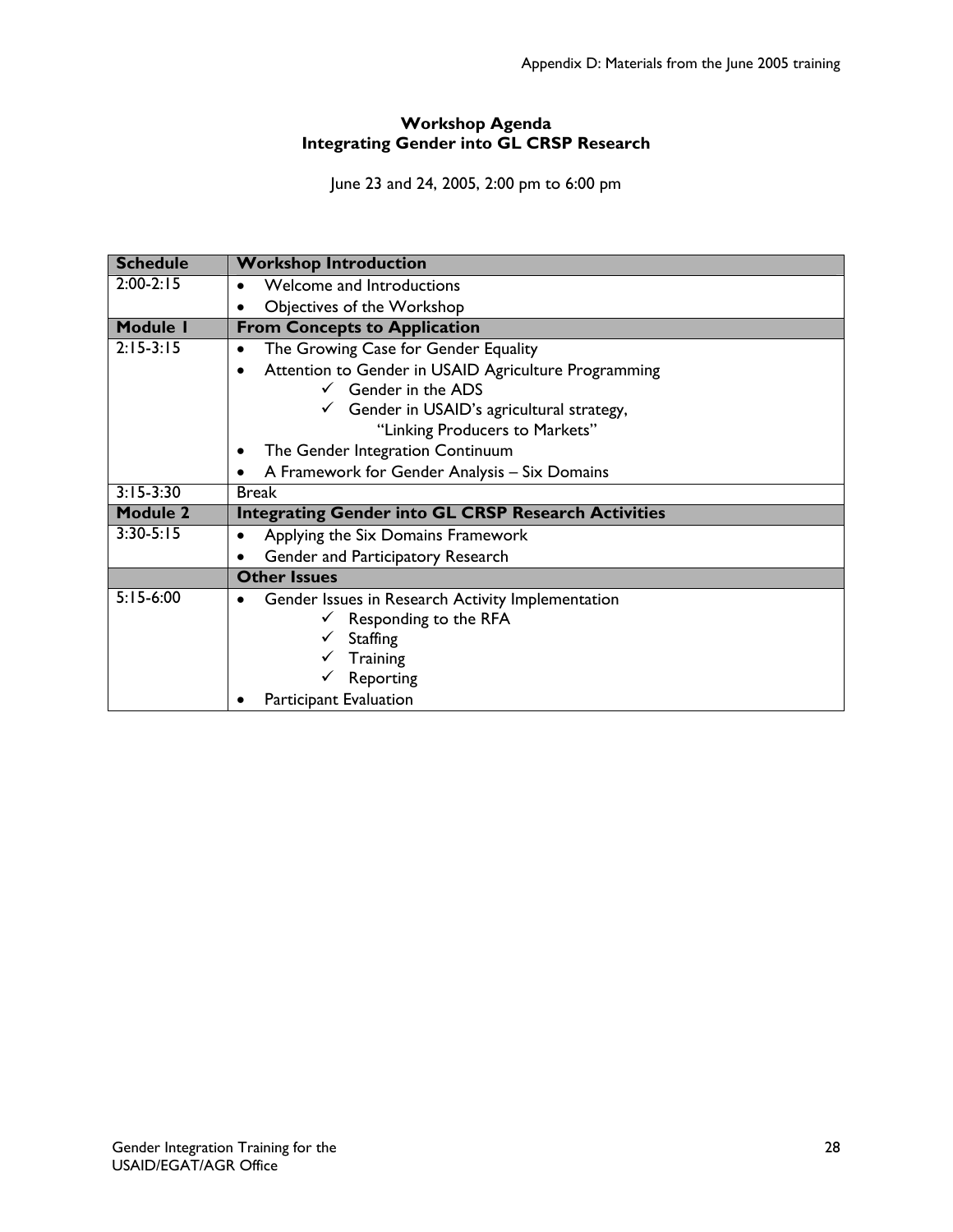# **Workshop Agenda Integrating Gender into GL CRSP Research**

June 23 and 24, 2005, 2:00 pm to 6:00 pm

| <b>Schedule</b> | <b>Workshop Introduction</b>                                      |  |  |  |
|-----------------|-------------------------------------------------------------------|--|--|--|
| $2:00-2:15$     | Welcome and Introductions<br>$\bullet$                            |  |  |  |
|                 | Objectives of the Workshop                                        |  |  |  |
| <b>Module I</b> | <b>From Concepts to Application</b>                               |  |  |  |
| $2:15-3:15$     | The Growing Case for Gender Equality<br>$\bullet$                 |  |  |  |
|                 | Attention to Gender in USAID Agriculture Programming<br>$\bullet$ |  |  |  |
|                 | $\checkmark$ Gender in the ADS                                    |  |  |  |
|                 | Gender in USAID's agricultural strategy,                          |  |  |  |
|                 | "Linking Producers to Markets"                                    |  |  |  |
|                 | The Gender Integration Continuum<br>٠                             |  |  |  |
|                 | A Framework for Gender Analysis - Six Domains                     |  |  |  |
| $3:15-3:30$     | <b>Break</b>                                                      |  |  |  |
| <b>Module 2</b> | <b>Integrating Gender into GL CRSP Research Activities</b>        |  |  |  |
| $3:30-5:15$     | Applying the Six Domains Framework<br>$\bullet$                   |  |  |  |
|                 | Gender and Participatory Research                                 |  |  |  |
|                 | <b>Other Issues</b>                                               |  |  |  |
| $5:15-6:00$     | Gender Issues in Research Activity Implementation                 |  |  |  |
|                 | Responding to the RFA                                             |  |  |  |
|                 | <b>Staffing</b>                                                   |  |  |  |
|                 | Training                                                          |  |  |  |
|                 | Reporting                                                         |  |  |  |
|                 | <b>Participant Evaluation</b>                                     |  |  |  |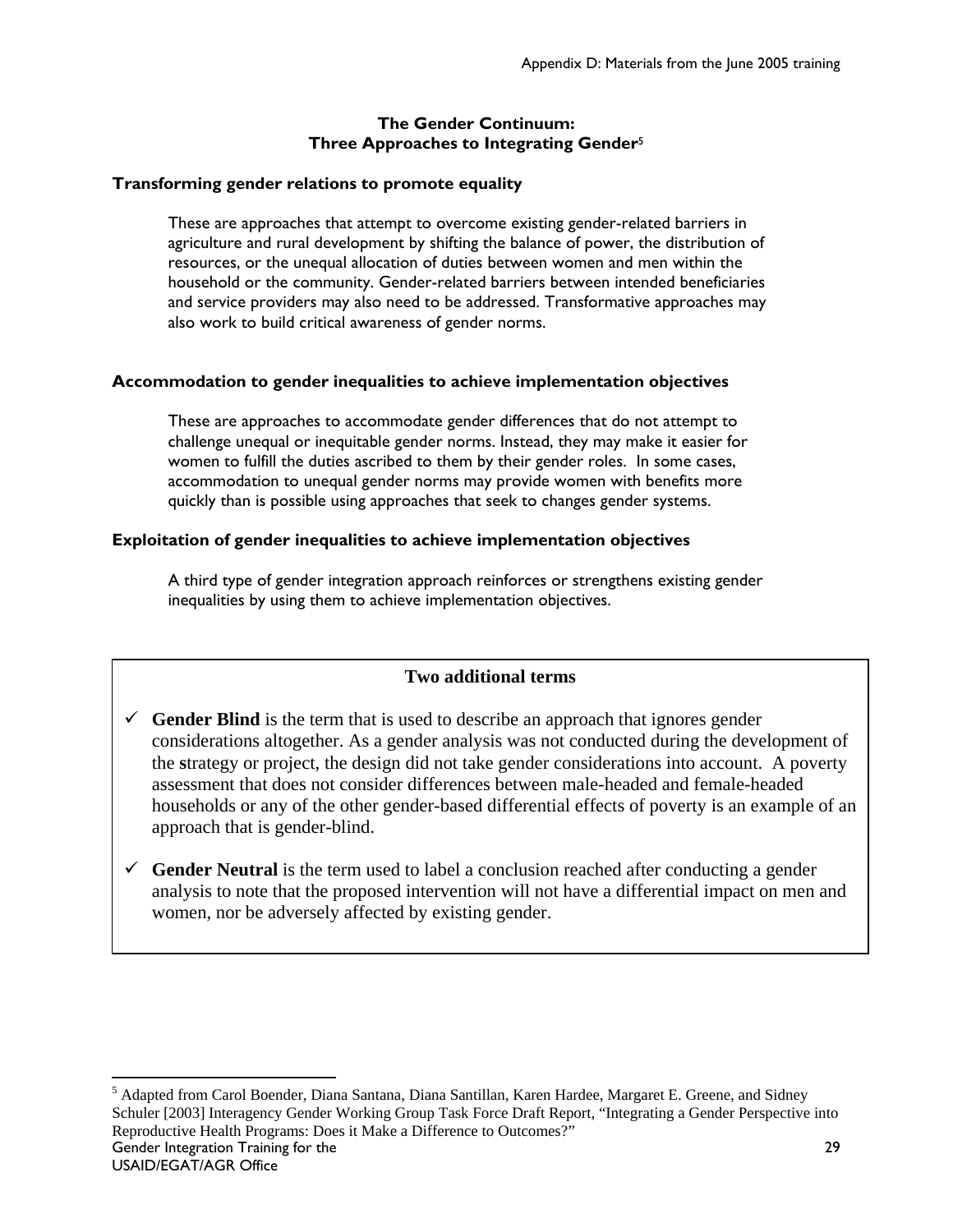## **The Gender Continuum: Three Approaches to Integrating Gender**<sup>5</sup>

## **Transforming gender relations to promote equality**

These are approaches that attempt to overcome existing gender-related barriers in agriculture and rural development by shifting the balance of power, the distribution of resources, or the unequal allocation of duties between women and men within the household or the community. Gender-related barriers between intended beneficiaries and service providers may also need to be addressed. Transformative approaches may also work to build critical awareness of gender norms.

# **Accommodation to gender inequalities to achieve implementation objectives**

These are approaches to accommodate gender differences that do not attempt to challenge unequal or inequitable gender norms. Instead, they may make it easier for women to fulfill the duties ascribed to them by their gender roles. In some cases, accommodation to unequal gender norms may provide women with benefits more quickly than is possible using approaches that seek to changes gender systems.

## **Exploitation of gender inequalities to achieve implementation objectives**

A third type of gender integration approach reinforces or strengthens existing gender inequalities by using them to achieve implementation objectives.

# **Two additional terms**

- $\checkmark$  **Gender Blind** is the term that is used to describe an approach that ignores gender considerations altogether. As a gender analysis was not conducted during the development of the **s**trategy or project, the design did not take gender considerations into account. A poverty assessment that does not consider differences between male-headed and female-headed households or any of the other gender-based differential effects of poverty is an example of an approach that is gender-blind.
- $\checkmark$  **Gender Neutral** is the term used to label a conclusion reached after conducting a gender analysis to note that the proposed intervention will not have a differential impact on men and women, nor be adversely affected by existing gender.

Gender Integration Training for the 29 <sup>5</sup> Adapted from Carol Boender, Diana Santana, Diana Santillan, Karen Hardee, Margaret E. Greene, and Sidney Schuler [2003] Interagency Gender Working Group Task Force Draft Report, "Integrating a Gender Perspective into Reproductive Health Programs: Does it Make a Difference to Outcomes?"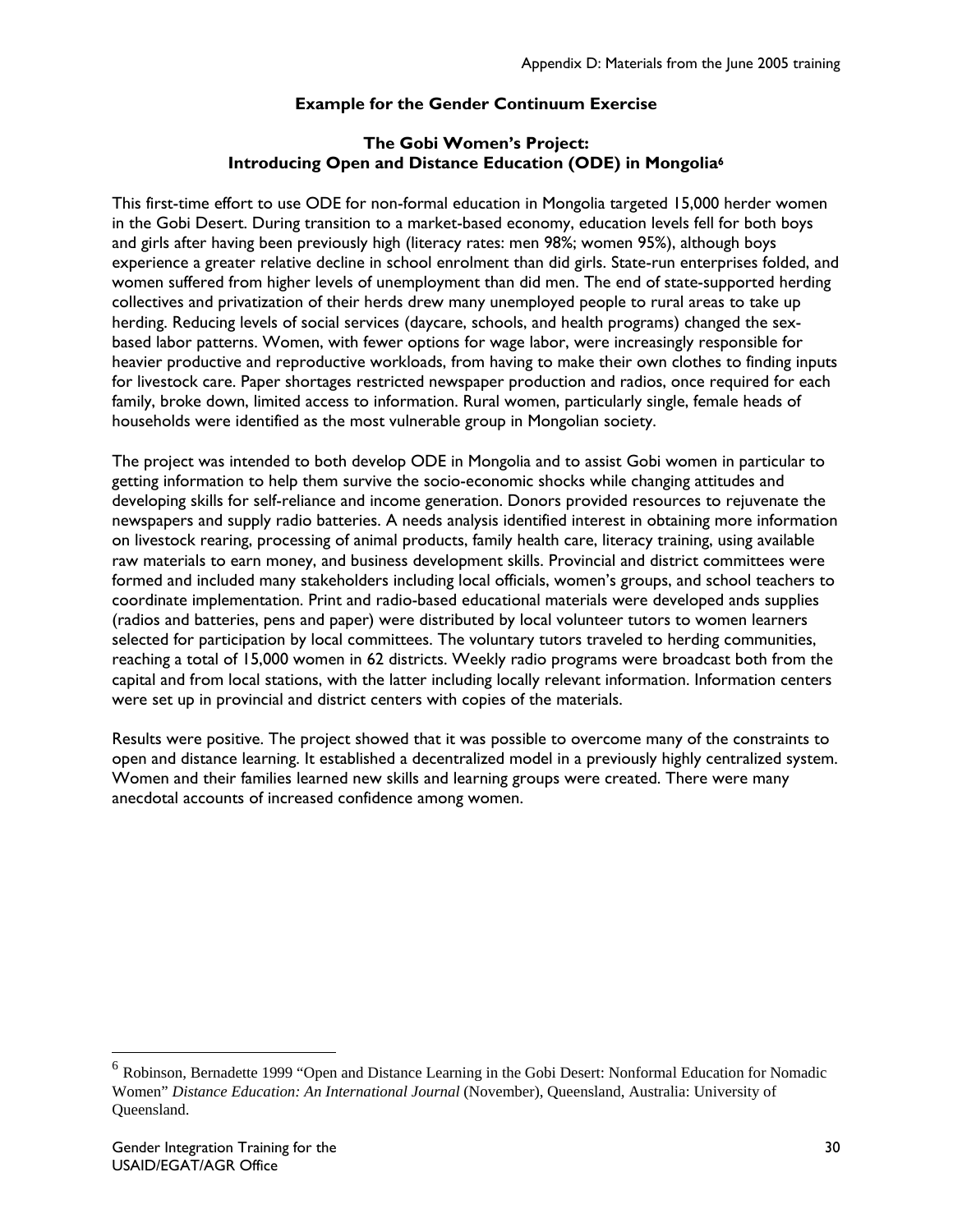# **Example for the Gender Continuum Exercise**

## **The Gobi Women's Project: Introducing Open and Distance Education (ODE) in Mongolia6**

This first-time effort to use ODE for non-formal education in Mongolia targeted 15,000 herder women in the Gobi Desert. During transition to a market-based economy, education levels fell for both boys and girls after having been previously high (literacy rates: men 98%; women 95%), although boys experience a greater relative decline in school enrolment than did girls. State-run enterprises folded, and women suffered from higher levels of unemployment than did men. The end of state-supported herding collectives and privatization of their herds drew many unemployed people to rural areas to take up herding. Reducing levels of social services (daycare, schools, and health programs) changed the sexbased labor patterns. Women, with fewer options for wage labor, were increasingly responsible for heavier productive and reproductive workloads, from having to make their own clothes to finding inputs for livestock care. Paper shortages restricted newspaper production and radios, once required for each family, broke down, limited access to information. Rural women, particularly single, female heads of households were identified as the most vulnerable group in Mongolian society.

The project was intended to both develop ODE in Mongolia and to assist Gobi women in particular to getting information to help them survive the socio-economic shocks while changing attitudes and developing skills for self-reliance and income generation. Donors provided resources to rejuvenate the newspapers and supply radio batteries. A needs analysis identified interest in obtaining more information on livestock rearing, processing of animal products, family health care, literacy training, using available raw materials to earn money, and business development skills. Provincial and district committees were formed and included many stakeholders including local officials, women's groups, and school teachers to coordinate implementation. Print and radio-based educational materials were developed ands supplies (radios and batteries, pens and paper) were distributed by local volunteer tutors to women learners selected for participation by local committees. The voluntary tutors traveled to herding communities, reaching a total of 15,000 women in 62 districts. Weekly radio programs were broadcast both from the capital and from local stations, with the latter including locally relevant information. Information centers were set up in provincial and district centers with copies of the materials.

Results were positive. The project showed that it was possible to overcome many of the constraints to open and distance learning. It established a decentralized model in a previously highly centralized system. Women and their families learned new skills and learning groups were created. There were many anecdotal accounts of increased confidence among women.

<sup>&</sup>lt;sup>6</sup> Robinson, Bernadette 1999 "Open and Distance Learning in the Gobi Desert: Nonformal Education for Nomadic Women" *Distance Education: An International Journal* (November), Queensland, Australia: University of Queensland.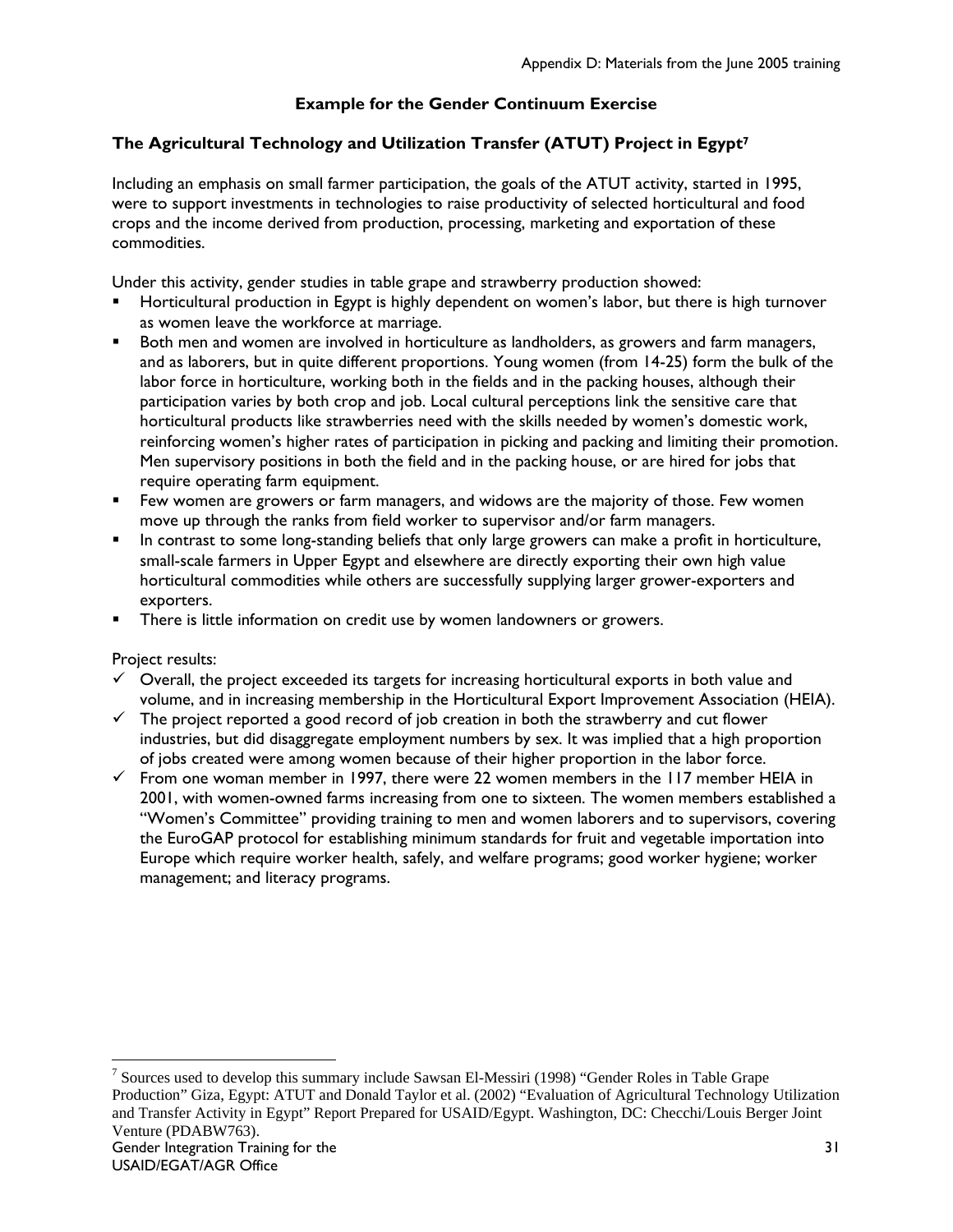# **Example for the Gender Continuum Exercise**

# **The Agricultural Technology and Utilization Transfer (ATUT) Project in Egypt7**

Including an emphasis on small farmer participation, the goals of the ATUT activity, started in 1995, were to support investments in technologies to raise productivity of selected horticultural and food crops and the income derived from production, processing, marketing and exportation of these commodities.

Under this activity, gender studies in table grape and strawberry production showed:

- Horticultural production in Egypt is highly dependent on women's labor, but there is high turnover as women leave the workforce at marriage.
- Both men and women are involved in horticulture as landholders, as growers and farm managers, and as laborers, but in quite different proportions. Young women (from 14-25) form the bulk of the labor force in horticulture, working both in the fields and in the packing houses, although their participation varies by both crop and job. Local cultural perceptions link the sensitive care that horticultural products like strawberries need with the skills needed by women's domestic work, reinforcing women's higher rates of participation in picking and packing and limiting their promotion. Men supervisory positions in both the field and in the packing house, or are hired for jobs that require operating farm equipment.
- Few women are growers or farm managers, and widows are the majority of those. Few women move up through the ranks from field worker to supervisor and/or farm managers.
- In contrast to some long-standing beliefs that only large growers can make a profit in horticulture, small-scale farmers in Upper Egypt and elsewhere are directly exporting their own high value horticultural commodities while others are successfully supplying larger grower-exporters and exporters.
- **There is little information on credit use by women landowners or growers.**

Project results:

- $\checkmark$  Overall, the project exceeded its targets for increasing horticultural exports in both value and volume, and in increasing membership in the Horticultural Export Improvement Association (HEIA).
- $\checkmark$  The project reported a good record of job creation in both the strawberry and cut flower industries, but did disaggregate employment numbers by sex. It was implied that a high proportion of jobs created were among women because of their higher proportion in the labor force.
- $\checkmark$  From one woman member in 1997, there were 22 women members in the 117 member HEIA in 2001, with women-owned farms increasing from one to sixteen. The women members established a "Women's Committee" providing training to men and women laborers and to supervisors, covering the EuroGAP protocol for establishing minimum standards for fruit and vegetable importation into Europe which require worker health, safely, and welfare programs; good worker hygiene; worker management; and literacy programs.

Gender Integration Training for the USAID/EGAT/AGR Office 31 <sup>7</sup> Sources used to develop this summary include Sawsan El-Messiri (1998) "Gender Roles in Table Grape Production" Giza, Egypt: ATUT and Donald Taylor et al. (2002) "Evaluation of Agricultural Technology Utilization and Transfer Activity in Egypt" Report Prepared for USAID/Egypt. Washington, DC: Checchi/Louis Berger Joint Venture (PDABW763).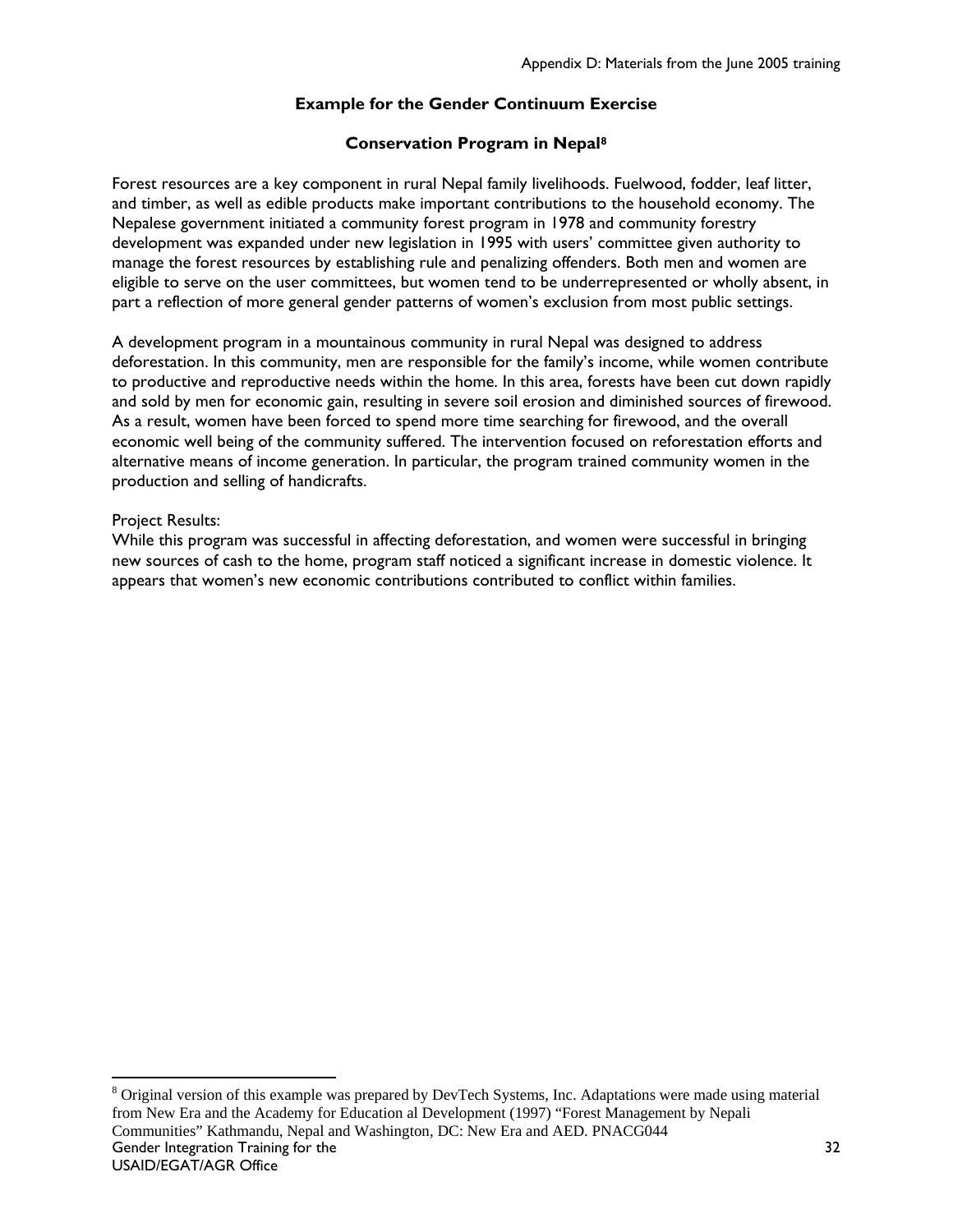# **Example for the Gender Continuum Exercise**

#### **Conservation Program in Nepal8**

Forest resources are a key component in rural Nepal family livelihoods. Fuelwood, fodder, leaf litter, and timber, as well as edible products make important contributions to the household economy. The Nepalese government initiated a community forest program in 1978 and community forestry development was expanded under new legislation in 1995 with users' committee given authority to manage the forest resources by establishing rule and penalizing offenders. Both men and women are eligible to serve on the user committees, but women tend to be underrepresented or wholly absent, in part a reflection of more general gender patterns of women's exclusion from most public settings.

A development program in a mountainous community in rural Nepal was designed to address deforestation. In this community, men are responsible for the family's income, while women contribute to productive and reproductive needs within the home. In this area, forests have been cut down rapidly and sold by men for economic gain, resulting in severe soil erosion and diminished sources of firewood. As a result, women have been forced to spend more time searching for firewood, and the overall economic well being of the community suffered. The intervention focused on reforestation efforts and alternative means of income generation. In particular, the program trained community women in the production and selling of handicrafts.

#### Project Results:

 $\overline{a}$ 

While this program was successful in affecting deforestation, and women were successful in bringing new sources of cash to the home, program staff noticed a significant increase in domestic violence. It appears that women's new economic contributions contributed to conflict within families.

Gender Integration Training for the USAID/EGAT/AGR Office <sup>8</sup> Original version of this example was prepared by DevTech Systems, Inc. Adaptations were made using material from New Era and the Academy for Education al Development (1997) "Forest Management by Nepali Communities" Kathmandu, Nepal and Washington, DC: New Era and AED. PNACG044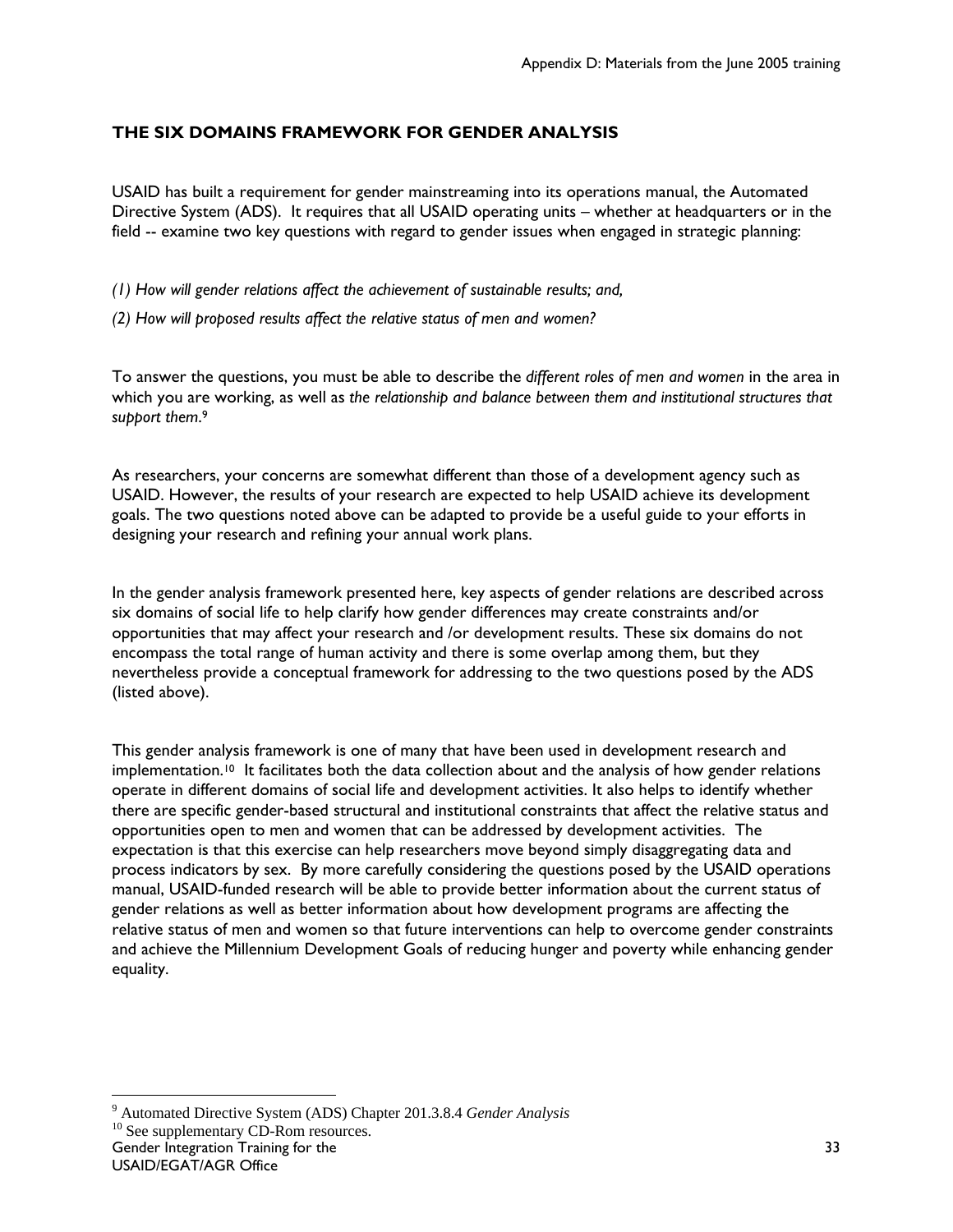# **THE SIX DOMAINS FRAMEWORK FOR GENDER ANALYSIS**

USAID has built a requirement for gender mainstreaming into its operations manual, the Automated Directive System (ADS). It requires that all USAID operating units – whether at headquarters or in the field -- examine two key questions with regard to gender issues when engaged in strategic planning:

*(1) How will gender relations affect the achievement of sustainable results; and,* 

*(2) How will proposed results affect the relative status of men and women?*

To answer the questions, you must be able to describe the *different roles of men and women* in the area in which you are working, as well as *the relationship and balance between them and institutional structures that support them*. 9

As researchers, your concerns are somewhat different than those of a development agency such as USAID. However, the results of your research are expected to help USAID achieve its development goals. The two questions noted above can be adapted to provide be a useful guide to your efforts in designing your research and refining your annual work plans.

In the gender analysis framework presented here, key aspects of gender relations are described across six domains of social life to help clarify how gender differences may create constraints and/or opportunities that may affect your research and /or development results. These six domains do not encompass the total range of human activity and there is some overlap among them, but they nevertheless provide a conceptual framework for addressing to the two questions posed by the ADS (listed above).

This gender analysis framework is one of many that have been used in development research and implementation.<sup>10</sup> It facilitates both the data collection about and the analysis of how gender relations operate in different domains of social life and development activities. It also helps to identify whether there are specific gender-based structural and institutional constraints that affect the relative status and opportunities open to men and women that can be addressed by development activities. The expectation is that this exercise can help researchers move beyond simply disaggregating data and process indicators by sex. By more carefully considering the questions posed by the USAID operations manual, USAID-funded research will be able to provide better information about the current status of gender relations as well as better information about how development programs are affecting the relative status of men and women so that future interventions can help to overcome gender constraints and achieve the Millennium Development Goals of reducing hunger and poverty while enhancing gender equality.

<sup>&</sup>lt;sup>9</sup> Automated Directive System (ADS) Chapter 201.3.8.4 *Gender Analysis* 10 See supplementary CD-Rom resources.

Gender Integration Training for the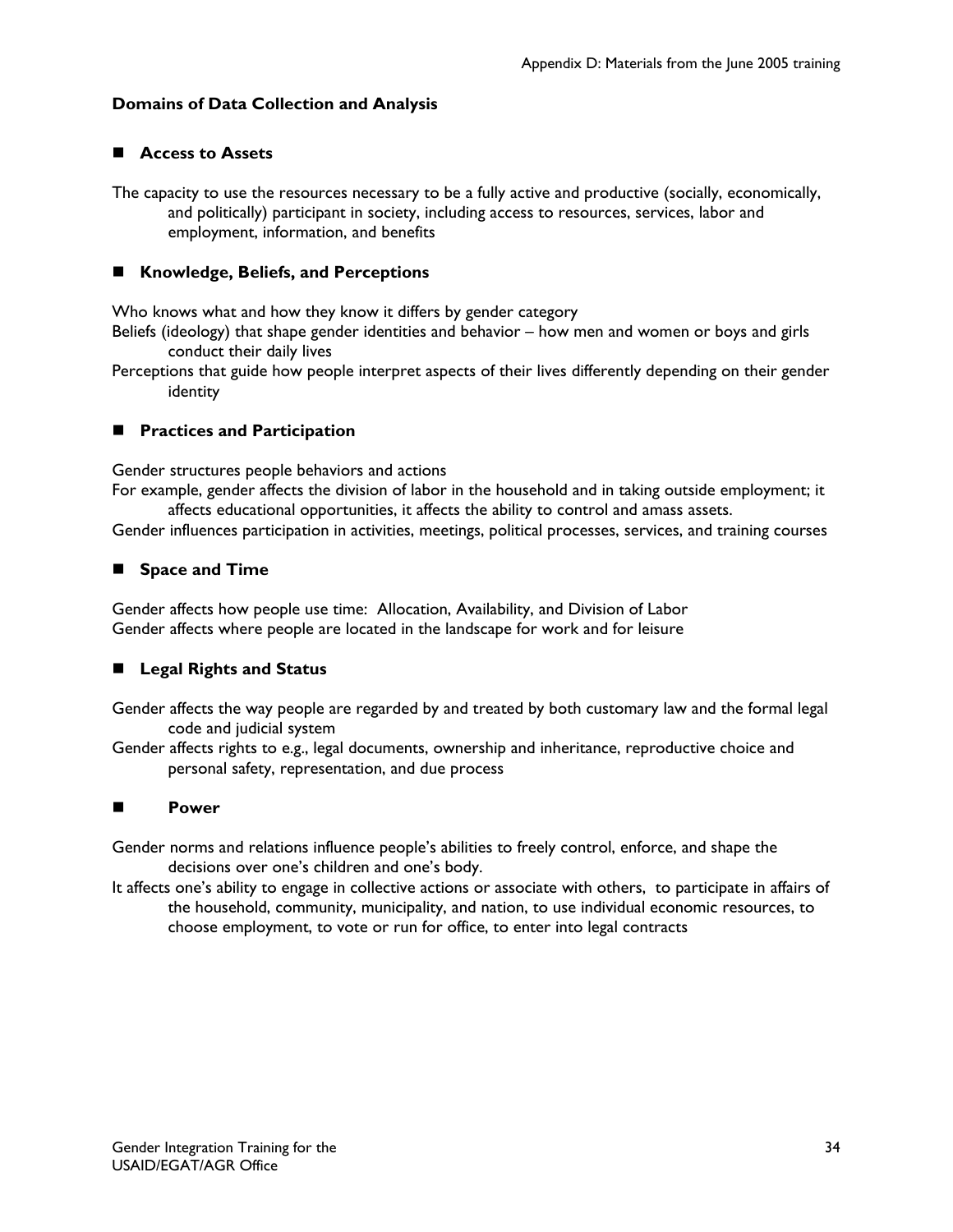## **Domains of Data Collection and Analysis**

# **Access to Assets**

The capacity to use the resources necessary to be a fully active and productive (socially, economically, and politically) participant in society, including access to resources, services, labor and employment, information, and benefits

## **Knowledge, Beliefs, and Perceptions**

Who knows what and how they know it differs by gender category

- Beliefs (ideology) that shape gender identities and behavior how men and women or boys and girls conduct their daily lives
- Perceptions that guide how people interpret aspects of their lives differently depending on their gender identity

## **Practices and Participation**

Gender structures people behaviors and actions

For example, gender affects the division of labor in the household and in taking outside employment; it affects educational opportunities, it affects the ability to control and amass assets.

Gender influences participation in activities, meetings, political processes, services, and training courses

#### **Space and Time**

Gender affects how people use time: Allocation, Availability, and Division of Labor Gender affects where people are located in the landscape for work and for leisure

## **Legal Rights and Status**

Gender affects the way people are regarded by and treated by both customary law and the formal legal code and judicial system

Gender affects rights to e.g., legal documents, ownership and inheritance, reproductive choice and personal safety, representation, and due process

## **Power**

Gender norms and relations influence people's abilities to freely control, enforce, and shape the decisions over one's children and one's body.

It affects one's ability to engage in collective actions or associate with others, to participate in affairs of the household, community, municipality, and nation, to use individual economic resources, to choose employment, to vote or run for office, to enter into legal contracts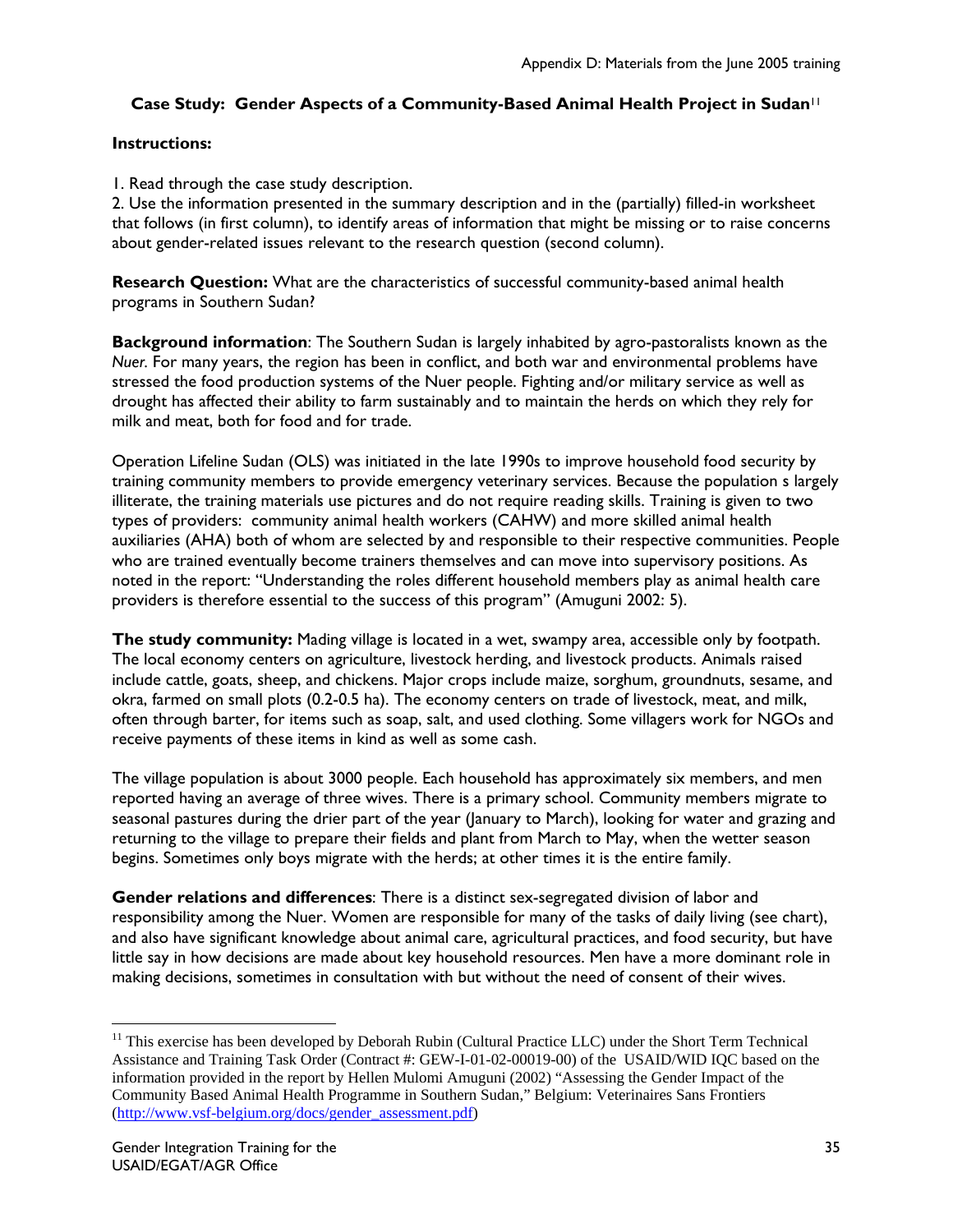# **Case Study: Gender Aspects of a Community-Based Animal Health Project in Sudan**<sup>11</sup>

## **Instructions:**

1. Read through the case study description.

2. Use the information presented in the summary description and in the (partially) filled-in worksheet that follows (in first column), to identify areas of information that might be missing or to raise concerns about gender-related issues relevant to the research question (second column).

**Research Question:** What are the characteristics of successful community-based animal health programs in Southern Sudan?

**Background information**: The Southern Sudan is largely inhabited by agro-pastoralists known as the *Nuer.* For many years, the region has been in conflict, and both war and environmental problems have stressed the food production systems of the Nuer people. Fighting and/or military service as well as drought has affected their ability to farm sustainably and to maintain the herds on which they rely for milk and meat, both for food and for trade.

Operation Lifeline Sudan (OLS) was initiated in the late 1990s to improve household food security by training community members to provide emergency veterinary services. Because the population s largely illiterate, the training materials use pictures and do not require reading skills. Training is given to two types of providers: community animal health workers (CAHW) and more skilled animal health auxiliaries (AHA) both of whom are selected by and responsible to their respective communities. People who are trained eventually become trainers themselves and can move into supervisory positions. As noted in the report: "Understanding the roles different household members play as animal health care providers is therefore essential to the success of this program" (Amuguni 2002: 5).

**The study community:** Mading village is located in a wet, swampy area, accessible only by footpath. The local economy centers on agriculture, livestock herding, and livestock products. Animals raised include cattle, goats, sheep, and chickens. Major crops include maize, sorghum, groundnuts, sesame, and okra, farmed on small plots (0.2-0.5 ha). The economy centers on trade of livestock, meat, and milk, often through barter, for items such as soap, salt, and used clothing. Some villagers work for NGOs and receive payments of these items in kind as well as some cash.

The village population is about 3000 people. Each household has approximately six members, and men reported having an average of three wives. There is a primary school. Community members migrate to seasonal pastures during the drier part of the year (January to March), looking for water and grazing and returning to the village to prepare their fields and plant from March to May, when the wetter season begins. Sometimes only boys migrate with the herds; at other times it is the entire family.

**Gender relations and differences**: There is a distinct sex-segregated division of labor and responsibility among the Nuer. Women are responsible for many of the tasks of daily living (see chart), and also have significant knowledge about animal care, agricultural practices, and food security, but have little say in how decisions are made about key household resources. Men have a more dominant role in making decisions, sometimes in consultation with but without the need of consent of their wives.

<sup>&</sup>lt;sup>11</sup> This exercise has been developed by Deborah Rubin (Cultural Practice LLC) under the Short Term Technical Assistance and Training Task Order (Contract #: GEW-I-01-02-00019-00) of the USAID/WID IQC based on the information provided in the report by Hellen Mulomi Amuguni (2002) "Assessing the Gender Impact of the Community Based Animal Health Programme in Southern Sudan," Belgium: Veterinaires Sans Frontiers (http://www.vsf-belgium.org/docs/gender\_assessment.pdf)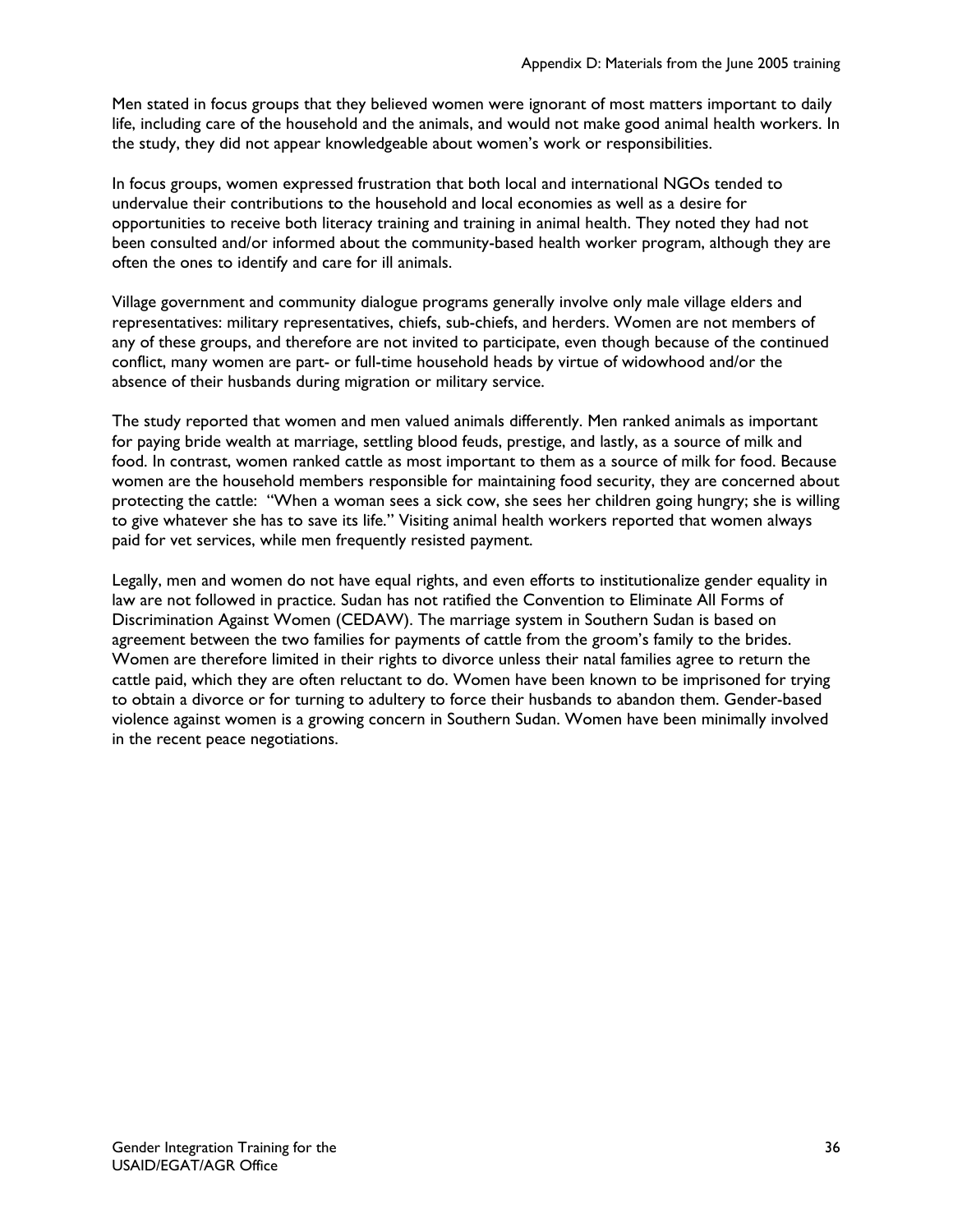Men stated in focus groups that they believed women were ignorant of most matters important to daily life, including care of the household and the animals, and would not make good animal health workers. In the study, they did not appear knowledgeable about women's work or responsibilities.

In focus groups, women expressed frustration that both local and international NGOs tended to undervalue their contributions to the household and local economies as well as a desire for opportunities to receive both literacy training and training in animal health. They noted they had not been consulted and/or informed about the community-based health worker program, although they are often the ones to identify and care for ill animals.

Village government and community dialogue programs generally involve only male village elders and representatives: military representatives, chiefs, sub-chiefs, and herders. Women are not members of any of these groups, and therefore are not invited to participate, even though because of the continued conflict, many women are part- or full-time household heads by virtue of widowhood and/or the absence of their husbands during migration or military service.

The study reported that women and men valued animals differently. Men ranked animals as important for paying bride wealth at marriage, settling blood feuds, prestige, and lastly, as a source of milk and food. In contrast, women ranked cattle as most important to them as a source of milk for food. Because women are the household members responsible for maintaining food security, they are concerned about protecting the cattle: "When a woman sees a sick cow, she sees her children going hungry; she is willing to give whatever she has to save its life." Visiting animal health workers reported that women always paid for vet services, while men frequently resisted payment.

Legally, men and women do not have equal rights, and even efforts to institutionalize gender equality in law are not followed in practice. Sudan has not ratified the Convention to Eliminate All Forms of Discrimination Against Women (CEDAW). The marriage system in Southern Sudan is based on agreement between the two families for payments of cattle from the groom's family to the brides. Women are therefore limited in their rights to divorce unless their natal families agree to return the cattle paid, which they are often reluctant to do. Women have been known to be imprisoned for trying to obtain a divorce or for turning to adultery to force their husbands to abandon them. Gender-based violence against women is a growing concern in Southern Sudan. Women have been minimally involved in the recent peace negotiations.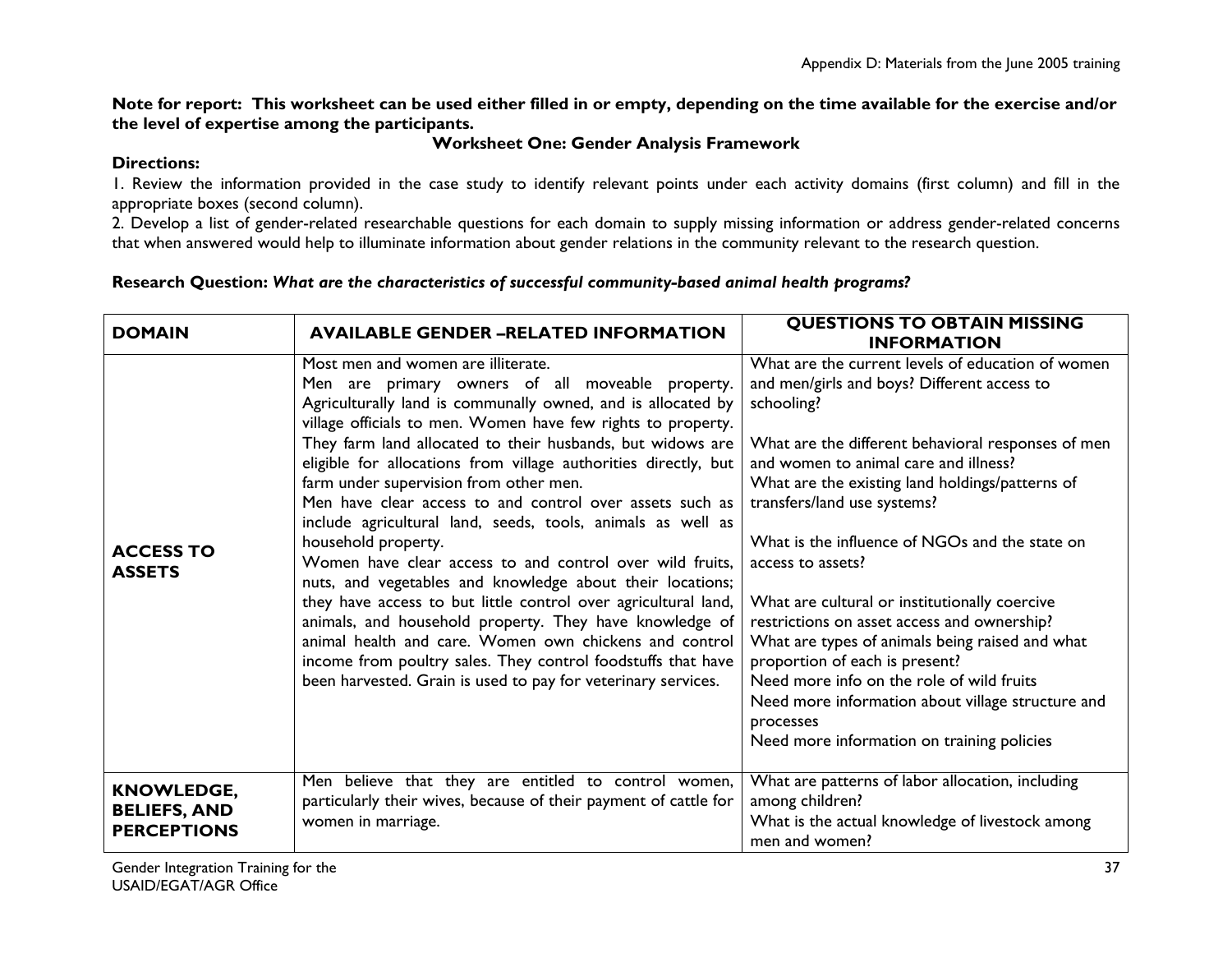**Note for report: This worksheet can be used either filled in or empty, depending on the time available for the exercise and/or the level of expertise among the participants.** 

## **Worksheet One: Gender Analysis Framework**

### **Directions:**

1. Review the information provided in the case study to identify relevant points under each activity domains (first column) and fill in the appropriate boxes (second column).

2. Develop a list of gender-related researchable questions for each domain to supply missing information or address gender-related concerns that when answered would help to illuminate information about gender relations in the community relevant to the research question.

#### **Research Question:** *What are the characteristics of successful community-based animal health programs?*

| <b>DOMAIN</b>                                                  | <b>AVAILABLE GENDER -RELATED INFORMATION</b>                                                                                                                                                                                                                                                                                                                                                                                                                                                                                                                                                                                                                                                                                                                                                                                                                                                                                                                                                         | <b>QUESTIONS TO OBTAIN MISSING</b><br><b>INFORMATION</b>                                                                                                                                                                                                                                                                                                                                                                                                                                                                                                                                                                                                                                                                 |
|----------------------------------------------------------------|------------------------------------------------------------------------------------------------------------------------------------------------------------------------------------------------------------------------------------------------------------------------------------------------------------------------------------------------------------------------------------------------------------------------------------------------------------------------------------------------------------------------------------------------------------------------------------------------------------------------------------------------------------------------------------------------------------------------------------------------------------------------------------------------------------------------------------------------------------------------------------------------------------------------------------------------------------------------------------------------------|--------------------------------------------------------------------------------------------------------------------------------------------------------------------------------------------------------------------------------------------------------------------------------------------------------------------------------------------------------------------------------------------------------------------------------------------------------------------------------------------------------------------------------------------------------------------------------------------------------------------------------------------------------------------------------------------------------------------------|
| <b>ACCESS TO</b><br><b>ASSETS</b>                              | Most men and women are illiterate.<br>Men are primary owners of all moveable property.<br>Agriculturally land is communally owned, and is allocated by<br>village officials to men. Women have few rights to property.<br>They farm land allocated to their husbands, but widows are<br>eligible for allocations from village authorities directly, but<br>farm under supervision from other men.<br>Men have clear access to and control over assets such as<br>include agricultural land, seeds, tools, animals as well as<br>household property.<br>Women have clear access to and control over wild fruits,<br>nuts, and vegetables and knowledge about their locations;<br>they have access to but little control over agricultural land,<br>animals, and household property. They have knowledge of<br>animal health and care. Women own chickens and control<br>income from poultry sales. They control foodstuffs that have<br>been harvested. Grain is used to pay for veterinary services. | What are the current levels of education of women<br>and men/girls and boys? Different access to<br>schooling?<br>What are the different behavioral responses of men<br>and women to animal care and illness?<br>What are the existing land holdings/patterns of<br>transfers/land use systems?<br>What is the influence of NGOs and the state on<br>access to assets?<br>What are cultural or institutionally coercive<br>restrictions on asset access and ownership?<br>What are types of animals being raised and what<br>proportion of each is present?<br>Need more info on the role of wild fruits<br>Need more information about village structure and<br>processes<br>Need more information on training policies |
| <b>KNOWLEDGE,</b><br><b>BELIEFS, AND</b><br><b>PERCEPTIONS</b> | Men believe that they are entitled to control women,<br>particularly their wives, because of their payment of cattle for<br>women in marriage.                                                                                                                                                                                                                                                                                                                                                                                                                                                                                                                                                                                                                                                                                                                                                                                                                                                       | What are patterns of labor allocation, including<br>among children?<br>What is the actual knowledge of livestock among<br>men and women?                                                                                                                                                                                                                                                                                                                                                                                                                                                                                                                                                                                 |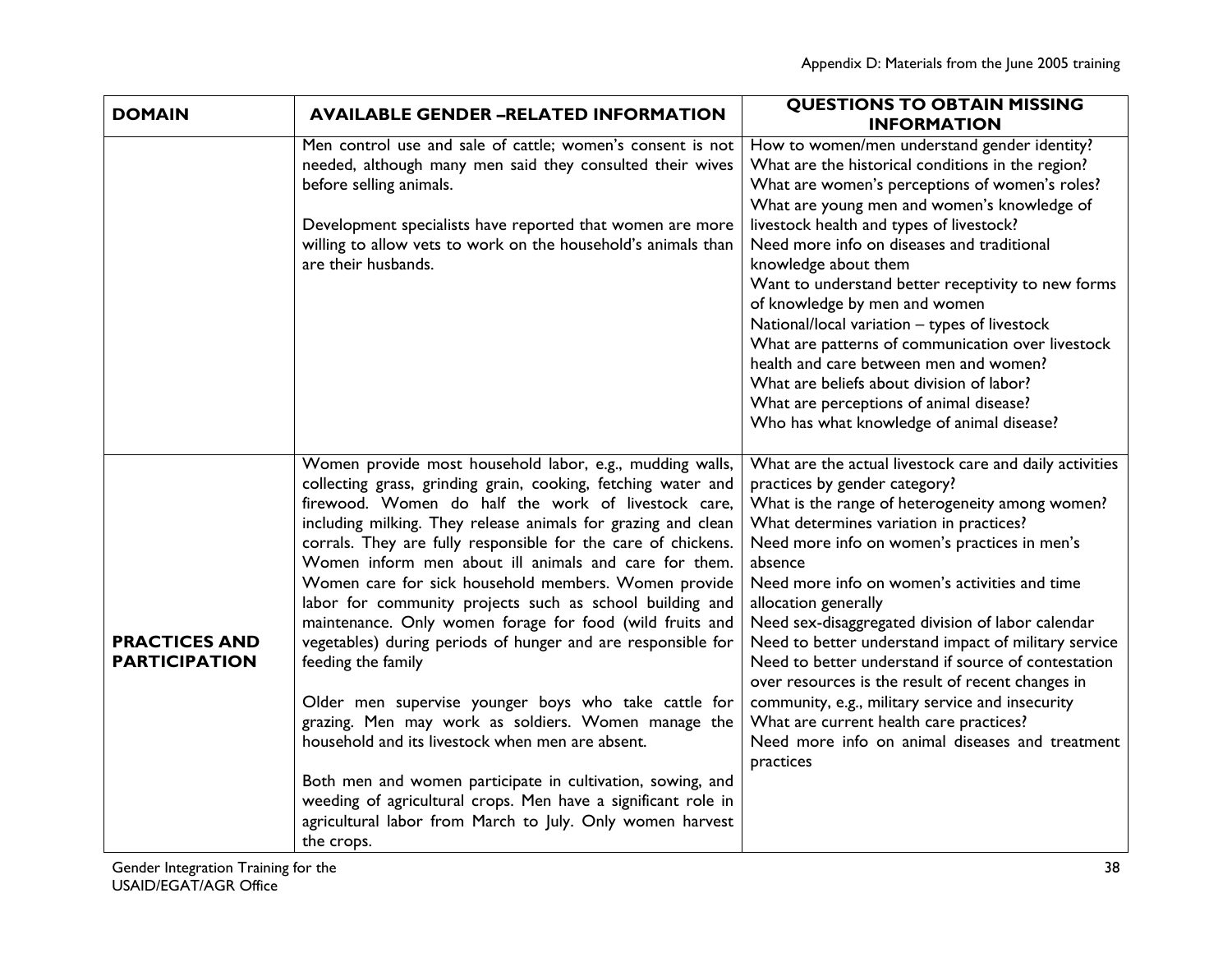| <b>DOMAIN</b>                                | <b>AVAILABLE GENDER -RELATED INFORMATION</b>                                                                                                                                                                                                                                                                                                                                                                                                                                                                                                                                                                                                                                                                                                                                                                                                                                                                                                                                                                                   | <b>QUESTIONS TO OBTAIN MISSING</b><br><b>INFORMATION</b>                                                                                                                                                                                                                                                                                                                                                                                                                                                                                                                                                                                                                                                           |
|----------------------------------------------|--------------------------------------------------------------------------------------------------------------------------------------------------------------------------------------------------------------------------------------------------------------------------------------------------------------------------------------------------------------------------------------------------------------------------------------------------------------------------------------------------------------------------------------------------------------------------------------------------------------------------------------------------------------------------------------------------------------------------------------------------------------------------------------------------------------------------------------------------------------------------------------------------------------------------------------------------------------------------------------------------------------------------------|--------------------------------------------------------------------------------------------------------------------------------------------------------------------------------------------------------------------------------------------------------------------------------------------------------------------------------------------------------------------------------------------------------------------------------------------------------------------------------------------------------------------------------------------------------------------------------------------------------------------------------------------------------------------------------------------------------------------|
|                                              | Men control use and sale of cattle; women's consent is not<br>needed, although many men said they consulted their wives<br>before selling animals.<br>Development specialists have reported that women are more<br>willing to allow vets to work on the household's animals than<br>are their husbands.                                                                                                                                                                                                                                                                                                                                                                                                                                                                                                                                                                                                                                                                                                                        | How to women/men understand gender identity?<br>What are the historical conditions in the region?<br>What are women's perceptions of women's roles?<br>What are young men and women's knowledge of<br>livestock health and types of livestock?<br>Need more info on diseases and traditional<br>knowledge about them<br>Want to understand better receptivity to new forms<br>of knowledge by men and women<br>National/local variation - types of livestock<br>What are patterns of communication over livestock<br>health and care between men and women?<br>What are beliefs about division of labor?<br>What are perceptions of animal disease?<br>Who has what knowledge of animal disease?                   |
| <b>PRACTICES AND</b><br><b>PARTICIPATION</b> | Women provide most household labor, e.g., mudding walls,<br>collecting grass, grinding grain, cooking, fetching water and<br>firewood. Women do half the work of livestock care,<br>including milking. They release animals for grazing and clean<br>corrals. They are fully responsible for the care of chickens.<br>Women inform men about ill animals and care for them.<br>Women care for sick household members. Women provide<br>labor for community projects such as school building and<br>maintenance. Only women forage for food (wild fruits and<br>vegetables) during periods of hunger and are responsible for<br>feeding the family<br>Older men supervise younger boys who take cattle for<br>grazing. Men may work as soldiers. Women manage the<br>household and its livestock when men are absent.<br>Both men and women participate in cultivation, sowing, and<br>weeding of agricultural crops. Men have a significant role in<br>agricultural labor from March to July. Only women harvest<br>the crops. | What are the actual livestock care and daily activities<br>practices by gender category?<br>What is the range of heterogeneity among women?<br>What determines variation in practices?<br>Need more info on women's practices in men's<br>absence<br>Need more info on women's activities and time<br>allocation generally<br>Need sex-disaggregated division of labor calendar<br>Need to better understand impact of military service<br>Need to better understand if source of contestation<br>over resources is the result of recent changes in<br>community, e.g., military service and insecurity<br>What are current health care practices?<br>Need more info on animal diseases and treatment<br>practices |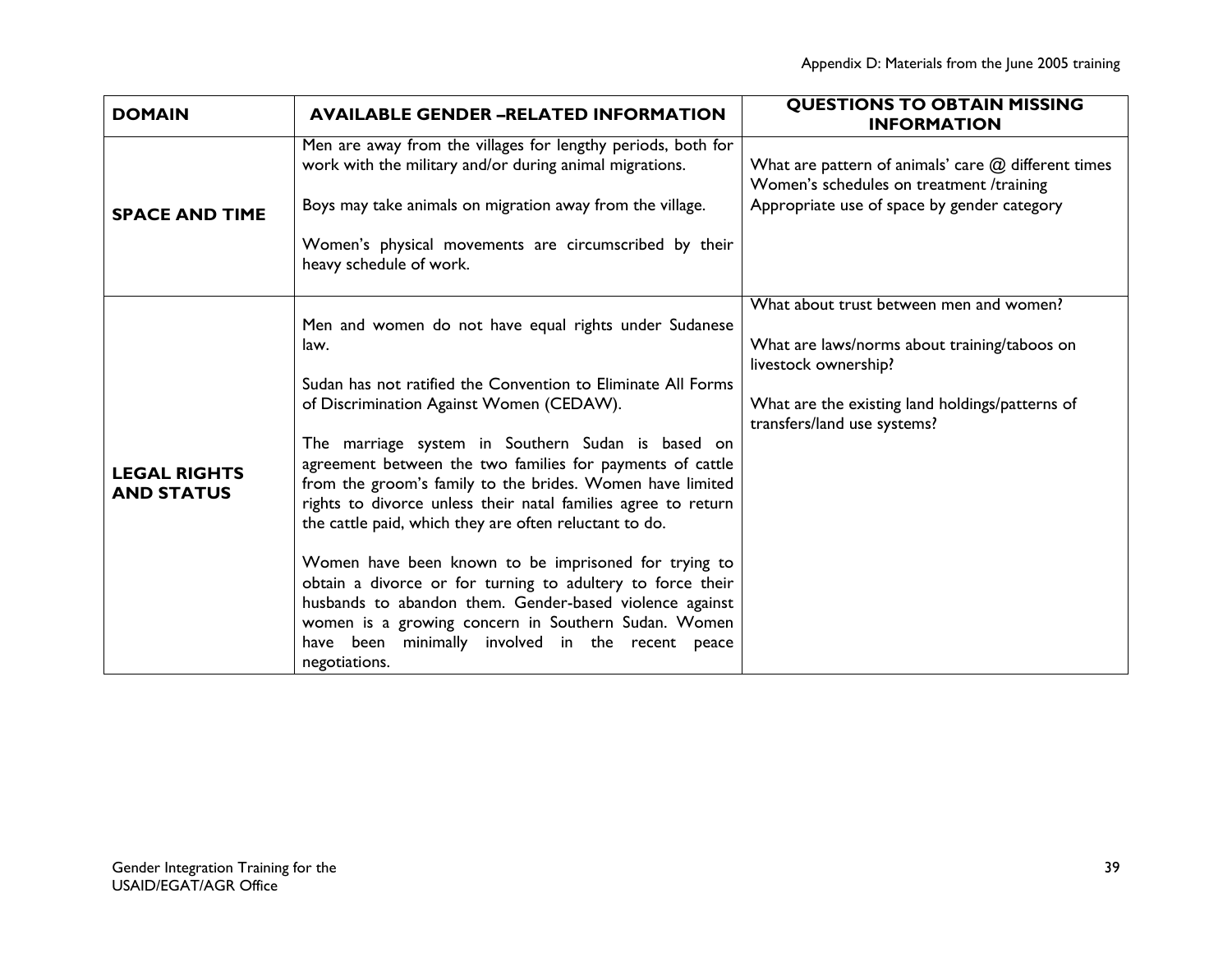| <b>DOMAIN</b>                            | <b>AVAILABLE GENDER -RELATED INFORMATION</b>                                                                                                                                                                                                                                                                                                                                                                                                                                                                                                                                                                                                                                                                                                                                                     | <b>QUESTIONS TO OBTAIN MISSING</b><br><b>INFORMATION</b>                                                                                                                                          |
|------------------------------------------|--------------------------------------------------------------------------------------------------------------------------------------------------------------------------------------------------------------------------------------------------------------------------------------------------------------------------------------------------------------------------------------------------------------------------------------------------------------------------------------------------------------------------------------------------------------------------------------------------------------------------------------------------------------------------------------------------------------------------------------------------------------------------------------------------|---------------------------------------------------------------------------------------------------------------------------------------------------------------------------------------------------|
| <b>SPACE AND TIME</b>                    | Men are away from the villages for lengthy periods, both for<br>work with the military and/or during animal migrations.<br>Boys may take animals on migration away from the village.<br>Women's physical movements are circumscribed by their<br>heavy schedule of work.                                                                                                                                                                                                                                                                                                                                                                                                                                                                                                                         | What are pattern of animals' care $@$ different times<br>Women's schedules on treatment /training<br>Appropriate use of space by gender category                                                  |
| <b>LEGAL RIGHTS</b><br><b>AND STATUS</b> | Men and women do not have equal rights under Sudanese<br>law.<br>Sudan has not ratified the Convention to Eliminate All Forms<br>of Discrimination Against Women (CEDAW).<br>The marriage system in Southern Sudan is based on<br>agreement between the two families for payments of cattle<br>from the groom's family to the brides. Women have limited<br>rights to divorce unless their natal families agree to return<br>the cattle paid, which they are often reluctant to do.<br>Women have been known to be imprisoned for trying to<br>obtain a divorce or for turning to adultery to force their<br>husbands to abandon them. Gender-based violence against<br>women is a growing concern in Southern Sudan. Women<br>have been minimally involved in the recent peace<br>negotiations. | What about trust between men and women?<br>What are laws/norms about training/taboos on<br>livestock ownership?<br>What are the existing land holdings/patterns of<br>transfers/land use systems? |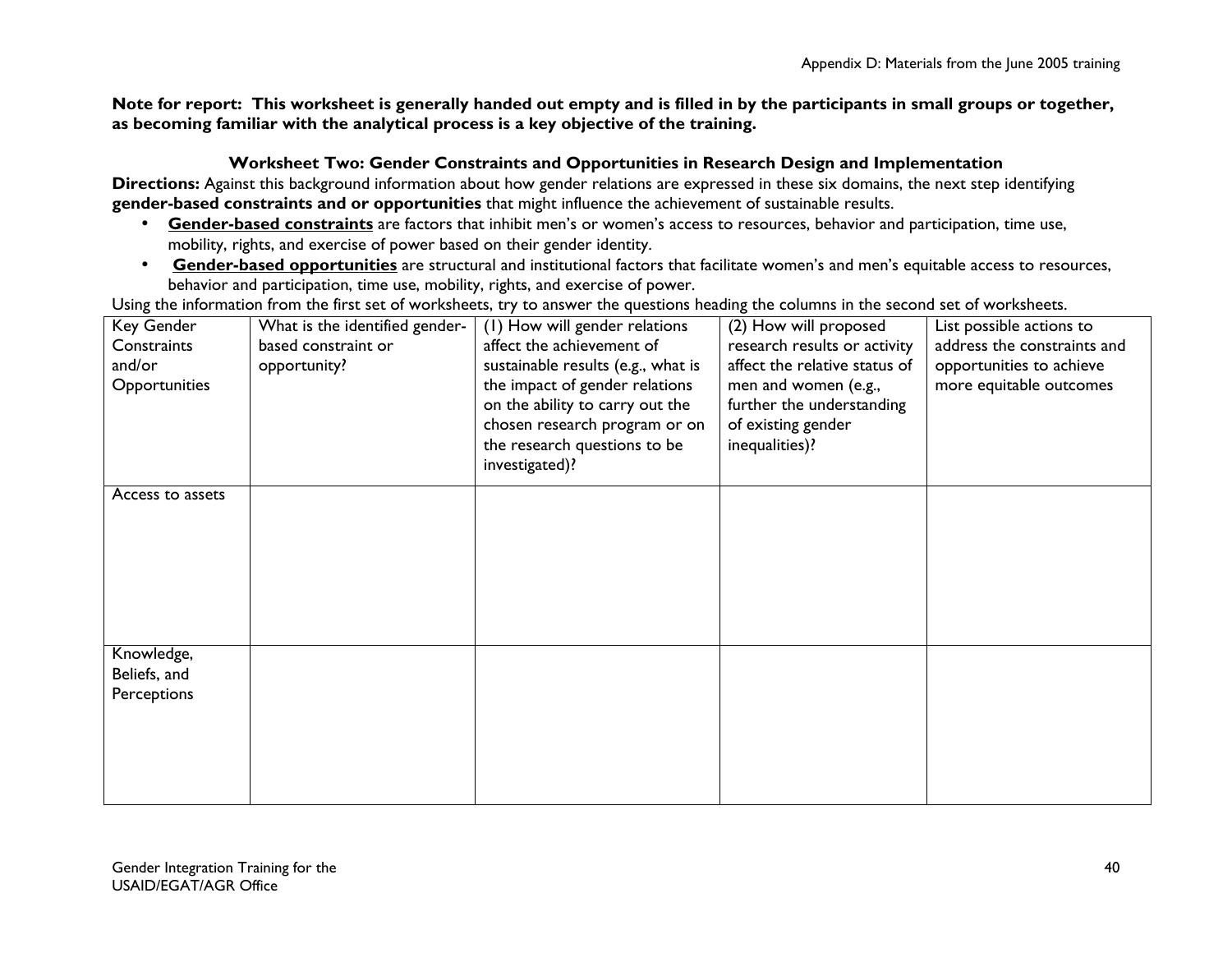**Note for report: This worksheet is generally handed out empty and is filled in by the participants in small groups or together, as becoming familiar with the analytical process is a key objective of the training.** 

#### **Worksheet Two: Gender Constraints and Opportunities in Research Design and Implementation**

**Directions:** Against this background information about how gender relations are expressed in these six domains, the next step identifying **gender-based constraints and or opportunities** that might influence the achievement of sustainable results.

- **Gender-based constraints** are factors that inhibit men's or women's access to resources, behavior and participation, time use, mobility, rights, and exercise of power based on their gender identity.
- **Gender-based opportunities** are structural and institutional factors that facilitate women's and men's equitable access to resources, behavior and participation, time use, mobility, rights, and exercise of power.

Using the information from the first set of worksheets, try to answer the questions heading the columns in the second set of worksheets.

| Key Gender       | What is the identified gender- | (I) How will gender relations      | (2) How will proposed         | List possible actions to    |
|------------------|--------------------------------|------------------------------------|-------------------------------|-----------------------------|
| Constraints      | based constraint or            | affect the achievement of          | research results or activity  | address the constraints and |
| and/or           | opportunity?                   | sustainable results (e.g., what is | affect the relative status of | opportunities to achieve    |
| Opportunities    |                                | the impact of gender relations     | men and women (e.g.,          | more equitable outcomes     |
|                  |                                | on the ability to carry out the    | further the understanding     |                             |
|                  |                                | chosen research program or on      | of existing gender            |                             |
|                  |                                | the research questions to be       | inequalities)?                |                             |
|                  |                                |                                    |                               |                             |
|                  |                                | investigated)?                     |                               |                             |
| Access to assets |                                |                                    |                               |                             |
|                  |                                |                                    |                               |                             |
|                  |                                |                                    |                               |                             |
|                  |                                |                                    |                               |                             |
|                  |                                |                                    |                               |                             |
|                  |                                |                                    |                               |                             |
|                  |                                |                                    |                               |                             |
|                  |                                |                                    |                               |                             |
| Knowledge,       |                                |                                    |                               |                             |
| Beliefs, and     |                                |                                    |                               |                             |
| Perceptions      |                                |                                    |                               |                             |
|                  |                                |                                    |                               |                             |
|                  |                                |                                    |                               |                             |
|                  |                                |                                    |                               |                             |
|                  |                                |                                    |                               |                             |
|                  |                                |                                    |                               |                             |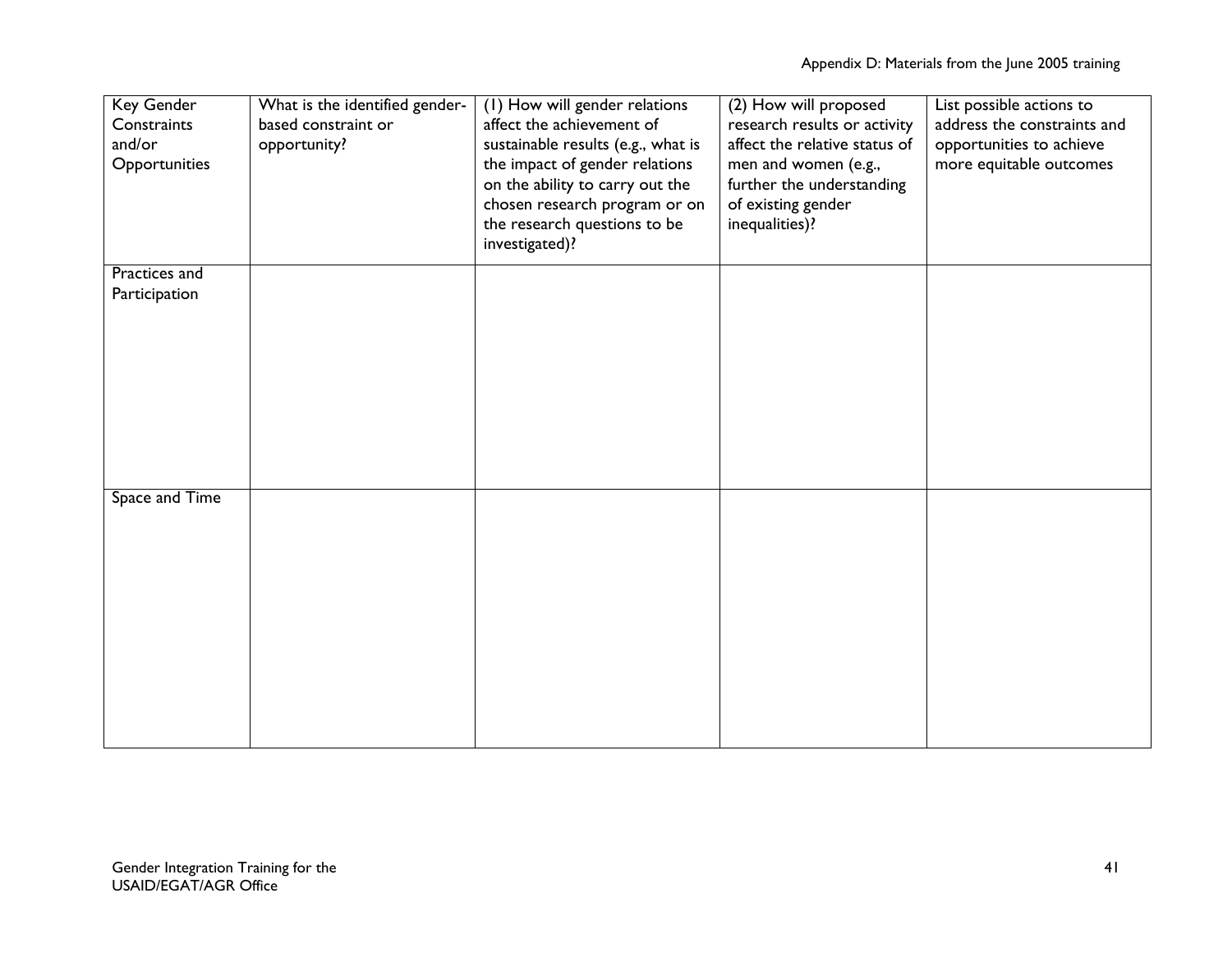| Key Gender<br>Constraints<br>and/or<br>Opportunities | What is the identified gender-<br>based constraint or<br>opportunity? | (I) How will gender relations<br>affect the achievement of<br>sustainable results (e.g., what is<br>the impact of gender relations<br>on the ability to carry out the<br>chosen research program or on<br>the research questions to be<br>investigated)? | (2) How will proposed<br>research results or activity<br>affect the relative status of<br>men and women (e.g.,<br>further the understanding<br>of existing gender<br>inequalities)? | List possible actions to<br>address the constraints and<br>opportunities to achieve<br>more equitable outcomes |
|------------------------------------------------------|-----------------------------------------------------------------------|----------------------------------------------------------------------------------------------------------------------------------------------------------------------------------------------------------------------------------------------------------|-------------------------------------------------------------------------------------------------------------------------------------------------------------------------------------|----------------------------------------------------------------------------------------------------------------|
| Practices and                                        |                                                                       |                                                                                                                                                                                                                                                          |                                                                                                                                                                                     |                                                                                                                |
| Participation                                        |                                                                       |                                                                                                                                                                                                                                                          |                                                                                                                                                                                     |                                                                                                                |
| Space and Time                                       |                                                                       |                                                                                                                                                                                                                                                          |                                                                                                                                                                                     |                                                                                                                |
|                                                      |                                                                       |                                                                                                                                                                                                                                                          |                                                                                                                                                                                     |                                                                                                                |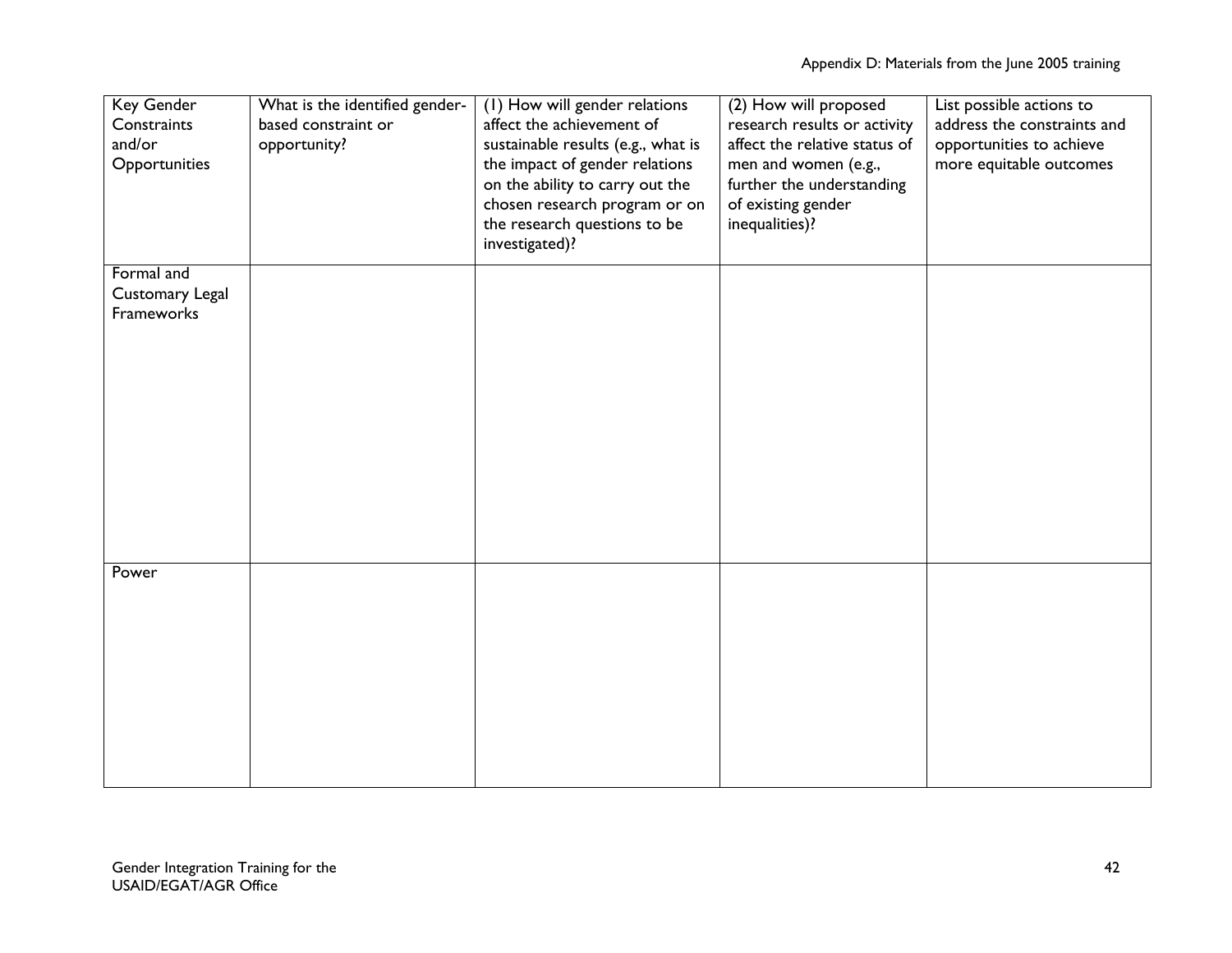| <b>Key Gender</b><br>Constraints<br>and/or<br>Opportunities | What is the identified gender-<br>based constraint or<br>opportunity? | (I) How will gender relations<br>affect the achievement of<br>sustainable results (e.g., what is<br>the impact of gender relations<br>on the ability to carry out the<br>chosen research program or on<br>the research questions to be<br>investigated)? | (2) How will proposed<br>research results or activity<br>affect the relative status of<br>men and women (e.g.,<br>further the understanding<br>of existing gender<br>inequalities)? | List possible actions to<br>address the constraints and<br>opportunities to achieve<br>more equitable outcomes |
|-------------------------------------------------------------|-----------------------------------------------------------------------|----------------------------------------------------------------------------------------------------------------------------------------------------------------------------------------------------------------------------------------------------------|-------------------------------------------------------------------------------------------------------------------------------------------------------------------------------------|----------------------------------------------------------------------------------------------------------------|
|                                                             |                                                                       |                                                                                                                                                                                                                                                          |                                                                                                                                                                                     |                                                                                                                |
| Formal and<br>Customary Legal                               |                                                                       |                                                                                                                                                                                                                                                          |                                                                                                                                                                                     |                                                                                                                |
| Frameworks                                                  |                                                                       |                                                                                                                                                                                                                                                          |                                                                                                                                                                                     |                                                                                                                |
|                                                             |                                                                       |                                                                                                                                                                                                                                                          |                                                                                                                                                                                     |                                                                                                                |
|                                                             |                                                                       |                                                                                                                                                                                                                                                          |                                                                                                                                                                                     |                                                                                                                |
|                                                             |                                                                       |                                                                                                                                                                                                                                                          |                                                                                                                                                                                     |                                                                                                                |
|                                                             |                                                                       |                                                                                                                                                                                                                                                          |                                                                                                                                                                                     |                                                                                                                |
|                                                             |                                                                       |                                                                                                                                                                                                                                                          |                                                                                                                                                                                     |                                                                                                                |
|                                                             |                                                                       |                                                                                                                                                                                                                                                          |                                                                                                                                                                                     |                                                                                                                |
|                                                             |                                                                       |                                                                                                                                                                                                                                                          |                                                                                                                                                                                     |                                                                                                                |
|                                                             |                                                                       |                                                                                                                                                                                                                                                          |                                                                                                                                                                                     |                                                                                                                |
|                                                             |                                                                       |                                                                                                                                                                                                                                                          |                                                                                                                                                                                     |                                                                                                                |
|                                                             |                                                                       |                                                                                                                                                                                                                                                          |                                                                                                                                                                                     |                                                                                                                |
| Power                                                       |                                                                       |                                                                                                                                                                                                                                                          |                                                                                                                                                                                     |                                                                                                                |
|                                                             |                                                                       |                                                                                                                                                                                                                                                          |                                                                                                                                                                                     |                                                                                                                |
|                                                             |                                                                       |                                                                                                                                                                                                                                                          |                                                                                                                                                                                     |                                                                                                                |
|                                                             |                                                                       |                                                                                                                                                                                                                                                          |                                                                                                                                                                                     |                                                                                                                |
|                                                             |                                                                       |                                                                                                                                                                                                                                                          |                                                                                                                                                                                     |                                                                                                                |
|                                                             |                                                                       |                                                                                                                                                                                                                                                          |                                                                                                                                                                                     |                                                                                                                |
|                                                             |                                                                       |                                                                                                                                                                                                                                                          |                                                                                                                                                                                     |                                                                                                                |
|                                                             |                                                                       |                                                                                                                                                                                                                                                          |                                                                                                                                                                                     |                                                                                                                |
|                                                             |                                                                       |                                                                                                                                                                                                                                                          |                                                                                                                                                                                     |                                                                                                                |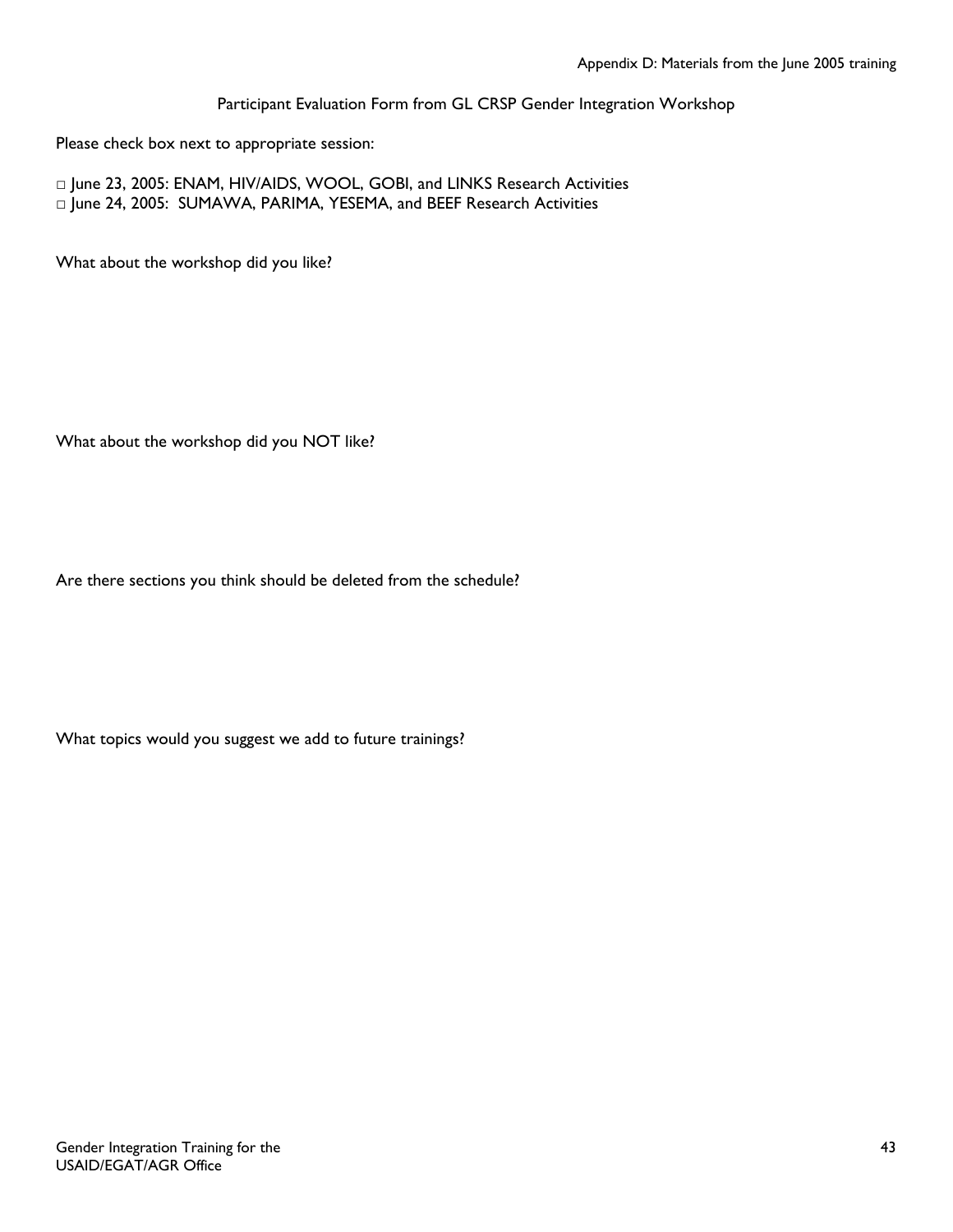Participant Evaluation Form from GL CRSP Gender Integration Workshop

Please check box next to appropriate session:

□ June 23, 2005: ENAM, HIV/AIDS, WOOL, GOBI, and LINKS Research Activities □ June 24, 2005: SUMAWA, PARIMA, YESEMA, and BEEF Research Activities

What about the workshop did you like?

What about the workshop did you NOT like?

Are there sections you think should be deleted from the schedule?

What topics would you suggest we add to future trainings?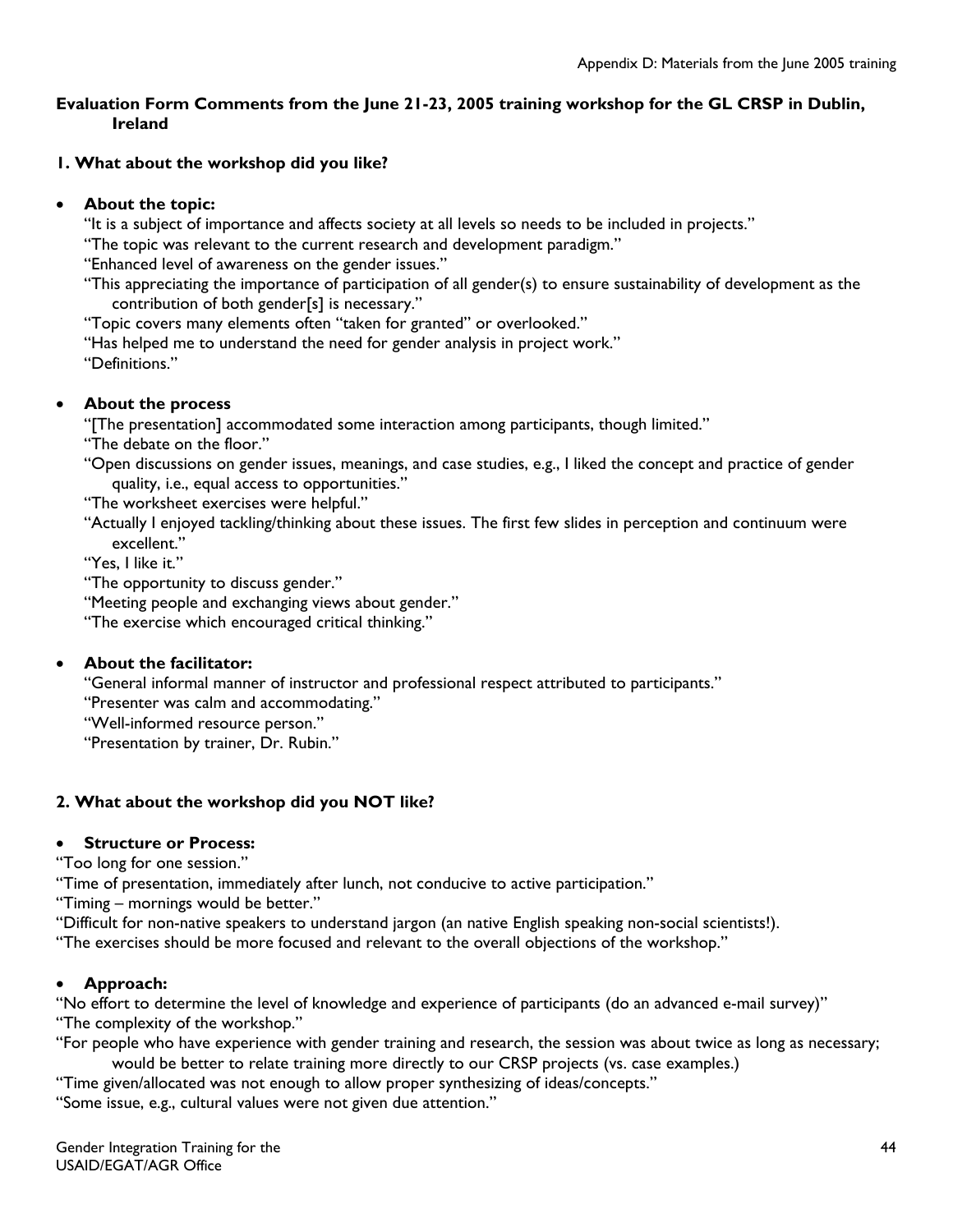## **Evaluation Form Comments from the June 21-23, 2005 training workshop for the GL CRSP in Dublin, Ireland**

# **1. What about the workshop did you like?**

## • **About the topic:**

"It is a subject of importance and affects society at all levels so needs to be included in projects."

"The topic was relevant to the current research and development paradigm."

"Enhanced level of awareness on the gender issues."

"This appreciating the importance of participation of all gender(s) to ensure sustainability of development as the contribution of both gender[s] is necessary."

"Topic covers many elements often "taken for granted" or overlooked."

"Has helped me to understand the need for gender analysis in project work." "Definitions."

## • **About the process**

"[The presentation] accommodated some interaction among participants, though limited."

"The debate on the floor."

"Open discussions on gender issues, meanings, and case studies, e.g., I liked the concept and practice of gender quality, i.e., equal access to opportunities."

"The worksheet exercises were helpful."

"Actually I enjoyed tackling/thinking about these issues. The first few slides in perception and continuum were excellent."

"Yes, I like it."

"The opportunity to discuss gender."

"Meeting people and exchanging views about gender."

"The exercise which encouraged critical thinking."

## • **About the facilitator:**

"General informal manner of instructor and professional respect attributed to participants."

"Presenter was calm and accommodating."

"Well-informed resource person."

"Presentation by trainer, Dr. Rubin."

## **2. What about the workshop did you NOT like?**

## • **Structure or Process:**

"Too long for one session."

"Time of presentation, immediately after lunch, not conducive to active participation."

"Timing – mornings would be better."

"Difficult for non-native speakers to understand jargon (an native English speaking non-social scientists!).

"The exercises should be more focused and relevant to the overall objections of the workshop."

## • **Approach:**

"No effort to determine the level of knowledge and experience of participants (do an advanced e-mail survey)" "The complexity of the workshop."

"For people who have experience with gender training and research, the session was about twice as long as necessary; would be better to relate training more directly to our CRSP projects (vs. case examples.)

"Time given/allocated was not enough to allow proper synthesizing of ideas/concepts."

"Some issue, e.g., cultural values were not given due attention."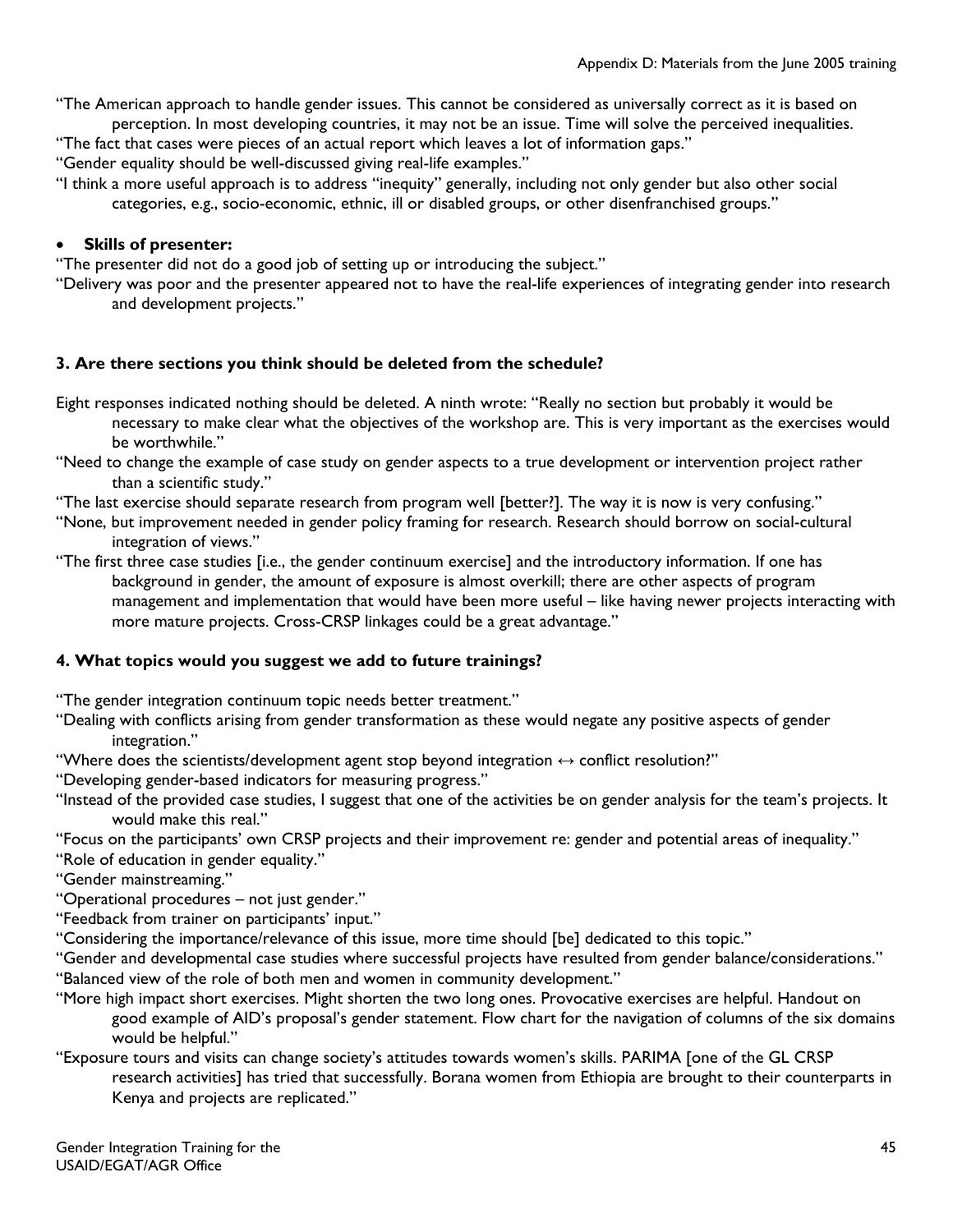"The American approach to handle gender issues. This cannot be considered as universally correct as it is based on perception. In most developing countries, it may not be an issue. Time will solve the perceived inequalities.

"The fact that cases were pieces of an actual report which leaves a lot of information gaps."

"Gender equality should be well-discussed giving real-life examples."

"I think a more useful approach is to address "inequity" generally, including not only gender but also other social categories, e.g., socio-economic, ethnic, ill or disabled groups, or other disenfranchised groups."

# • **Skills of presenter:**

"The presenter did not do a good job of setting up or introducing the subject."

"Delivery was poor and the presenter appeared not to have the real-life experiences of integrating gender into research and development projects."

## **3. Are there sections you think should be deleted from the schedule?**

- Eight responses indicated nothing should be deleted. A ninth wrote: "Really no section but probably it would be necessary to make clear what the objectives of the workshop are. This is very important as the exercises would be worthwhile."
- "Need to change the example of case study on gender aspects to a true development or intervention project rather than a scientific study."

"The last exercise should separate research from program well [better?]. The way it is now is very confusing."

- "None, but improvement needed in gender policy framing for research. Research should borrow on social-cultural integration of views."
- "The first three case studies [i.e., the gender continuum exercise] and the introductory information. If one has background in gender, the amount of exposure is almost overkill; there are other aspects of program management and implementation that would have been more useful – like having newer projects interacting with more mature projects. Cross-CRSP linkages could be a great advantage."

## **4. What topics would you suggest we add to future trainings?**

"The gender integration continuum topic needs better treatment."

- "Dealing with conflicts arising from gender transformation as these would negate any positive aspects of gender integration."
- "Where does the scientists/development agent stop beyond integration ↔ conflict resolution?"
- "Developing gender-based indicators for measuring progress."
- "Instead of the provided case studies, I suggest that one of the activities be on gender analysis for the team's projects. It would make this real."
- "Focus on the participants' own CRSP projects and their improvement re: gender and potential areas of inequality."
- "Role of education in gender equality."
- "Gender mainstreaming."
- "Operational procedures not just gender."
- "Feedback from trainer on participants' input."
- "Considering the importance/relevance of this issue, more time should [be] dedicated to this topic."
- "Gender and developmental case studies where successful projects have resulted from gender balance/considerations."
- "Balanced view of the role of both men and women in community development."
- "More high impact short exercises. Might shorten the two long ones. Provocative exercises are helpful. Handout on good example of AID's proposal's gender statement. Flow chart for the navigation of columns of the six domains would be helpful."

#### "Exposure tours and visits can change society's attitudes towards women's skills. PARIMA [one of the GL CRSP research activities] has tried that successfully. Borana women from Ethiopia are brought to their counterparts in Kenya and projects are replicated."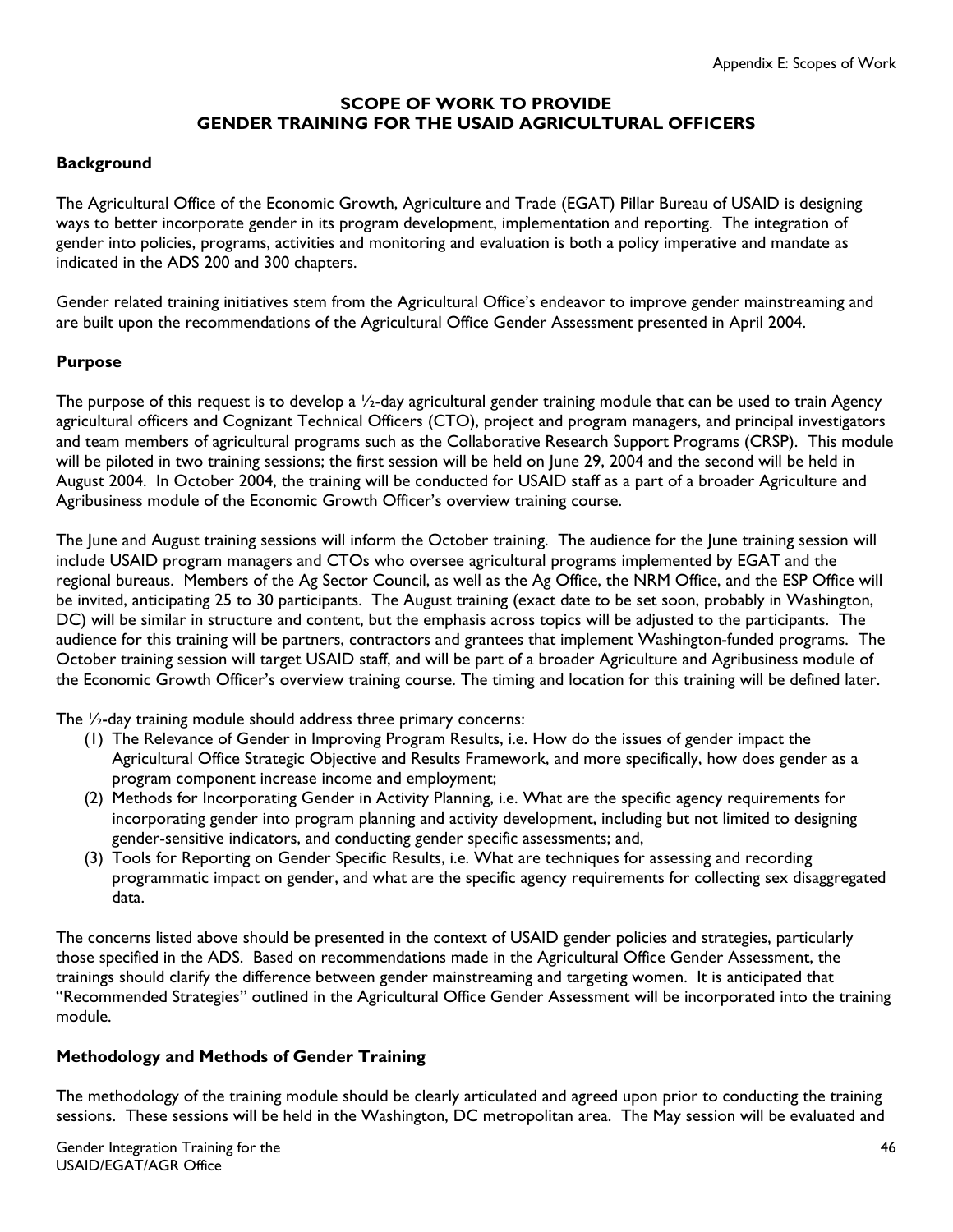## **SCOPE OF WORK TO PROVIDE GENDER TRAINING FOR THE USAID AGRICULTURAL OFFICERS**

### **Background**

The Agricultural Office of the Economic Growth, Agriculture and Trade (EGAT) Pillar Bureau of USAID is designing ways to better incorporate gender in its program development, implementation and reporting. The integration of gender into policies, programs, activities and monitoring and evaluation is both a policy imperative and mandate as indicated in the ADS 200 and 300 chapters.

Gender related training initiatives stem from the Agricultural Office's endeavor to improve gender mainstreaming and are built upon the recommendations of the Agricultural Office Gender Assessment presented in April 2004.

#### **Purpose**

The purpose of this request is to develop a  $\frac{1}{2}$ -day agricultural gender training module that can be used to train Agency agricultural officers and Cognizant Technical Officers (CTO), project and program managers, and principal investigators and team members of agricultural programs such as the Collaborative Research Support Programs (CRSP). This module will be piloted in two training sessions; the first session will be held on June 29, 2004 and the second will be held in August 2004. In October 2004, the training will be conducted for USAID staff as a part of a broader Agriculture and Agribusiness module of the Economic Growth Officer's overview training course.

The June and August training sessions will inform the October training. The audience for the June training session will include USAID program managers and CTOs who oversee agricultural programs implemented by EGAT and the regional bureaus. Members of the Ag Sector Council, as well as the Ag Office, the NRM Office, and the ESP Office will be invited, anticipating 25 to 30 participants. The August training (exact date to be set soon, probably in Washington, DC) will be similar in structure and content, but the emphasis across topics will be adjusted to the participants. The audience for this training will be partners, contractors and grantees that implement Washington-funded programs. The October training session will target USAID staff, and will be part of a broader Agriculture and Agribusiness module of the Economic Growth Officer's overview training course. The timing and location for this training will be defined later.

The ½-day training module should address three primary concerns:

- (1) The Relevance of Gender in Improving Program Results, i.e. How do the issues of gender impact the Agricultural Office Strategic Objective and Results Framework, and more specifically, how does gender as a program component increase income and employment;
- (2) Methods for Incorporating Gender in Activity Planning, i.e. What are the specific agency requirements for incorporating gender into program planning and activity development, including but not limited to designing gender-sensitive indicators, and conducting gender specific assessments; and,
- (3) Tools for Reporting on Gender Specific Results, i.e. What are techniques for assessing and recording programmatic impact on gender, and what are the specific agency requirements for collecting sex disaggregated data.

The concerns listed above should be presented in the context of USAID gender policies and strategies, particularly those specified in the ADS. Based on recommendations made in the Agricultural Office Gender Assessment, the trainings should clarify the difference between gender mainstreaming and targeting women. It is anticipated that "Recommended Strategies" outlined in the Agricultural Office Gender Assessment will be incorporated into the training module.

#### **Methodology and Methods of Gender Training**

The methodology of the training module should be clearly articulated and agreed upon prior to conducting the training sessions. These sessions will be held in the Washington, DC metropolitan area. The May session will be evaluated and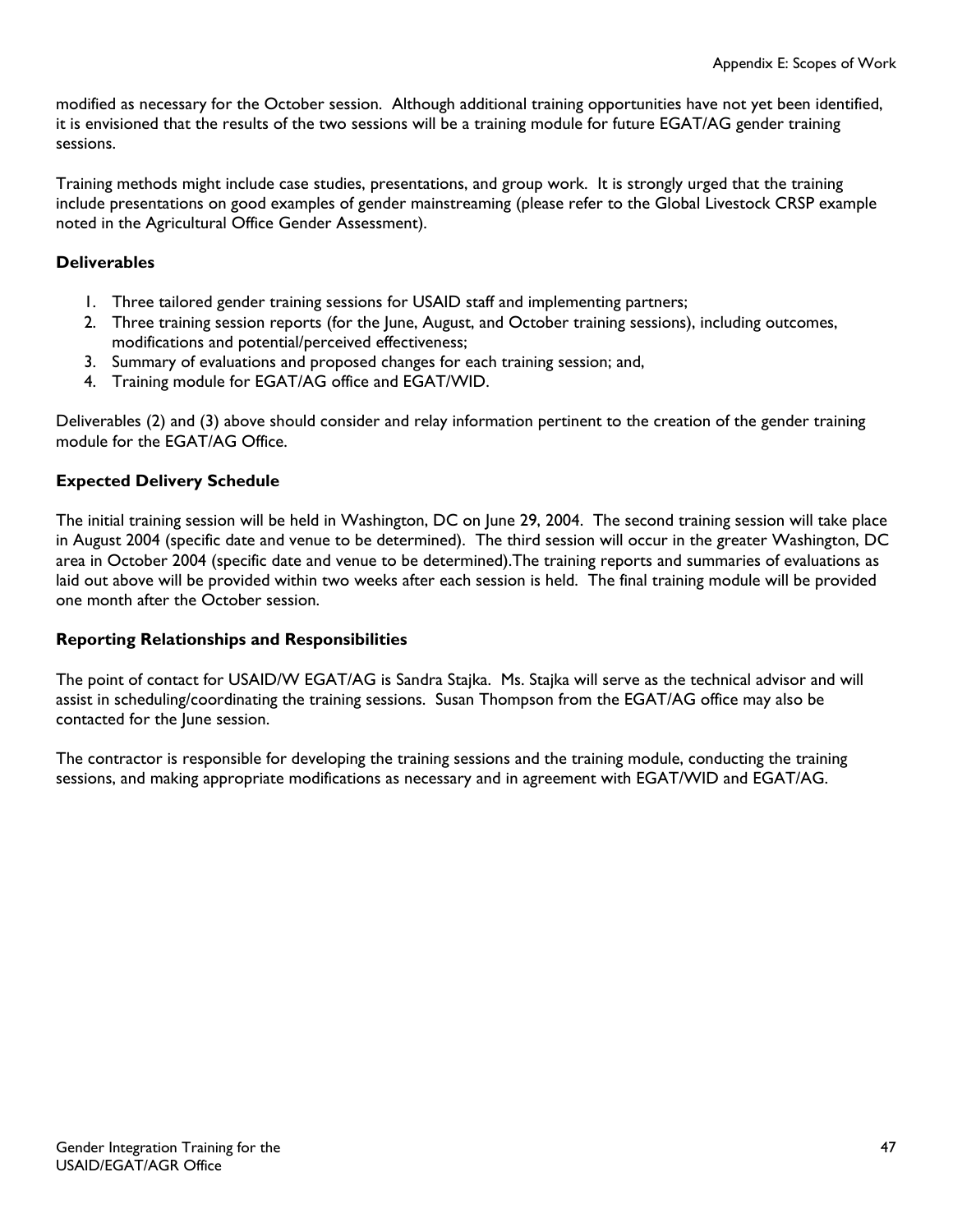modified as necessary for the October session. Although additional training opportunities have not yet been identified, it is envisioned that the results of the two sessions will be a training module for future EGAT/AG gender training sessions.

Training methods might include case studies, presentations, and group work. It is strongly urged that the training include presentations on good examples of gender mainstreaming (please refer to the Global Livestock CRSP example noted in the Agricultural Office Gender Assessment).

### **Deliverables**

- 1. Three tailored gender training sessions for USAID staff and implementing partners;
- 2. Three training session reports (for the June, August, and October training sessions), including outcomes, modifications and potential/perceived effectiveness;
- 3. Summary of evaluations and proposed changes for each training session; and,
- 4. Training module for EGAT/AG office and EGAT/WID.

Deliverables (2) and (3) above should consider and relay information pertinent to the creation of the gender training module for the EGAT/AG Office.

#### **Expected Delivery Schedule**

The initial training session will be held in Washington, DC on June 29, 2004. The second training session will take place in August 2004 (specific date and venue to be determined). The third session will occur in the greater Washington, DC area in October 2004 (specific date and venue to be determined).The training reports and summaries of evaluations as laid out above will be provided within two weeks after each session is held. The final training module will be provided one month after the October session.

#### **Reporting Relationships and Responsibilities**

The point of contact for USAID/W EGAT/AG is Sandra Stajka. Ms. Stajka will serve as the technical advisor and will assist in scheduling/coordinating the training sessions. Susan Thompson from the EGAT/AG office may also be contacted for the June session.

The contractor is responsible for developing the training sessions and the training module, conducting the training sessions, and making appropriate modifications as necessary and in agreement with EGAT/WID and EGAT/AG.